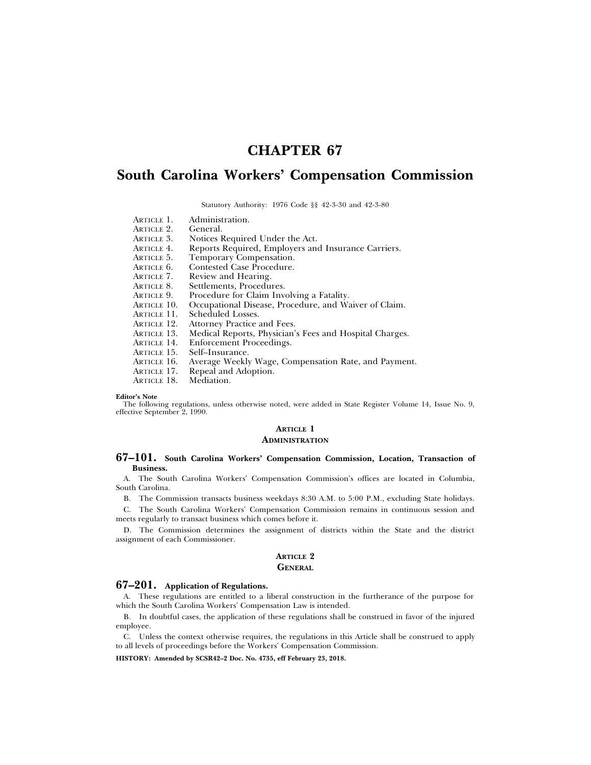# **CHAPTER 67**

# **South Carolina Workers' Compensation Commission**

Statutory Authority: 1976 Code §§ 42-3-30 and 42-3-80

ARTICLE 1. Administration.<br>ARTICLE 2. General. ARTICLE 2.<br>ARTICLE 3. ARTICLE 3. Notices Required Under the Act.<br>ARTICLE 4. Reports Required. Employers and Reports Required, Employers and Insurance Carriers. ARTICLE 5. Temporary Compensation. ARTICLE 6. Contested Case Procedure.<br>ARTICLE 7. Review and Hearing. ARTICLE 7. Review and Hearing.<br>ARTICLE 8. Settlements, Procedu Settlements, Procedures. ARTICLE 9. Procedure for Claim Involving a Fatality. ARTICLE 10. Occupational Disease, Procedure, and Waiver of Claim. ARTICLE 11. Scheduled Losses.<br>ARTICLE 12. Attorney Practice a ARTICLE 12. Attorney Practice and Fees.<br>ARTICLE 13. Medical Reports, Physician's ARTICLE 13. Medical Reports, Physician's Fees and Hospital Charges. ARTICLE 14. Enforcement Proceedings.<br>ARTICLE 15. Self-Insurance. ARTICLE 15. Self-Insurance.<br>ARTICLE 16. Average Weekly

ARTICLE 16. Average Weekly Wage, Compensation Rate, and Payment.<br>ARTICLE 17. Repeal and Adoption.

Repeal and Adoption.<br>Mediation.

ARTICLE 18.

**Editor's Note**

The following regulations, unless otherwise noted, were added in State Register Volume 14, Issue No. 9, effective September 2, 1990.

## **ARTICLE 1 ADMINISTRATION**

### **67–101. South Carolina Workers' Compensation Commission, Location, Transaction of Business.**

A. The South Carolina Workers' Compensation Commission's offices are located in Columbia, South Carolina.

B. The Commission transacts business weekdays 8:30 A.M. to 5:00 P.M., excluding State holidays.

C. The South Carolina Workers' Compensation Commission remains in continuous session and meets regularly to transact business which comes before it.

D. The Commission determines the assignment of districts within the State and the district assignment of each Commissioner.

#### **ARTICLE 2 GENERAL**

### **67–201. Application of Regulations.**

A. These regulations are entitled to a liberal construction in the furtherance of the purpose for which the South Carolina Workers' Compensation Law is intended.

B. In doubtful cases, the application of these regulations shall be construed in favor of the injured employee.

C. Unless the context otherwise requires, the regulations in this Article shall be construed to apply to all levels of proceedings before the Workers' Compensation Commission.

**HISTORY: Amended by SCSR42–2 Doc. No. 4735, eff February 23, 2018.**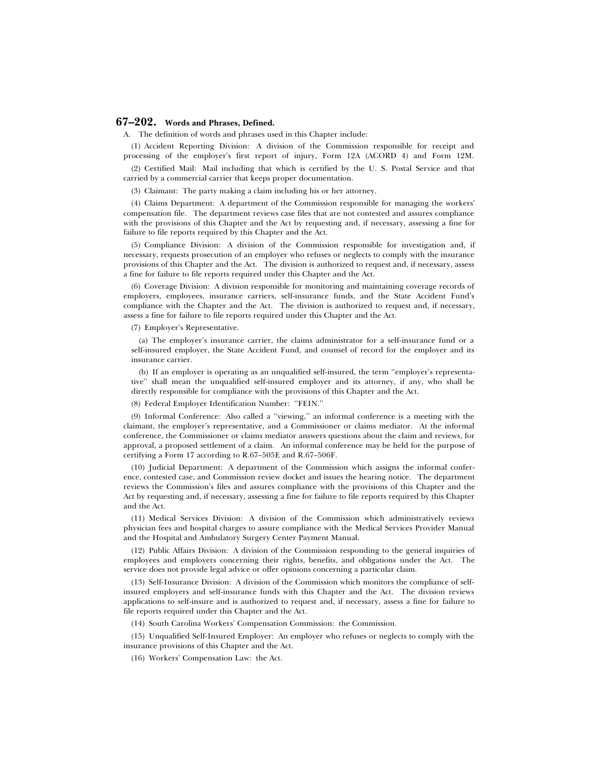## **67–202. Words and Phrases, Defined.**

A. The definition of words and phrases used in this Chapter include:

(1) Accident Reporting Division: A division of the Commission responsible for receipt and processing of the employer's first report of injury, Form 12A (ACORD 4) and Form 12M.

(2) Certified Mail: Mail including that which is certified by the U. S. Postal Service and that carried by a commercial carrier that keeps proper documentation.

(3) Claimant: The party making a claim including his or her attorney.

(4) Claims Department: A department of the Commission responsible for managing the workers' compensation file. The department reviews case files that are not contested and assures compliance with the provisions of this Chapter and the Act by requesting and, if necessary, assessing a fine for failure to file reports required by this Chapter and the Act.

(5) Compliance Division: A division of the Commission responsible for investigation and, if necessary, requests prosecution of an employer who refuses or neglects to comply with the insurance provisions of this Chapter and the Act. The division is authorized to request and, if necessary, assess a fine for failure to file reports required under this Chapter and the Act.

(6) Coverage Division: A division responsible for monitoring and maintaining coverage records of employers, employees, insurance carriers, self-insurance funds, and the State Accident Fund's compliance with the Chapter and the Act. The division is authorized to request and, if necessary, assess a fine for failure to file reports required under this Chapter and the Act.

(7) Employer's Representative.

(a) The employer's insurance carrier, the claims administrator for a self-insurance fund or a self-insured employer, the State Accident Fund, and counsel of record for the employer and its insurance carrier.

(b) If an employer is operating as an unqualified self-insured, the term ''employer's representative'' shall mean the unqualified self-insured employer and its attorney, if any, who shall be directly responsible for compliance with the provisions of this Chapter and the Act.

(8) Federal Employer Identification Number: ''FEIN.''

(9) Informal Conference: Also called a ''viewing,'' an informal conference is a meeting with the claimant, the employer's representative, and a Commissioner or claims mediator. At the informal conference, the Commissioner or claims mediator answers questions about the claim and reviews, for approval, a proposed settlement of a claim. An informal conference may be held for the purpose of certifying a Form 17 according to R.67–505E and R.67–506F.

(10) Judicial Department: A department of the Commission which assigns the informal conference, contested case, and Commission review docket and issues the hearing notice. The department reviews the Commission's files and assures compliance with the provisions of this Chapter and the Act by requesting and, if necessary, assessing a fine for failure to file reports required by this Chapter and the Act.

(11) Medical Services Division: A division of the Commission which administratively reviews physician fees and hospital charges to assure compliance with the Medical Services Provider Manual and the Hospital and Ambulatory Surgery Center Payment Manual.

(12) Public Affairs Division: A division of the Commission responding to the general inquiries of employees and employers concerning their rights, benefits, and obligations under the Act. The service does not provide legal advice or offer opinions concerning a particular claim.

(13) Self-Insurance Division: A division of the Commission which monitors the compliance of selfinsured employers and self-insurance funds with this Chapter and the Act. The division reviews applications to self-insure and is authorized to request and, if necessary, assess a fine for failure to file reports required under this Chapter and the Act.

(14) South Carolina Workers' Compensation Commission: the Commission.

(15) Unqualified Self-Insured Employer: An employer who refuses or neglects to comply with the insurance provisions of this Chapter and the Act.

(16) Workers' Compensation Law: the Act.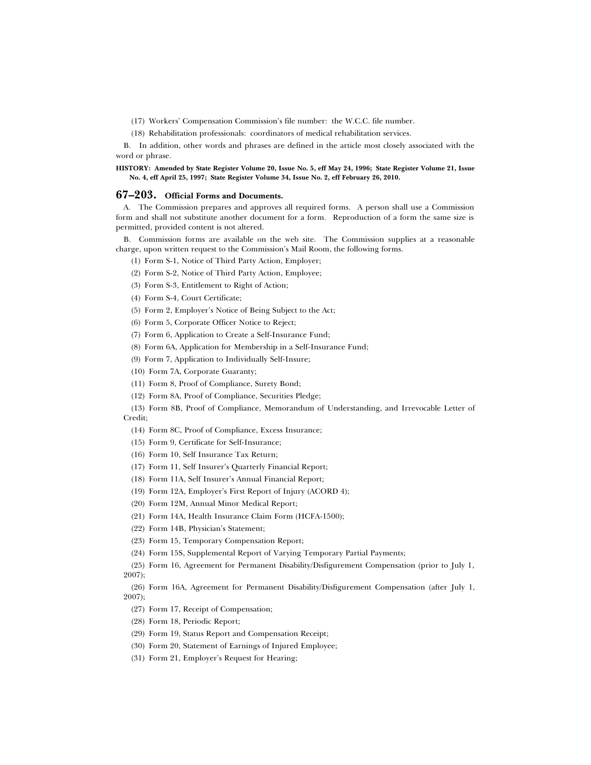(17) Workers' Compensation Commission's file number: the W.C.C. file number.

(18) Rehabilitation professionals: coordinators of medical rehabilitation services.

B. In addition, other words and phrases are defined in the article most closely associated with the word or phrase.

**HISTORY: Amended by State Register Volume 20, Issue No. 5, eff May 24, 1996; State Register Volume 21, Issue No. 4, eff April 25, 1997; State Register Volume 34, Issue No. 2, eff February 26, 2010.**

## **67–203. Official Forms and Documents.**

A. The Commission prepares and approves all required forms. A person shall use a Commission form and shall not substitute another document for a form. Reproduction of a form the same size is permitted, provided content is not altered.

B. Commission forms are available on the web site. The Commission supplies at a reasonable charge, upon written request to the Commission's Mail Room, the following forms.

(1) Form S-1, Notice of Third Party Action, Employer;

- (2) Form S-2, Notice of Third Party Action, Employee;
- (3) Form S-3, Entitlement to Right of Action;
- (4) Form S-4, Court Certificate;
- (5) Form 2, Employer's Notice of Being Subject to the Act;
- (6) Form 5, Corporate Officer Notice to Reject;
- (7) Form 6, Application to Create a Self-Insurance Fund;
- (8) Form 6A, Application for Membership in a Self-Insurance Fund;
- (9) Form 7, Application to Individually Self-Insure;
- (10) Form 7A, Corporate Guaranty;
- (11) Form 8, Proof of Compliance, Surety Bond;
- (12) Form 8A, Proof of Compliance, Securities Pledge;
- (13) Form 8B, Proof of Compliance, Memorandum of Understanding, and Irrevocable Letter of Credit;
	- (14) Form 8C, Proof of Compliance, Excess Insurance;
	- (15) Form 9, Certificate for Self-Insurance;
	- (16) Form 10, Self Insurance Tax Return;
	- (17) Form 11, Self Insurer's Quarterly Financial Report;
	- (18) Form 11A, Self Insurer's Annual Financial Report;
	- (19) Form 12A, Employer's First Report of Injury (ACORD 4);
	- (20) Form 12M, Annual Minor Medical Report;
	- (21) Form 14A, Health Insurance Claim Form (HCFA-1500);
	- (22) Form 14B, Physician's Statement;
	- (23) Form 15, Temporary Compensation Report;
- (24) Form 15S, Supplemental Report of Varying Temporary Partial Payments;

(25) Form 16, Agreement for Permanent Disability/Disfigurement Compensation (prior to July 1, 2007);

(26) Form 16A, Agreement for Permanent Disability/Disfigurement Compensation (after July 1, 2007);

- (27) Form 17, Receipt of Compensation;
- (28) Form 18, Periodic Report;
- (29) Form 19, Status Report and Compensation Receipt;
- (30) Form 20, Statement of Earnings of Injured Employee;
- (31) Form 21, Employer's Request for Hearing;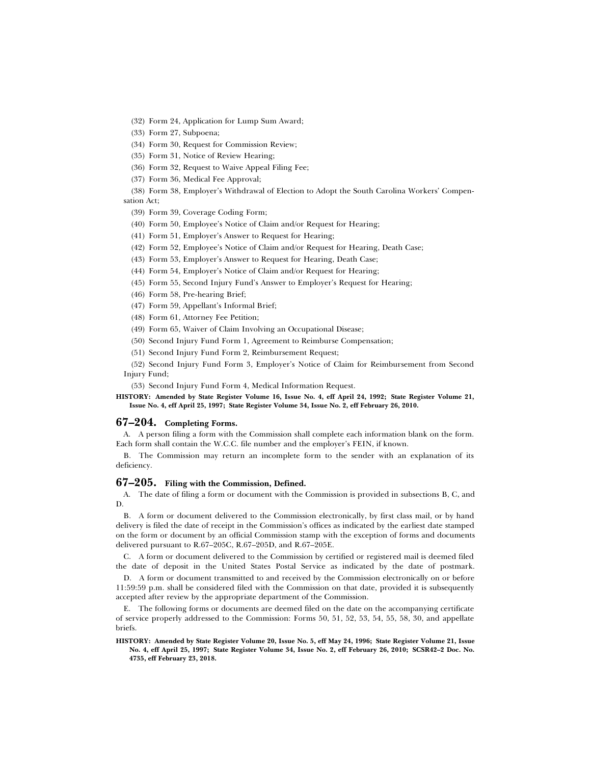(32) Form 24, Application for Lump Sum Award;

(33) Form 27, Subpoena;

(34) Form 30, Request for Commission Review;

(35) Form 31, Notice of Review Hearing;

(36) Form 32, Request to Waive Appeal Filing Fee;

(37) Form 36, Medical Fee Approval;

(38) Form 38, Employer's Withdrawal of Election to Adopt the South Carolina Workers' Compensation Act;

(39) Form 39, Coverage Coding Form;

(40) Form 50, Employee's Notice of Claim and/or Request for Hearing;

(41) Form 51, Employer's Answer to Request for Hearing;

(42) Form 52, Employee's Notice of Claim and/or Request for Hearing, Death Case;

(43) Form 53, Employer's Answer to Request for Hearing, Death Case;

(44) Form 54, Employer's Notice of Claim and/or Request for Hearing;

(45) Form 55, Second Injury Fund's Answer to Employer's Request for Hearing;

(46) Form 58, Pre-hearing Brief;

(47) Form 59, Appellant's Informal Brief;

(48) Form 61, Attorney Fee Petition;

(49) Form 65, Waiver of Claim Involving an Occupational Disease;

(50) Second Injury Fund Form 1, Agreement to Reimburse Compensation;

(51) Second Injury Fund Form 2, Reimbursement Request;

(52) Second Injury Fund Form 3, Employer's Notice of Claim for Reimbursement from Second Injury Fund;

(53) Second Injury Fund Form 4, Medical Information Request.

**HISTORY: Amended by State Register Volume 16, Issue No. 4, eff April 24, 1992; State Register Volume 21, Issue No. 4, eff April 25, 1997; State Register Volume 34, Issue No. 2, eff February 26, 2010.**

#### **67–204. Completing Forms.**

A. A person filing a form with the Commission shall complete each information blank on the form. Each form shall contain the W.C.C. file number and the employer's FEIN, if known.

B. The Commission may return an incomplete form to the sender with an explanation of its deficiency.

## **67–205. Filing with the Commission, Defined.**

A. The date of filing a form or document with the Commission is provided in subsections B, C, and D.

B. A form or document delivered to the Commission electronically, by first class mail, or by hand delivery is filed the date of receipt in the Commission's offices as indicated by the earliest date stamped on the form or document by an official Commission stamp with the exception of forms and documents delivered pursuant to R.67–205C, R.67–205D, and R.67–205E.

C. A form or document delivered to the Commission by certified or registered mail is deemed filed the date of deposit in the United States Postal Service as indicated by the date of postmark.

D. A form or document transmitted to and received by the Commission electronically on or before 11:59:59 p.m. shall be considered filed with the Commission on that date, provided it is subsequently accepted after review by the appropriate department of the Commission.

E. The following forms or documents are deemed filed on the date on the accompanying certificate of service properly addressed to the Commission: Forms 50, 51, 52, 53, 54, 55, 58, 30, and appellate briefs.

**HISTORY: Amended by State Register Volume 20, Issue No. 5, eff May 24, 1996; State Register Volume 21, Issue No. 4, eff April 25, 1997; State Register Volume 34, Issue No. 2, eff February 26, 2010; SCSR42–2 Doc. No. 4735, eff February 23, 2018.**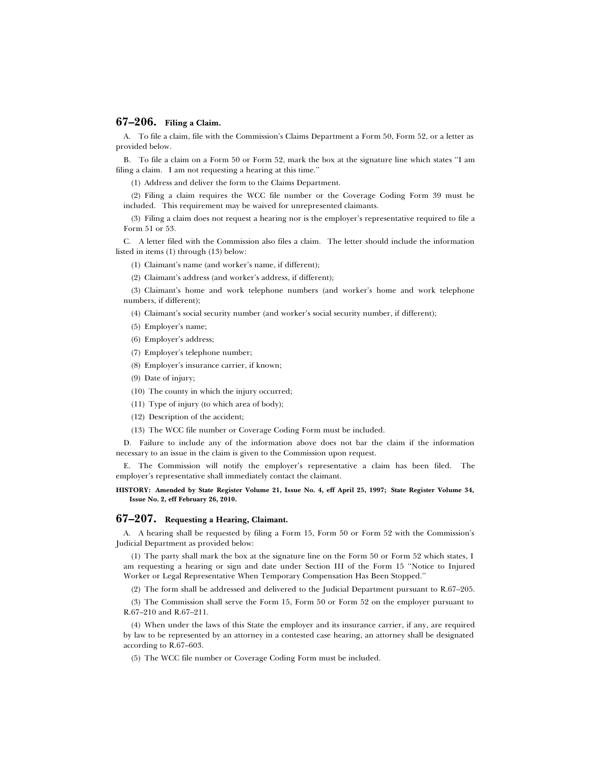## **67–206. Filing a Claim.**

A. To file a claim, file with the Commission's Claims Department a Form 50, Form 52, or a letter as provided below.

B. To file a claim on a Form 50 or Form 52, mark the box at the signature line which states ''I am filing a claim. I am not requesting a hearing at this time.''

(1) Address and deliver the form to the Claims Department.

(2) Filing a claim requires the WCC file number or the Coverage Coding Form 39 must be included. This requirement may be waived for unrepresented claimants.

(3) Filing a claim does not request a hearing nor is the employer's representative required to file a Form 51 or 53.

C. A letter filed with the Commission also files a claim. The letter should include the information listed in items (1) through (13) below:

(1) Claimant's name (and worker's name, if different);

(2) Claimant's address (and worker's address, if different);

(3) Claimant's home and work telephone numbers (and worker's home and work telephone numbers, if different);

(4) Claimant's social security number (and worker's social security number, if different);

- (5) Employer's name;
- (6) Employer's address;
- (7) Employer's telephone number;
- (8) Employer's insurance carrier, if known;
- (9) Date of injury;
- (10) The county in which the injury occurred;
- (11) Type of injury (to which area of body);
- (12) Description of the accident;
- (13) The WCC file number or Coverage Coding Form must be included.

D. Failure to include any of the information above does not bar the claim if the information necessary to an issue in the claim is given to the Commission upon request.

E. The Commission will notify the employer's representative a claim has been filed. The employer's representative shall immediately contact the claimant.

**HISTORY: Amended by State Register Volume 21, Issue No. 4, eff April 25, 1997; State Register Volume 34, Issue No. 2, eff February 26, 2010.**

## **67–207. Requesting a Hearing, Claimant.**

A. A hearing shall be requested by filing a Form 15, Form 50 or Form 52 with the Commission's Judicial Department as provided below:

(1) The party shall mark the box at the signature line on the Form 50 or Form 52 which states, I am requesting a hearing or sign and date under Section III of the Form 15 ''Notice to Injured Worker or Legal Representative When Temporary Compensation Has Been Stopped.''

(2) The form shall be addressed and delivered to the Judicial Department pursuant to R.67–205.

(3) The Commission shall serve the Form 15, Form 50 or Form 52 on the employer pursuant to R.67–210 and R.67–211.

(4) When under the laws of this State the employer and its insurance carrier, if any, are required by law to be represented by an attorney in a contested case hearing, an attorney shall be designated according to R.67–603.

(5) The WCC file number or Coverage Coding Form must be included.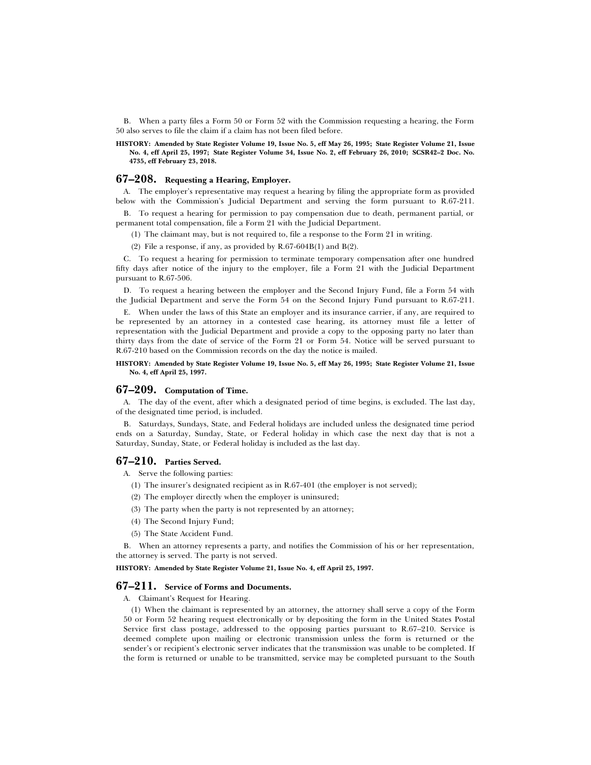B. When a party files a Form 50 or Form 52 with the Commission requesting a hearing, the Form 50 also serves to file the claim if a claim has not been filed before.

**HISTORY: Amended by State Register Volume 19, Issue No. 5, eff May 26, 1995; State Register Volume 21, Issue No. 4, eff April 25, 1997; State Register Volume 34, Issue No. 2, eff February 26, 2010; SCSR42–2 Doc. No. 4735, eff February 23, 2018.**

## **67–208. Requesting a Hearing, Employer.**

A. The employer's representative may request a hearing by filing the appropriate form as provided below with the Commission's Judicial Department and serving the form pursuant to R.67-211.

B. To request a hearing for permission to pay compensation due to death, permanent partial, or permanent total compensation, file a Form 21 with the Judicial Department.

(1) The claimant may, but is not required to, file a response to the Form 21 in writing.

(2) File a response, if any, as provided by  $R.67-604B(1)$  and  $B(2)$ .

C. To request a hearing for permission to terminate temporary compensation after one hundred fifty days after notice of the injury to the employer, file a Form 21 with the Judicial Department pursuant to R.67-506.

D. To request a hearing between the employer and the Second Injury Fund, file a Form 54 with the Judicial Department and serve the Form 54 on the Second Injury Fund pursuant to R.67-211.

E. When under the laws of this State an employer and its insurance carrier, if any, are required to be represented by an attorney in a contested case hearing, its attorney must file a letter of representation with the Judicial Department and provide a copy to the opposing party no later than thirty days from the date of service of the Form 21 or Form 54. Notice will be served pursuant to R.67-210 based on the Commission records on the day the notice is mailed.

#### **HISTORY: Amended by State Register Volume 19, Issue No. 5, eff May 26, 1995; State Register Volume 21, Issue No. 4, eff April 25, 1997.**

## **67–209. Computation of Time.**

A. The day of the event, after which a designated period of time begins, is excluded. The last day, of the designated time period, is included.

B. Saturdays, Sundays, State, and Federal holidays are included unless the designated time period ends on a Saturday, Sunday, State, or Federal holiday in which case the next day that is not a Saturday, Sunday, State, or Federal holiday is included as the last day.

#### **67–210. Parties Served.**

A. Serve the following parties:

- (1) The insurer's designated recipient as in R.67-401 (the employer is not served);
- (2) The employer directly when the employer is uninsured;
- (3) The party when the party is not represented by an attorney;
- (4) The Second Injury Fund;
- (5) The State Accident Fund.

B. When an attorney represents a party, and notifies the Commission of his or her representation, the attorney is served. The party is not served.

**HISTORY: Amended by State Register Volume 21, Issue No. 4, eff April 25, 1997.**

## **67–211. Service of Forms and Documents.**

A. Claimant's Request for Hearing.

(1) When the claimant is represented by an attorney, the attorney shall serve a copy of the Form 50 or Form 52 hearing request electronically or by depositing the form in the United States Postal Service first class postage, addressed to the opposing parties pursuant to R.67–210. Service is deemed complete upon mailing or electronic transmission unless the form is returned or the sender's or recipient's electronic server indicates that the transmission was unable to be completed. If the form is returned or unable to be transmitted, service may be completed pursuant to the South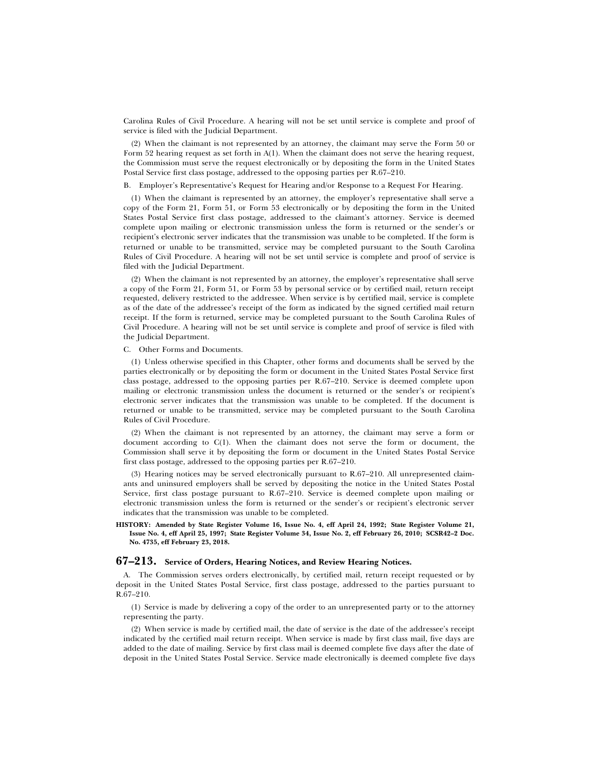Carolina Rules of Civil Procedure. A hearing will not be set until service is complete and proof of service is filed with the Judicial Department.

(2) When the claimant is not represented by an attorney, the claimant may serve the Form 50 or Form 52 hearing request as set forth in A(1). When the claimant does not serve the hearing request, the Commission must serve the request electronically or by depositing the form in the United States Postal Service first class postage, addressed to the opposing parties per R.67–210.

B. Employer's Representative's Request for Hearing and/or Response to a Request For Hearing.

(1) When the claimant is represented by an attorney, the employer's representative shall serve a copy of the Form 21, Form 51, or Form 53 electronically or by depositing the form in the United States Postal Service first class postage, addressed to the claimant's attorney. Service is deemed complete upon mailing or electronic transmission unless the form is returned or the sender's or recipient's electronic server indicates that the transmission was unable to be completed. If the form is returned or unable to be transmitted, service may be completed pursuant to the South Carolina Rules of Civil Procedure. A hearing will not be set until service is complete and proof of service is filed with the Judicial Department.

(2) When the claimant is not represented by an attorney, the employer's representative shall serve a copy of the Form 21, Form 51, or Form 53 by personal service or by certified mail, return receipt requested, delivery restricted to the addressee. When service is by certified mail, service is complete as of the date of the addressee's receipt of the form as indicated by the signed certified mail return receipt. If the form is returned, service may be completed pursuant to the South Carolina Rules of Civil Procedure. A hearing will not be set until service is complete and proof of service is filed with the Judicial Department.

C. Other Forms and Documents.

(1) Unless otherwise specified in this Chapter, other forms and documents shall be served by the parties electronically or by depositing the form or document in the United States Postal Service first class postage, addressed to the opposing parties per R.67–210. Service is deemed complete upon mailing or electronic transmission unless the document is returned or the sender's or recipient's electronic server indicates that the transmission was unable to be completed. If the document is returned or unable to be transmitted, service may be completed pursuant to the South Carolina Rules of Civil Procedure.

(2) When the claimant is not represented by an attorney, the claimant may serve a form or document according to C(1). When the claimant does not serve the form or document, the Commission shall serve it by depositing the form or document in the United States Postal Service first class postage, addressed to the opposing parties per R.67–210.

(3) Hearing notices may be served electronically pursuant to R.67–210. All unrepresented claimants and uninsured employers shall be served by depositing the notice in the United States Postal Service, first class postage pursuant to R.67–210. Service is deemed complete upon mailing or electronic transmission unless the form is returned or the sender's or recipient's electronic server indicates that the transmission was unable to be completed.

#### **HISTORY: Amended by State Register Volume 16, Issue No. 4, eff April 24, 1992; State Register Volume 21, Issue No. 4, eff April 25, 1997; State Register Volume 34, Issue No. 2, eff February 26, 2010; SCSR42–2 Doc. No. 4735, eff February 23, 2018.**

## **67–213. Service of Orders, Hearing Notices, and Review Hearing Notices.**

A. The Commission serves orders electronically, by certified mail, return receipt requested or by deposit in the United States Postal Service, first class postage, addressed to the parties pursuant to R.67–210.

(1) Service is made by delivering a copy of the order to an unrepresented party or to the attorney representing the party.

(2) When service is made by certified mail, the date of service is the date of the addressee's receipt indicated by the certified mail return receipt. When service is made by first class mail, five days are added to the date of mailing. Service by first class mail is deemed complete five days after the date of deposit in the United States Postal Service. Service made electronically is deemed complete five days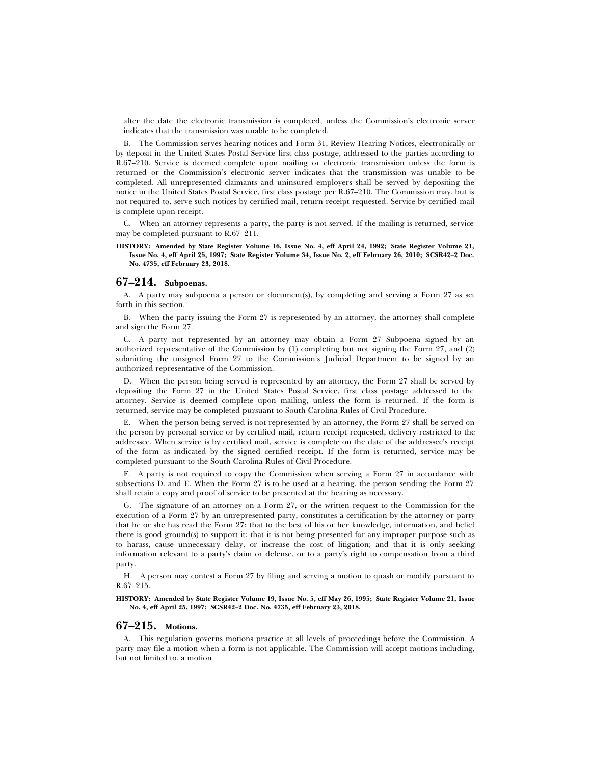after the date the electronic transmission is completed, unless the Commission's electronic server indicates that the transmission was unable to be completed.

B. The Commission serves hearing notices and Form 31, Review Hearing Notices, electronically or by deposit in the United States Postal Service first class postage, addressed to the parties according to R.67–210. Service is deemed complete upon mailing or electronic transmission unless the form is returned or the Commission's electronic server indicates that the transmission was unable to be completed. All unrepresented claimants and uninsured employers shall be served by depositing the notice in the United States Postal Service, first class postage per R.67–210. The Commission may, but is not required to, serve such notices by certified mail, return receipt requested. Service by certified mail is complete upon receipt.

C. When an attorney represents a party, the party is not served. If the mailing is returned, service may be completed pursuant to R.67–211.

#### **HISTORY: Amended by State Register Volume 16, Issue No. 4, eff April 24, 1992; State Register Volume 21, Issue No. 4, eff April 25, 1997; State Register Volume 34, Issue No. 2, eff February 26, 2010; SCSR42–2 Doc. No. 4735, eff February 23, 2018.**

## **67–214. Subpoenas.**

A. A party may subpoena a person or document(s), by completing and serving a Form 27 as set forth in this section.

B. When the party issuing the Form 27 is represented by an attorney, the attorney shall complete and sign the Form 27.

C. A party not represented by an attorney may obtain a Form 27 Subpoena signed by an authorized representative of the Commission by (1) completing but not signing the Form 27, and (2) submitting the unsigned Form 27 to the Commission's Judicial Department to be signed by an authorized representative of the Commission.

D. When the person being served is represented by an attorney, the Form 27 shall be served by depositing the Form 27 in the United States Postal Service, first class postage addressed to the attorney. Service is deemed complete upon mailing, unless the form is returned. If the form is returned, service may be completed pursuant to South Carolina Rules of Civil Procedure.

E. When the person being served is not represented by an attorney, the Form 27 shall be served on the person by personal service or by certified mail, return receipt requested, delivery restricted to the addressee. When service is by certified mail, service is complete on the date of the addressee's receipt of the form as indicated by the signed certified receipt. If the form is returned, service may be completed pursuant to the South Carolina Rules of Civil Procedure.

F. A party is not required to copy the Commission when serving a Form 27 in accordance with subsections D. and E. When the Form 27 is to be used at a hearing, the person sending the Form 27 shall retain a copy and proof of service to be presented at the hearing as necessary.

G. The signature of an attorney on a Form 27, or the written request to the Commission for the execution of a Form 27 by an unrepresented party, constitutes a certification by the attorney or party that he or she has read the Form 27; that to the best of his or her knowledge, information, and belief there is good ground(s) to support it; that it is not being presented for any improper purpose such as to harass, cause unnecessary delay, or increase the cost of litigation; and that it is only seeking information relevant to a party's claim or defense, or to a party's right to compensation from a third party.

H. A person may contest a Form 27 by filing and serving a motion to quash or modify pursuant to R.67–215.

**HISTORY: Amended by State Register Volume 19, Issue No. 5, eff May 26, 1995; State Register Volume 21, Issue No. 4, eff April 25, 1997; SCSR42–2 Doc. No. 4735, eff February 23, 2018.**

#### **67–215. Motions.**

A. This regulation governs motions practice at all levels of proceedings before the Commission. A party may file a motion when a form is not applicable. The Commission will accept motions including, but not limited to, a motion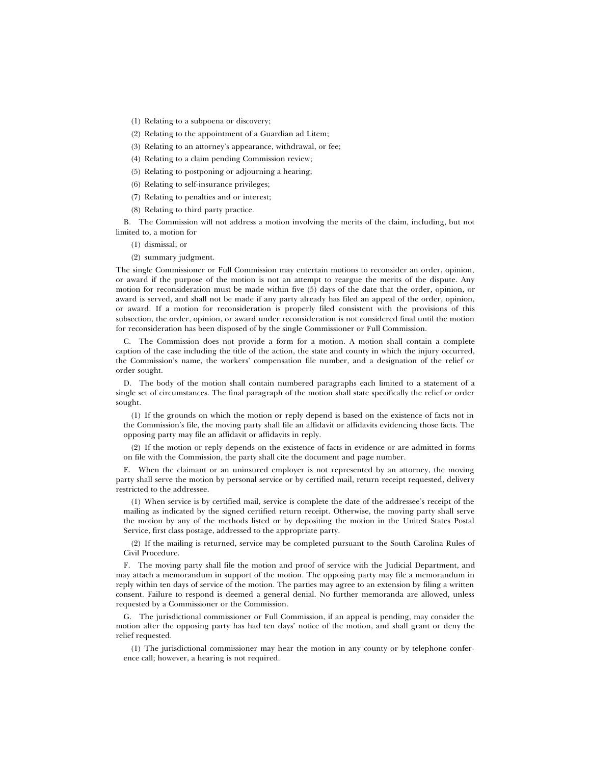- (1) Relating to a subpoena or discovery;
- (2) Relating to the appointment of a Guardian ad Litem;
- (3) Relating to an attorney's appearance, withdrawal, or fee;
- (4) Relating to a claim pending Commission review;
- (5) Relating to postponing or adjourning a hearing;
- (6) Relating to self-insurance privileges;
- (7) Relating to penalties and or interest;
- (8) Relating to third party practice.

B. The Commission will not address a motion involving the merits of the claim, including, but not limited to, a motion for

- (1) dismissal; or
- (2) summary judgment.

The single Commissioner or Full Commission may entertain motions to reconsider an order, opinion, or award if the purpose of the motion is not an attempt to reargue the merits of the dispute. Any motion for reconsideration must be made within five (5) days of the date that the order, opinion, or award is served, and shall not be made if any party already has filed an appeal of the order, opinion, or award. If a motion for reconsideration is properly filed consistent with the provisions of this subsection, the order, opinion, or award under reconsideration is not considered final until the motion for reconsideration has been disposed of by the single Commissioner or Full Commission.

C. The Commission does not provide a form for a motion. A motion shall contain a complete caption of the case including the title of the action, the state and county in which the injury occurred, the Commission's name, the workers' compensation file number, and a designation of the relief or order sought.

D. The body of the motion shall contain numbered paragraphs each limited to a statement of a single set of circumstances. The final paragraph of the motion shall state specifically the relief or order sought.

(1) If the grounds on which the motion or reply depend is based on the existence of facts not in the Commission's file, the moving party shall file an affidavit or affidavits evidencing those facts. The opposing party may file an affidavit or affidavits in reply.

(2) If the motion or reply depends on the existence of facts in evidence or are admitted in forms on file with the Commission, the party shall cite the document and page number.

E. When the claimant or an uninsured employer is not represented by an attorney, the moving party shall serve the motion by personal service or by certified mail, return receipt requested, delivery restricted to the addressee.

(1) When service is by certified mail, service is complete the date of the addressee's receipt of the mailing as indicated by the signed certified return receipt. Otherwise, the moving party shall serve the motion by any of the methods listed or by depositing the motion in the United States Postal Service, first class postage, addressed to the appropriate party.

(2) If the mailing is returned, service may be completed pursuant to the South Carolina Rules of Civil Procedure.

F. The moving party shall file the motion and proof of service with the Judicial Department, and may attach a memorandum in support of the motion. The opposing party may file a memorandum in reply within ten days of service of the motion. The parties may agree to an extension by filing a written consent. Failure to respond is deemed a general denial. No further memoranda are allowed, unless requested by a Commissioner or the Commission.

G. The jurisdictional commissioner or Full Commission, if an appeal is pending, may consider the motion after the opposing party has had ten days' notice of the motion, and shall grant or deny the relief requested.

(1) The jurisdictional commissioner may hear the motion in any county or by telephone conference call; however, a hearing is not required.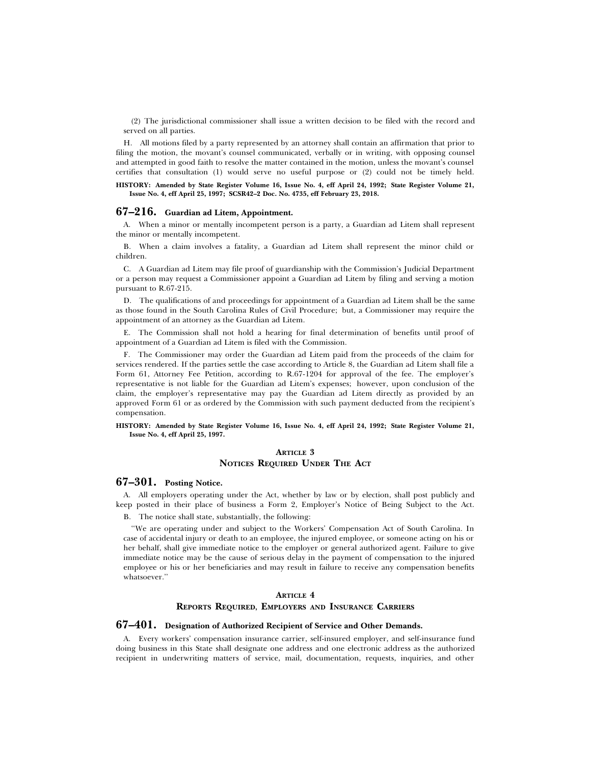(2) The jurisdictional commissioner shall issue a written decision to be filed with the record and served on all parties.

H. All motions filed by a party represented by an attorney shall contain an affirmation that prior to filing the motion, the movant's counsel communicated, verbally or in writing, with opposing counsel and attempted in good faith to resolve the matter contained in the motion, unless the movant's counsel certifies that consultation (1) would serve no useful purpose or (2) could not be timely held.

#### **HISTORY: Amended by State Register Volume 16, Issue No. 4, eff April 24, 1992; State Register Volume 21, Issue No. 4, eff April 25, 1997; SCSR42–2 Doc. No. 4735, eff February 23, 2018.**

## **67–216. Guardian ad Litem, Appointment.**

A. When a minor or mentally incompetent person is a party, a Guardian ad Litem shall represent the minor or mentally incompetent.

B. When a claim involves a fatality, a Guardian ad Litem shall represent the minor child or children.

C. A Guardian ad Litem may file proof of guardianship with the Commission's Judicial Department or a person may request a Commissioner appoint a Guardian ad Litem by filing and serving a motion pursuant to R.67-215.

D. The qualifications of and proceedings for appointment of a Guardian ad Litem shall be the same as those found in the South Carolina Rules of Civil Procedure; but, a Commissioner may require the appointment of an attorney as the Guardian ad Litem.

E. The Commission shall not hold a hearing for final determination of benefits until proof of appointment of a Guardian ad Litem is filed with the Commission.

F. The Commissioner may order the Guardian ad Litem paid from the proceeds of the claim for services rendered. If the parties settle the case according to Article 8, the Guardian ad Litem shall file a Form 61, Attorney Fee Petition, according to R.67-1204 for approval of the fee. The employer's representative is not liable for the Guardian ad Litem's expenses; however, upon conclusion of the claim, the employer's representative may pay the Guardian ad Litem directly as provided by an approved Form 61 or as ordered by the Commission with such payment deducted from the recipient's compensation.

#### **HISTORY: Amended by State Register Volume 16, Issue No. 4, eff April 24, 1992; State Register Volume 21, Issue No. 4, eff April 25, 1997.**

## **ARTICLE 3**

### **NOTICES REQUIRED UNDER THE ACT**

## **67–301. Posting Notice.**

A. All employers operating under the Act, whether by law or by election, shall post publicly and keep posted in their place of business a Form 2, Employer's Notice of Being Subject to the Act.

B. The notice shall state, substantially, the following:

''We are operating under and subject to the Workers' Compensation Act of South Carolina. In case of accidental injury or death to an employee, the injured employee, or someone acting on his or her behalf, shall give immediate notice to the employer or general authorized agent. Failure to give immediate notice may be the cause of serious delay in the payment of compensation to the injured employee or his or her beneficiaries and may result in failure to receive any compensation benefits whatsoever.''

#### **ARTICLE 4**

#### **REPORTS REQUIRED, EMPLOYERS AND INSURANCE CARRIERS**

## **67–401. Designation of Authorized Recipient of Service and Other Demands.**

A. Every workers' compensation insurance carrier, self-insured employer, and self-insurance fund doing business in this State shall designate one address and one electronic address as the authorized recipient in underwriting matters of service, mail, documentation, requests, inquiries, and other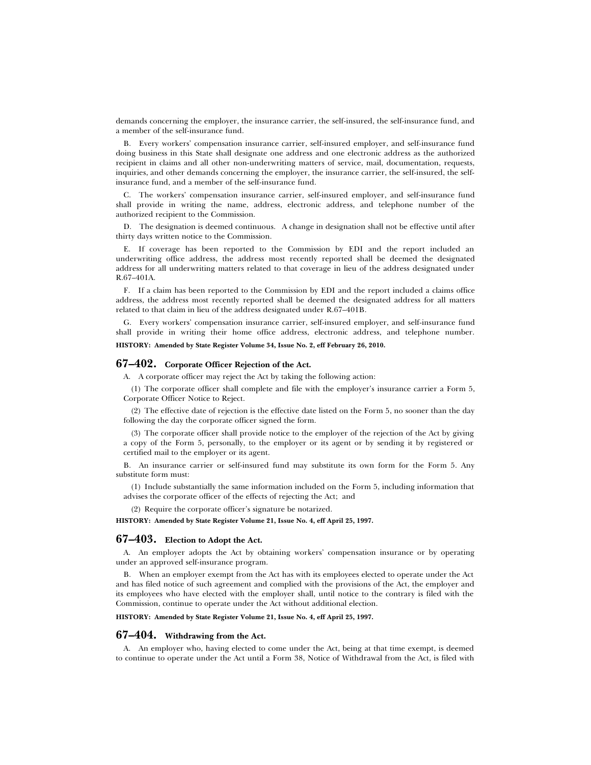demands concerning the employer, the insurance carrier, the self-insured, the self-insurance fund, and a member of the self-insurance fund.

B. Every workers' compensation insurance carrier, self-insured employer, and self-insurance fund doing business in this State shall designate one address and one electronic address as the authorized recipient in claims and all other non-underwriting matters of service, mail, documentation, requests, inquiries, and other demands concerning the employer, the insurance carrier, the self-insured, the selfinsurance fund, and a member of the self-insurance fund.

C. The workers' compensation insurance carrier, self-insured employer, and self-insurance fund shall provide in writing the name, address, electronic address, and telephone number of the authorized recipient to the Commission.

D. The designation is deemed continuous. A change in designation shall not be effective until after thirty days written notice to the Commission.

E. If coverage has been reported to the Commission by EDI and the report included an underwriting office address, the address most recently reported shall be deemed the designated address for all underwriting matters related to that coverage in lieu of the address designated under R.67–401A.

F. If a claim has been reported to the Commission by EDI and the report included a claims office address, the address most recently reported shall be deemed the designated address for all matters related to that claim in lieu of the address designated under R.67–401B.

G. Every workers' compensation insurance carrier, self-insured employer, and self-insurance fund shall provide in writing their home office address, electronic address, and telephone number.

**HISTORY: Amended by State Register Volume 34, Issue No. 2, eff February 26, 2010.**

#### **67–402. Corporate Officer Rejection of the Act.**

A. A corporate officer may reject the Act by taking the following action:

(1) The corporate officer shall complete and file with the employer's insurance carrier a Form 5, Corporate Officer Notice to Reject.

(2) The effective date of rejection is the effective date listed on the Form 5, no sooner than the day following the day the corporate officer signed the form.

(3) The corporate officer shall provide notice to the employer of the rejection of the Act by giving a copy of the Form 5, personally, to the employer or its agent or by sending it by registered or certified mail to the employer or its agent.

B. An insurance carrier or self-insured fund may substitute its own form for the Form 5. Any substitute form must:

(1) Include substantially the same information included on the Form 5, including information that advises the corporate officer of the effects of rejecting the Act; and

(2) Require the corporate officer's signature be notarized.

**HISTORY: Amended by State Register Volume 21, Issue No. 4, eff April 25, 1997.**

## **67–403. Election to Adopt the Act.**

A. An employer adopts the Act by obtaining workers' compensation insurance or by operating under an approved self-insurance program.

B. When an employer exempt from the Act has with its employees elected to operate under the Act and has filed notice of such agreement and complied with the provisions of the Act, the employer and its employees who have elected with the employer shall, until notice to the contrary is filed with the Commission, continue to operate under the Act without additional election.

**HISTORY: Amended by State Register Volume 21, Issue No. 4, eff April 25, 1997.**

## **67–404. Withdrawing from the Act.**

A. An employer who, having elected to come under the Act, being at that time exempt, is deemed to continue to operate under the Act until a Form 38, Notice of Withdrawal from the Act, is filed with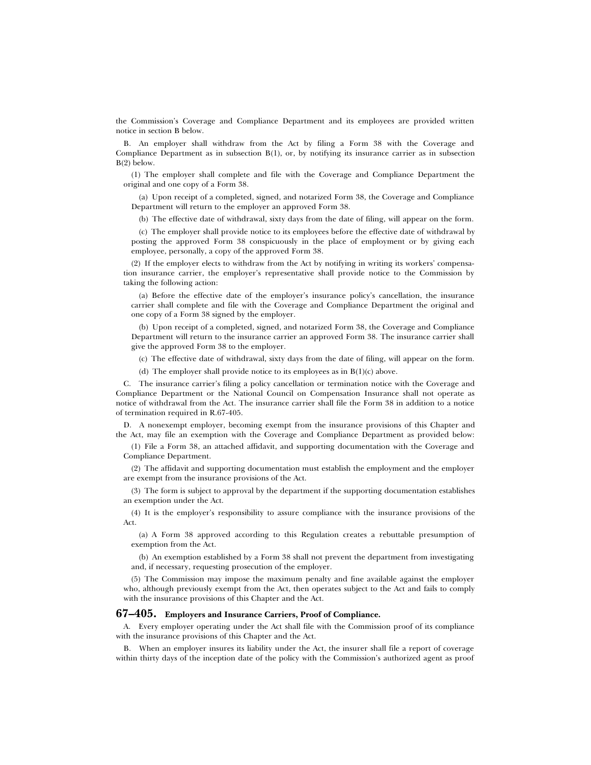the Commission's Coverage and Compliance Department and its employees are provided written notice in section B below.

B. An employer shall withdraw from the Act by filing a Form 38 with the Coverage and Compliance Department as in subsection B(1), or, by notifying its insurance carrier as in subsection B(2) below.

(1) The employer shall complete and file with the Coverage and Compliance Department the original and one copy of a Form 38.

(a) Upon receipt of a completed, signed, and notarized Form 38, the Coverage and Compliance Department will return to the employer an approved Form 38.

(b) The effective date of withdrawal, sixty days from the date of filing, will appear on the form.

(c) The employer shall provide notice to its employees before the effective date of withdrawal by posting the approved Form 38 conspicuously in the place of employment or by giving each employee, personally, a copy of the approved Form 38.

(2) If the employer elects to withdraw from the Act by notifying in writing its workers' compensation insurance carrier, the employer's representative shall provide notice to the Commission by taking the following action:

(a) Before the effective date of the employer's insurance policy's cancellation, the insurance carrier shall complete and file with the Coverage and Compliance Department the original and one copy of a Form 38 signed by the employer.

(b) Upon receipt of a completed, signed, and notarized Form 38, the Coverage and Compliance Department will return to the insurance carrier an approved Form 38. The insurance carrier shall give the approved Form 38 to the employer.

(c) The effective date of withdrawal, sixty days from the date of filing, will appear on the form.

(d) The employer shall provide notice to its employees as in  $B(1)(c)$  above.

C. The insurance carrier's filing a policy cancellation or termination notice with the Coverage and Compliance Department or the National Council on Compensation Insurance shall not operate as notice of withdrawal from the Act. The insurance carrier shall file the Form 38 in addition to a notice of termination required in R.67-405.

D. A nonexempt employer, becoming exempt from the insurance provisions of this Chapter and the Act, may file an exemption with the Coverage and Compliance Department as provided below:

(1) File a Form 38, an attached affidavit, and supporting documentation with the Coverage and Compliance Department.

(2) The affidavit and supporting documentation must establish the employment and the employer are exempt from the insurance provisions of the Act.

(3) The form is subject to approval by the department if the supporting documentation establishes an exemption under the Act.

(4) It is the employer's responsibility to assure compliance with the insurance provisions of the Act.

(a) A Form 38 approved according to this Regulation creates a rebuttable presumption of exemption from the Act.

(b) An exemption established by a Form 38 shall not prevent the department from investigating and, if necessary, requesting prosecution of the employer.

(5) The Commission may impose the maximum penalty and fine available against the employer who, although previously exempt from the Act, then operates subject to the Act and fails to comply with the insurance provisions of this Chapter and the Act.

#### **67–405. Employers and Insurance Carriers, Proof of Compliance.**

A. Every employer operating under the Act shall file with the Commission proof of its compliance with the insurance provisions of this Chapter and the Act.

B. When an employer insures its liability under the Act, the insurer shall file a report of coverage within thirty days of the inception date of the policy with the Commission's authorized agent as proof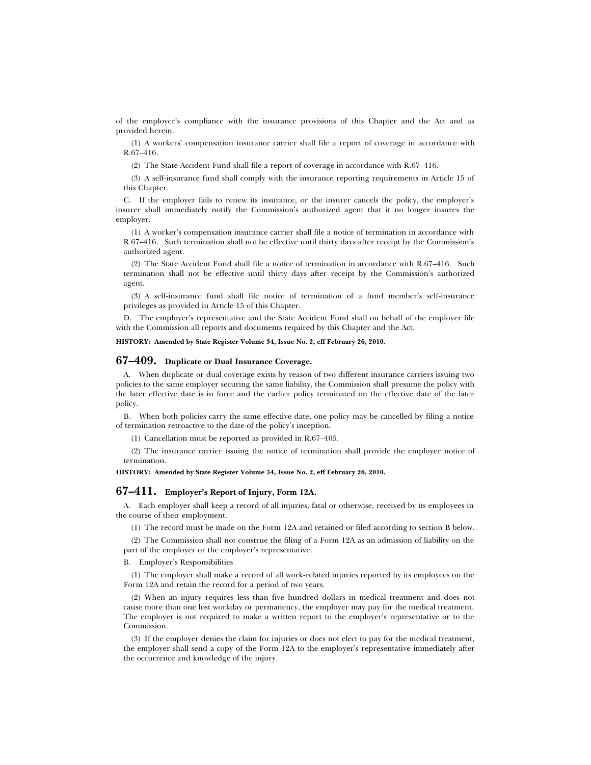of the employer's compliance with the insurance provisions of this Chapter and the Act and as provided herein.

(1) A workers' compensation insurance carrier shall file a report of coverage in accordance with R.67–416.

(2) The State Accident Fund shall file a report of coverage in accordance with R.67–416.

(3) A self-insurance fund shall comply with the insurance reporting requirements in Article 15 of this Chapter.

C. If the employer fails to renew its insurance, or the insurer cancels the policy, the employer's insurer shall immediately notify the Commission's authorized agent that it no longer insures the employer.

(1) A worker's compensation insurance carrier shall file a notice of termination in accordance with R.67–416. Such termination shall not be effective until thirty days after receipt by the Commission's authorized agent.

(2) The State Accident Fund shall file a notice of termination in accordance with R.67–416. Such termination shall not be effective until thirty days after receipt by the Commission's authorized agent.

(3) A self-insurance fund shall file notice of termination of a fund member's self-insurance privileges as provided in Article 15 of this Chapter.

D. The employer's representative and the State Accident Fund shall on behalf of the employer file with the Commission all reports and documents required by this Chapter and the Act.

**HISTORY: Amended by State Register Volume 34, Issue No. 2, eff February 26, 2010.**

## **67–409. Duplicate or Dual Insurance Coverage.**

A. When duplicate or dual coverage exists by reason of two different insurance carriers issuing two policies to the same employer securing the same liability, the Commission shall presume the policy with the later effective date is in force and the earlier policy terminated on the effective date of the later policy.

B. When both policies carry the same effective date, one policy may be cancelled by filing a notice of termination retroactive to the date of the policy's inception.

(1) Cancellation must be reported as provided in R.67–405.

(2) The insurance carrier issuing the notice of termination shall provide the employer notice of termination.

**HISTORY: Amended by State Register Volume 34, Issue No. 2, eff February 26, 2010.**

#### **67–411. Employer's Report of Injury, Form 12A.**

A. Each employer shall keep a record of all injuries, fatal or otherwise, received by its employees in the course of their employment.

(1) The record must be made on the Form 12A and retained or filed according to section B below.

(2) The Commission shall not construe the filing of a Form 12A as an admission of liability on the part of the employer or the employer's representative.

B. Employer's Responsibilities

(1) The employer shall make a record of all work-related injuries reported by its employees on the Form 12A and retain the record for a period of two years.

(2) When an injury requires less than five hundred dollars in medical treatment and does not cause more than one lost workday or permanency, the employer may pay for the medical treatment. The employer is not required to make a written report to the employer's representative or to the Commission.

(3) If the employer denies the claim for injuries or does not elect to pay for the medical treatment, the employer shall send a copy of the Form 12A to the employer's representative immediately after the occurrence and knowledge of the injury.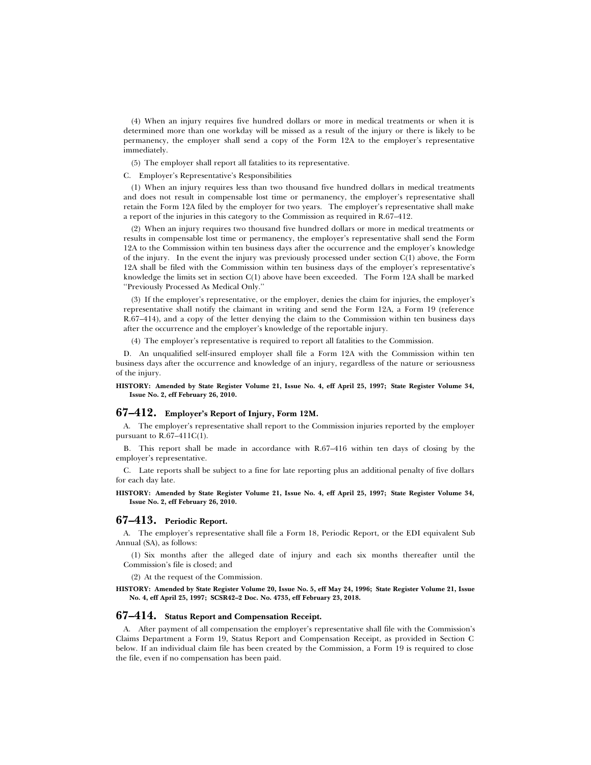(4) When an injury requires five hundred dollars or more in medical treatments or when it is determined more than one workday will be missed as a result of the injury or there is likely to be permanency, the employer shall send a copy of the Form 12A to the employer's representative immediately.

(5) The employer shall report all fatalities to its representative.

#### C. Employer's Representative's Responsibilities

(1) When an injury requires less than two thousand five hundred dollars in medical treatments and does not result in compensable lost time or permanency, the employer's representative shall retain the Form 12A filed by the employer for two years. The employer's representative shall make a report of the injuries in this category to the Commission as required in R.67–412.

(2) When an injury requires two thousand five hundred dollars or more in medical treatments or results in compensable lost time or permanency, the employer's representative shall send the Form 12A to the Commission within ten business days after the occurrence and the employer's knowledge of the injury. In the event the injury was previously processed under section C(1) above, the Form 12A shall be filed with the Commission within ten business days of the employer's representative's knowledge the limits set in section C(1) above have been exceeded. The Form 12A shall be marked ''Previously Processed As Medical Only.''

(3) If the employer's representative, or the employer, denies the claim for injuries, the employer's representative shall notify the claimant in writing and send the Form 12A, a Form 19 (reference R.67–414), and a copy of the letter denying the claim to the Commission within ten business days after the occurrence and the employer's knowledge of the reportable injury.

(4) The employer's representative is required to report all fatalities to the Commission.

D. An unqualified self-insured employer shall file a Form 12A with the Commission within ten business days after the occurrence and knowledge of an injury, regardless of the nature or seriousness of the injury.

**HISTORY: Amended by State Register Volume 21, Issue No. 4, eff April 25, 1997; State Register Volume 34, Issue No. 2, eff February 26, 2010.**

#### **67–412. Employer's Report of Injury, Form 12M.**

A. The employer's representative shall report to the Commission injuries reported by the employer pursuant to  $R.67-411C(1)$ .

B. This report shall be made in accordance with R.67–416 within ten days of closing by the employer's representative.

C. Late reports shall be subject to a fine for late reporting plus an additional penalty of five dollars for each day late.

**HISTORY: Amended by State Register Volume 21, Issue No. 4, eff April 25, 1997; State Register Volume 34, Issue No. 2, eff February 26, 2010.**

## **67–413. Periodic Report.**

A. The employer's representative shall file a Form 18, Periodic Report, or the EDI equivalent Sub Annual (SA), as follows:

(1) Six months after the alleged date of injury and each six months thereafter until the Commission's file is closed; and

(2) At the request of the Commission.

#### **HISTORY: Amended by State Register Volume 20, Issue No. 5, eff May 24, 1996; State Register Volume 21, Issue No. 4, eff April 25, 1997; SCSR42–2 Doc. No. 4735, eff February 23, 2018.**

#### **67–414. Status Report and Compensation Receipt.**

A. After payment of all compensation the employer's representative shall file with the Commission's Claims Department a Form 19, Status Report and Compensation Receipt, as provided in Section C below. If an individual claim file has been created by the Commission, a Form 19 is required to close the file, even if no compensation has been paid.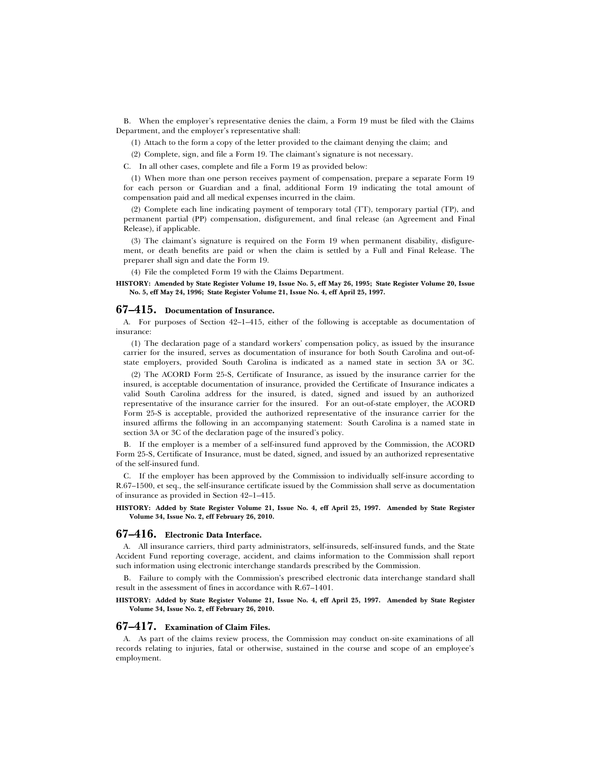B. When the employer's representative denies the claim, a Form 19 must be filed with the Claims Department, and the employer's representative shall:

(1) Attach to the form a copy of the letter provided to the claimant denying the claim; and

(2) Complete, sign, and file a Form 19. The claimant's signature is not necessary.

C. In all other cases, complete and file a Form 19 as provided below:

(1) When more than one person receives payment of compensation, prepare a separate Form 19 for each person or Guardian and a final, additional Form 19 indicating the total amount of compensation paid and all medical expenses incurred in the claim.

(2) Complete each line indicating payment of temporary total (TT), temporary partial (TP), and permanent partial (PP) compensation, disfigurement, and final release (an Agreement and Final Release), if applicable.

(3) The claimant's signature is required on the Form 19 when permanent disability, disfigurement, or death benefits are paid or when the claim is settled by a Full and Final Release. The preparer shall sign and date the Form 19.

(4) File the completed Form 19 with the Claims Department.

#### **HISTORY: Amended by State Register Volume 19, Issue No. 5, eff May 26, 1995; State Register Volume 20, Issue No. 5, eff May 24, 1996; State Register Volume 21, Issue No. 4, eff April 25, 1997.**

#### **67–415. Documentation of Insurance.**

A. For purposes of Section 42–1–415, either of the following is acceptable as documentation of insurance:

(1) The declaration page of a standard workers' compensation policy, as issued by the insurance carrier for the insured, serves as documentation of insurance for both South Carolina and out-ofstate employers, provided South Carolina is indicated as a named state in section 3A or 3C.

(2) The ACORD Form 25-S, Certificate of Insurance, as issued by the insurance carrier for the insured, is acceptable documentation of insurance, provided the Certificate of Insurance indicates a valid South Carolina address for the insured, is dated, signed and issued by an authorized representative of the insurance carrier for the insured. For an out-of-state employer, the ACORD Form 25-S is acceptable, provided the authorized representative of the insurance carrier for the insured affirms the following in an accompanying statement: South Carolina is a named state in section 3A or 3C of the declaration page of the insured's policy.

B. If the employer is a member of a self-insured fund approved by the Commission, the ACORD Form 25-S, Certificate of Insurance, must be dated, signed, and issued by an authorized representative of the self-insured fund.

C. If the employer has been approved by the Commission to individually self-insure according to R.67–1500, et seq., the self-insurance certificate issued by the Commission shall serve as documentation of insurance as provided in Section 42–1–415.

**HISTORY: Added by State Register Volume 21, Issue No. 4, eff April 25, 1997. Amended by State Register Volume 34, Issue No. 2, eff February 26, 2010.**

#### **67–416. Electronic Data Interface.**

A. All insurance carriers, third party administrators, self-insureds, self-insured funds, and the State Accident Fund reporting coverage, accident, and claims information to the Commission shall report such information using electronic interchange standards prescribed by the Commission.

B. Failure to comply with the Commission's prescribed electronic data interchange standard shall result in the assessment of fines in accordance with R.67–1401.

#### **HISTORY: Added by State Register Volume 21, Issue No. 4, eff April 25, 1997. Amended by State Register Volume 34, Issue No. 2, eff February 26, 2010.**

#### **67–417. Examination of Claim Files.**

A. As part of the claims review process, the Commission may conduct on-site examinations of all records relating to injuries, fatal or otherwise, sustained in the course and scope of an employee's employment.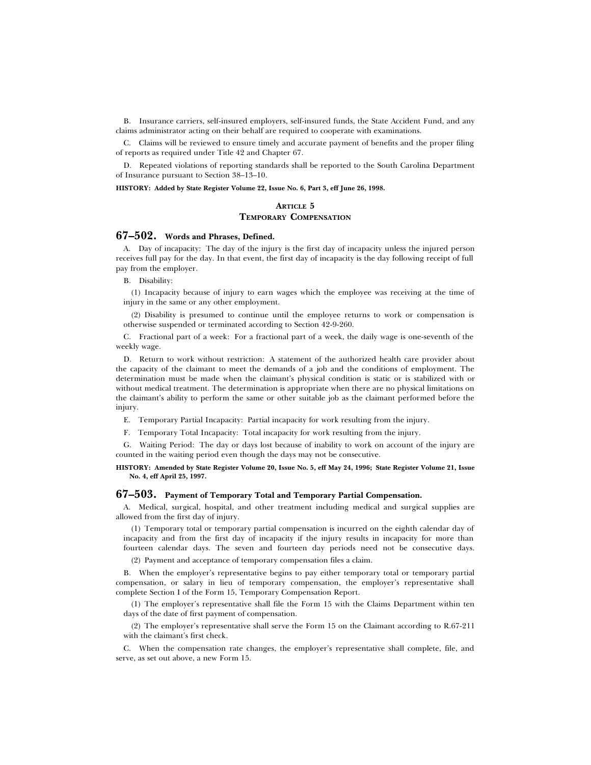B. Insurance carriers, self-insured employers, self-insured funds, the State Accident Fund, and any claims administrator acting on their behalf are required to cooperate with examinations.

C. Claims will be reviewed to ensure timely and accurate payment of benefits and the proper filing of reports as required under Title 42 and Chapter 67.

D. Repeated violations of reporting standards shall be reported to the South Carolina Department of Insurance pursuant to Section 38–13–10.

**HISTORY: Added by State Register Volume 22, Issue No. 6, Part 3, eff June 26, 1998.**

## **ARTICLE 5 TEMPORARY COMPENSATION**

## **67–502. Words and Phrases, Defined.**

A. Day of incapacity: The day of the injury is the first day of incapacity unless the injured person receives full pay for the day. In that event, the first day of incapacity is the day following receipt of full pay from the employer.

B. Disability:

(1) Incapacity because of injury to earn wages which the employee was receiving at the time of injury in the same or any other employment.

(2) Disability is presumed to continue until the employee returns to work or compensation is otherwise suspended or terminated according to Section 42-9-260.

C. Fractional part of a week: For a fractional part of a week, the daily wage is one-seventh of the weekly wage.

D. Return to work without restriction: A statement of the authorized health care provider about the capacity of the claimant to meet the demands of a job and the conditions of employment. The determination must be made when the claimant's physical condition is static or is stabilized with or without medical treatment. The determination is appropriate when there are no physical limitations on the claimant's ability to perform the same or other suitable job as the claimant performed before the injury.

E. Temporary Partial Incapacity: Partial incapacity for work resulting from the injury.

F. Temporary Total Incapacity: Total incapacity for work resulting from the injury.

G. Waiting Period: The day or days lost because of inability to work on account of the injury are counted in the waiting period even though the days may not be consecutive.

#### **HISTORY: Amended by State Register Volume 20, Issue No. 5, eff May 24, 1996; State Register Volume 21, Issue No. 4, eff April 25, 1997.**

## **67–503. Payment of Temporary Total and Temporary Partial Compensation.**

A. Medical, surgical, hospital, and other treatment including medical and surgical supplies are allowed from the first day of injury.

(1) Temporary total or temporary partial compensation is incurred on the eighth calendar day of incapacity and from the first day of incapacity if the injury results in incapacity for more than fourteen calendar days. The seven and fourteen day periods need not be consecutive days.

(2) Payment and acceptance of temporary compensation files a claim.

B. When the employer's representative begins to pay either temporary total or temporary partial compensation, or salary in lieu of temporary compensation, the employer's representative shall complete Section I of the Form 15, Temporary Compensation Report.

(1) The employer's representative shall file the Form 15 with the Claims Department within ten days of the date of first payment of compensation.

(2) The employer's representative shall serve the Form 15 on the Claimant according to R.67-211 with the claimant's first check.

C. When the compensation rate changes, the employer's representative shall complete, file, and serve, as set out above, a new Form 15.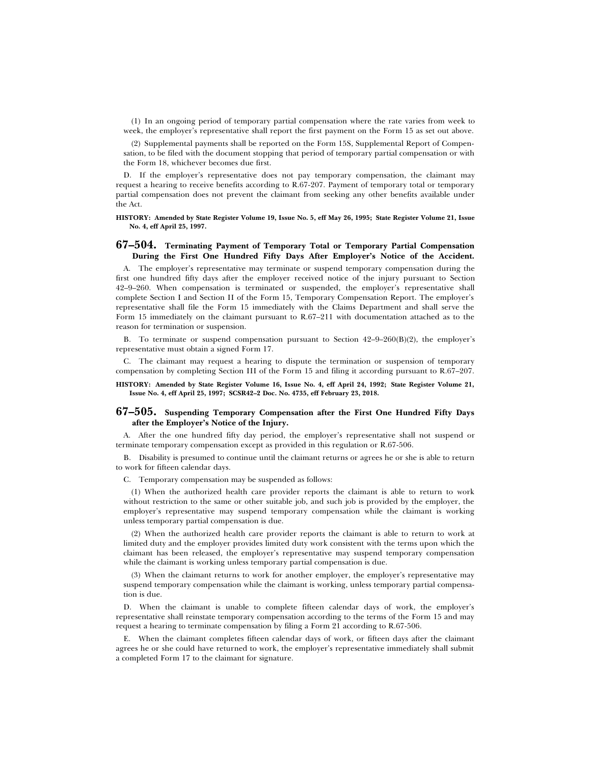(1) In an ongoing period of temporary partial compensation where the rate varies from week to week, the employer's representative shall report the first payment on the Form 15 as set out above.

(2) Supplemental payments shall be reported on the Form 15S, Supplemental Report of Compensation, to be filed with the document stopping that period of temporary partial compensation or with the Form 18, whichever becomes due first.

D. If the employer's representative does not pay temporary compensation, the claimant may request a hearing to receive benefits according to R.67-207. Payment of temporary total or temporary partial compensation does not prevent the claimant from seeking any other benefits available under the Act.

#### **HISTORY: Amended by State Register Volume 19, Issue No. 5, eff May 26, 1995; State Register Volume 21, Issue No. 4, eff April 25, 1997.**

#### **67–504. Terminating Payment of Temporary Total or Temporary Partial Compensation During the First One Hundred Fifty Days After Employer's Notice of the Accident.**

A. The employer's representative may terminate or suspend temporary compensation during the first one hundred fifty days after the employer received notice of the injury pursuant to Section 42–9–260. When compensation is terminated or suspended, the employer's representative shall complete Section I and Section II of the Form 15, Temporary Compensation Report. The employer's representative shall file the Form 15 immediately with the Claims Department and shall serve the Form 15 immediately on the claimant pursuant to R.67–211 with documentation attached as to the reason for termination or suspension.

B. To terminate or suspend compensation pursuant to Section  $42-9-260(B)(2)$ , the employer's representative must obtain a signed Form 17.

C. The claimant may request a hearing to dispute the termination or suspension of temporary compensation by completing Section III of the Form 15 and filing it according pursuant to R.67–207.

**HISTORY: Amended by State Register Volume 16, Issue No. 4, eff April 24, 1992; State Register Volume 21, Issue No. 4, eff April 25, 1997; SCSR42–2 Doc. No. 4735, eff February 23, 2018.**

#### **67–505. Suspending Temporary Compensation after the First One Hundred Fifty Days after the Employer's Notice of the Injury.**

A. After the one hundred fifty day period, the employer's representative shall not suspend or terminate temporary compensation except as provided in this regulation or R.67-506.

B. Disability is presumed to continue until the claimant returns or agrees he or she is able to return to work for fifteen calendar days.

C. Temporary compensation may be suspended as follows:

(1) When the authorized health care provider reports the claimant is able to return to work without restriction to the same or other suitable job, and such job is provided by the employer, the employer's representative may suspend temporary compensation while the claimant is working unless temporary partial compensation is due.

(2) When the authorized health care provider reports the claimant is able to return to work at limited duty and the employer provides limited duty work consistent with the terms upon which the claimant has been released, the employer's representative may suspend temporary compensation while the claimant is working unless temporary partial compensation is due.

(3) When the claimant returns to work for another employer, the employer's representative may suspend temporary compensation while the claimant is working, unless temporary partial compensation is due.

D. When the claimant is unable to complete fifteen calendar days of work, the employer's representative shall reinstate temporary compensation according to the terms of the Form 15 and may request a hearing to terminate compensation by filing a Form 21 according to R.67-506.

E. When the claimant completes fifteen calendar days of work, or fifteen days after the claimant agrees he or she could have returned to work, the employer's representative immediately shall submit a completed Form 17 to the claimant for signature.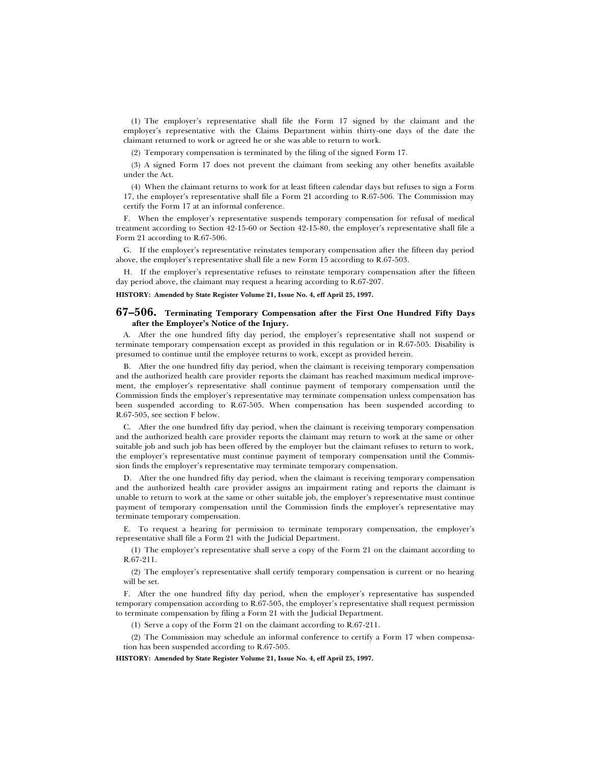(1) The employer's representative shall file the Form 17 signed by the claimant and the employer's representative with the Claims Department within thirty-one days of the date the claimant returned to work or agreed he or she was able to return to work.

(2) Temporary compensation is terminated by the filing of the signed Form 17.

(3) A signed Form 17 does not prevent the claimant from seeking any other benefits available under the Act.

(4) When the claimant returns to work for at least fifteen calendar days but refuses to sign a Form 17, the employer's representative shall file a Form 21 according to R.67-506. The Commission may certify the Form 17 at an informal conference.

F. When the employer's representative suspends temporary compensation for refusal of medical treatment according to Section 42-15-60 or Section 42-15-80, the employer's representative shall file a Form 21 according to R.67-506.

G. If the employer's representative reinstates temporary compensation after the fifteen day period above, the employer's representative shall file a new Form 15 according to R.67-503.

H. If the employer's representative refuses to reinstate temporary compensation after the fifteen day period above, the claimant may request a hearing according to R.67-207.

**HISTORY: Amended by State Register Volume 21, Issue No. 4, eff April 25, 1997.**

#### **67–506. Terminating Temporary Compensation after the First One Hundred Fifty Days after the Employer's Notice of the Injury.**

A. After the one hundred fifty day period, the employer's representative shall not suspend or terminate temporary compensation except as provided in this regulation or in R.67-505. Disability is presumed to continue until the employee returns to work, except as provided herein.

B. After the one hundred fifty day period, when the claimant is receiving temporary compensation and the authorized health care provider reports the claimant has reached maximum medical improvement, the employer's representative shall continue payment of temporary compensation until the Commission finds the employer's representative may terminate compensation unless compensation has been suspended according to R.67-505. When compensation has been suspended according to R.67-505, see section F below.

C. After the one hundred fifty day period, when the claimant is receiving temporary compensation and the authorized health care provider reports the claimant may return to work at the same or other suitable job and such job has been offered by the employer but the claimant refuses to return to work, the employer's representative must continue payment of temporary compensation until the Commission finds the employer's representative may terminate temporary compensation.

D. After the one hundred fifty day period, when the claimant is receiving temporary compensation and the authorized health care provider assigns an impairment rating and reports the claimant is unable to return to work at the same or other suitable job, the employer's representative must continue payment of temporary compensation until the Commission finds the employer's representative may terminate temporary compensation.

E. To request a hearing for permission to terminate temporary compensation, the employer's representative shall file a Form 21 with the Judicial Department.

(1) The employer's representative shall serve a copy of the Form 21 on the claimant according to R.67-211.

(2) The employer's representative shall certify temporary compensation is current or no hearing will be set.

F. After the one hundred fifty day period, when the employer's representative has suspended temporary compensation according to R.67-505, the employer's representative shall request permission to terminate compensation by filing a Form 21 with the Judicial Department.

(1) Serve a copy of the Form 21 on the claimant according to R.67-211.

(2) The Commission may schedule an informal conference to certify a Form 17 when compensation has been suspended according to R.67-505.

**HISTORY: Amended by State Register Volume 21, Issue No. 4, eff April 25, 1997.**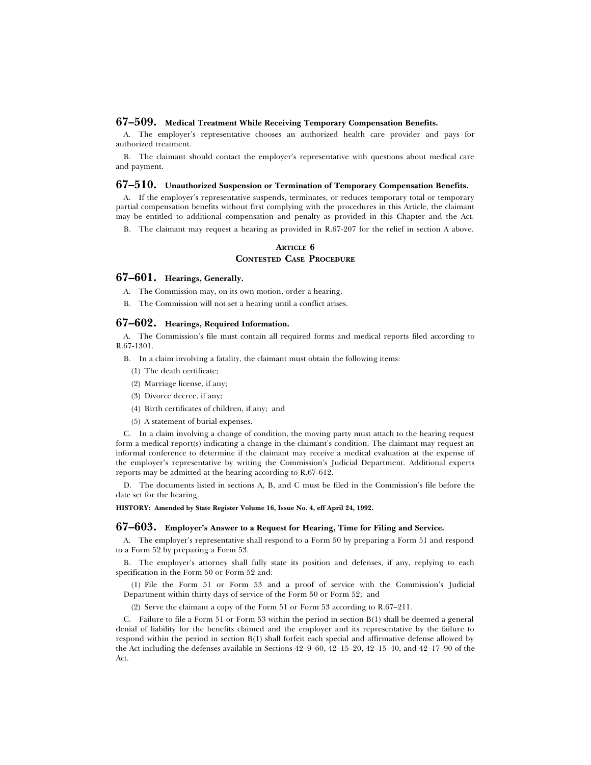## **67–509. Medical Treatment While Receiving Temporary Compensation Benefits.**

A. The employer's representative chooses an authorized health care provider and pays for authorized treatment.

B. The claimant should contact the employer's representative with questions about medical care and payment.

#### **67–510. Unauthorized Suspension or Termination of Temporary Compensation Benefits.**

A. If the employer's representative suspends, terminates, or reduces temporary total or temporary partial compensation benefits without first complying with the procedures in this Article, the claimant may be entitled to additional compensation and penalty as provided in this Chapter and the Act.

B. The claimant may request a hearing as provided in R.67-207 for the relief in section A above.

#### **ARTICLE 6 CONTESTED CASE PROCEDURE**

#### **67–601. Hearings, Generally.**

A. The Commission may, on its own motion, order a hearing.

B. The Commission will not set a hearing until a conflict arises.

#### **67–602. Hearings, Required Information.**

A. The Commission's file must contain all required forms and medical reports filed according to R.67-1301.

B. In a claim involving a fatality, the claimant must obtain the following items:

- (1) The death certificate;
- (2) Marriage license, if any;
- (3) Divorce decree, if any;
- (4) Birth certificates of children, if any; and
- (5) A statement of burial expenses.

C. In a claim involving a change of condition, the moving party must attach to the hearing request form a medical report(s) indicating a change in the claimant's condition. The claimant may request an informal conference to determine if the claimant may receive a medical evaluation at the expense of the employer's representative by writing the Commission's Judicial Department. Additional experts reports may be admitted at the hearing according to R.67-612.

D. The documents listed in sections A, B, and C must be filed in the Commission's file before the date set for the hearing.

**HISTORY: Amended by State Register Volume 16, Issue No. 4, eff April 24, 1992.**

#### **67–603. Employer's Answer to a Request for Hearing, Time for Filing and Service.**

A. The employer's representative shall respond to a Form 50 by preparing a Form 51 and respond to a Form 52 by preparing a Form 53.

B. The employer's attorney shall fully state its position and defenses, if any, replying to each specification in the Form 50 or Form 52 and:

(1) File the Form 51 or Form 53 and a proof of service with the Commission's Judicial Department within thirty days of service of the Form 50 or Form 52; and

(2) Serve the claimant a copy of the Form 51 or Form 53 according to R.67–211.

C. Failure to file a Form 51 or Form 53 within the period in section  $B(1)$  shall be deemed a general denial of liability for the benefits claimed and the employer and its representative by the failure to respond within the period in section B(1) shall forfeit each special and affirmative defense allowed by the Act including the defenses available in Sections 42–9–60, 42–15–20, 42–15–40, and 42–17–90 of the Act.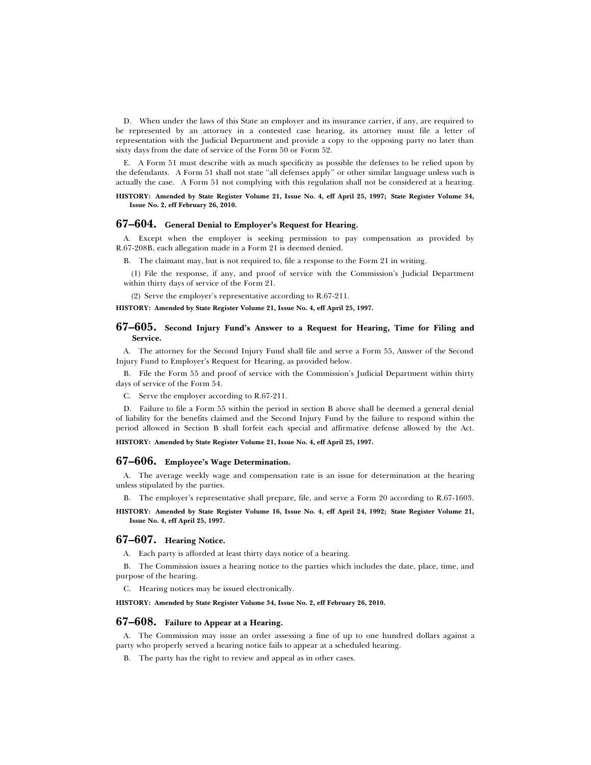D. When under the laws of this State an employer and its insurance carrier, if any, are required to be represented by an attorney in a contested case hearing, its attorney must file a letter of representation with the Judicial Department and provide a copy to the opposing party no later than sixty days from the date of service of the Form 50 or Form 52.

E. A Form 51 must describe with as much specificity as possible the defenses to be relied upon by the defendants. A Form 51 shall not state ''all defenses apply'' or other similar language unless such is actually the case. A Form 51 not complying with this regulation shall not be considered at a hearing.

**HISTORY: Amended by State Register Volume 21, Issue No. 4, eff April 25, 1997; State Register Volume 34, Issue No. 2, eff February 26, 2010.**

## **67–604. General Denial to Employer's Request for Hearing.**

A. Except when the employer is seeking permission to pay compensation as provided by R.67-208B, each allegation made in a Form 21 is deemed denied.

B. The claimant may, but is not required to, file a response to the Form 21 in writing.

(1) File the response, if any, and proof of service with the Commission's Judicial Department within thirty days of service of the Form 21.

(2) Serve the employer's representative according to R.67-211.

**HISTORY: Amended by State Register Volume 21, Issue No. 4, eff April 25, 1997.**

### **67–605. Second Injury Fund's Answer to a Request for Hearing, Time for Filing and Service.**

A. The attorney for the Second Injury Fund shall file and serve a Form 55, Answer of the Second Injury Fund to Employer's Request for Hearing, as provided below.

B. File the Form 55 and proof of service with the Commission's Judicial Department within thirty days of service of the Form 54.

C. Serve the employer according to R.67-211.

D. Failure to file a Form 55 within the period in section B above shall be deemed a general denial of liability for the benefits claimed and the Second Injury Fund by the failure to respond within the period allowed in Section B shall forfeit each special and affirmative defense allowed by the Act.

**HISTORY: Amended by State Register Volume 21, Issue No. 4, eff April 25, 1997.**

#### **67–606. Employee's Wage Determination.**

A. The average weekly wage and compensation rate is an issue for determination at the hearing unless stipulated by the parties.

B. The employer's representative shall prepare, file, and serve a Form 20 according to R.67-1603.

**HISTORY: Amended by State Register Volume 16, Issue No. 4, eff April 24, 1992; State Register Volume 21, Issue No. 4, eff April 25, 1997.**

#### **67–607. Hearing Notice.**

A. Each party is afforded at least thirty days notice of a hearing.

B. The Commission issues a hearing notice to the parties which includes the date, place, time, and purpose of the hearing.

C. Hearing notices may be issued electronically.

**HISTORY: Amended by State Register Volume 34, Issue No. 2, eff February 26, 2010.**

#### **67–608. Failure to Appear at a Hearing.**

A. The Commission may issue an order assessing a fine of up to one hundred dollars against a party who properly served a hearing notice fails to appear at a scheduled hearing.

B. The party has the right to review and appeal as in other cases.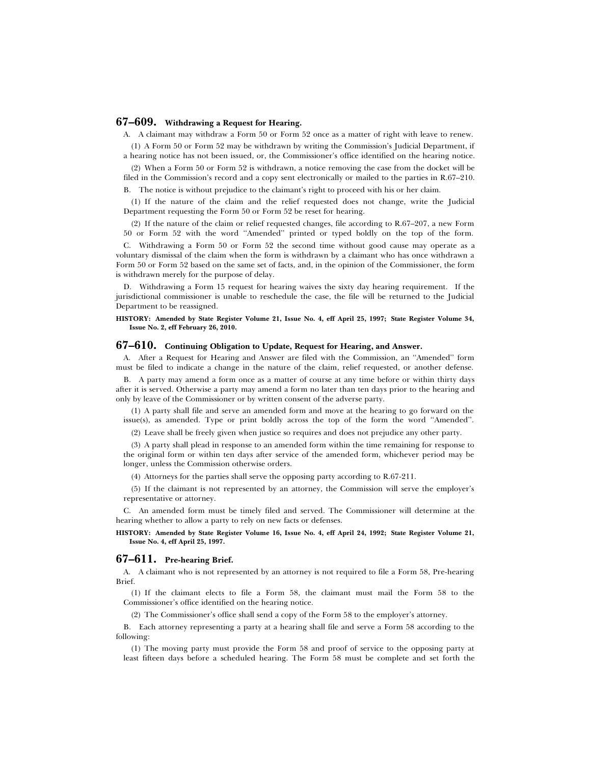## **67–609. Withdrawing a Request for Hearing.**

A. A claimant may withdraw a Form 50 or Form 52 once as a matter of right with leave to renew.

(1) A Form 50 or Form 52 may be withdrawn by writing the Commission's Judicial Department, if a hearing notice has not been issued, or, the Commissioner's office identified on the hearing notice.

(2) When a Form 50 or Form 52 is withdrawn, a notice removing the case from the docket will be filed in the Commission's record and a copy sent electronically or mailed to the parties in R.67–210.

B. The notice is without prejudice to the claimant's right to proceed with his or her claim.

(1) If the nature of the claim and the relief requested does not change, write the Judicial Department requesting the Form 50 or Form 52 be reset for hearing.

(2) If the nature of the claim or relief requested changes, file according to R.67–207, a new Form 50 or Form 52 with the word ''Amended'' printed or typed boldly on the top of the form.

C. Withdrawing a Form 50 or Form 52 the second time without good cause may operate as a voluntary dismissal of the claim when the form is withdrawn by a claimant who has once withdrawn a Form 50 or Form 52 based on the same set of facts, and, in the opinion of the Commissioner, the form is withdrawn merely for the purpose of delay.

D. Withdrawing a Form 15 request for hearing waives the sixty day hearing requirement. If the jurisdictional commissioner is unable to reschedule the case, the file will be returned to the Judicial Department to be reassigned.

**HISTORY: Amended by State Register Volume 21, Issue No. 4, eff April 25, 1997; State Register Volume 34, Issue No. 2, eff February 26, 2010.**

#### **67–610. Continuing Obligation to Update, Request for Hearing, and Answer.**

A. After a Request for Hearing and Answer are filed with the Commission, an ''Amended'' form must be filed to indicate a change in the nature of the claim, relief requested, or another defense.

B. A party may amend a form once as a matter of course at any time before or within thirty days after it is served. Otherwise a party may amend a form no later than ten days prior to the hearing and only by leave of the Commissioner or by written consent of the adverse party.

(1) A party shall file and serve an amended form and move at the hearing to go forward on the issue(s), as amended. Type or print boldly across the top of the form the word ''Amended''.

(2) Leave shall be freely given when justice so requires and does not prejudice any other party.

(3) A party shall plead in response to an amended form within the time remaining for response to the original form or within ten days after service of the amended form, whichever period may be longer, unless the Commission otherwise orders.

(4) Attorneys for the parties shall serve the opposing party according to R.67-211.

(5) If the claimant is not represented by an attorney, the Commission will serve the employer's representative or attorney.

C. An amended form must be timely filed and served. The Commissioner will determine at the hearing whether to allow a party to rely on new facts or defenses.

**HISTORY: Amended by State Register Volume 16, Issue No. 4, eff April 24, 1992; State Register Volume 21, Issue No. 4, eff April 25, 1997.**

#### **67–611. Pre-hearing Brief.**

A. A claimant who is not represented by an attorney is not required to file a Form 58, Pre-hearing Brief.

(1) If the claimant elects to file a Form 58, the claimant must mail the Form 58 to the Commissioner's office identified on the hearing notice.

(2) The Commissioner's office shall send a copy of the Form 58 to the employer's attorney.

B. Each attorney representing a party at a hearing shall file and serve a Form 58 according to the following:

(1) The moving party must provide the Form 58 and proof of service to the opposing party at least fifteen days before a scheduled hearing. The Form 58 must be complete and set forth the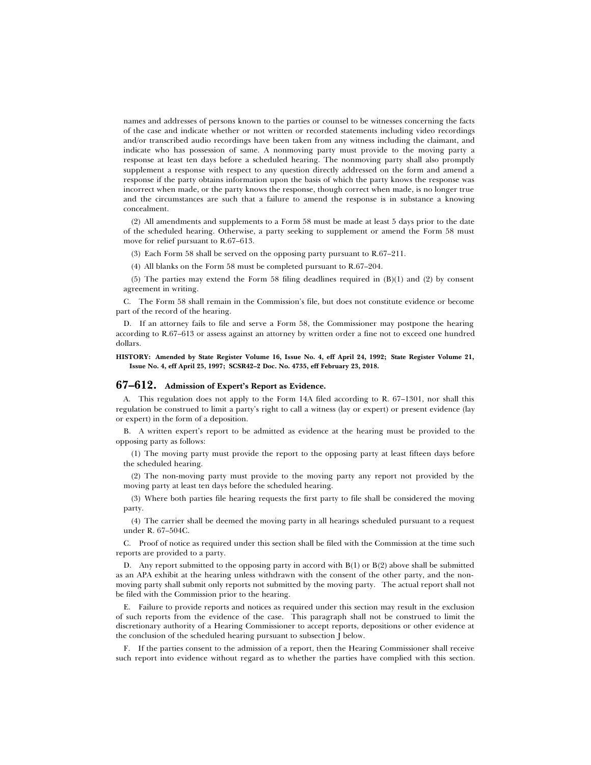names and addresses of persons known to the parties or counsel to be witnesses concerning the facts of the case and indicate whether or not written or recorded statements including video recordings and/or transcribed audio recordings have been taken from any witness including the claimant, and indicate who has possession of same. A nonmoving party must provide to the moving party a response at least ten days before a scheduled hearing. The nonmoving party shall also promptly supplement a response with respect to any question directly addressed on the form and amend a response if the party obtains information upon the basis of which the party knows the response was incorrect when made, or the party knows the response, though correct when made, is no longer true and the circumstances are such that a failure to amend the response is in substance a knowing concealment.

(2) All amendments and supplements to a Form 58 must be made at least 5 days prior to the date of the scheduled hearing. Otherwise, a party seeking to supplement or amend the Form 58 must move for relief pursuant to R.67–613.

(3) Each Form 58 shall be served on the opposing party pursuant to R.67–211.

(4) All blanks on the Form 58 must be completed pursuant to R.67–204.

(5) The parties may extend the Form 58 filing deadlines required in (B)(1) and (2) by consent agreement in writing.

C. The Form 58 shall remain in the Commission's file, but does not constitute evidence or become part of the record of the hearing.

D. If an attorney fails to file and serve a Form 58, the Commissioner may postpone the hearing according to R.67–613 or assess against an attorney by written order a fine not to exceed one hundred dollars.

#### **HISTORY: Amended by State Register Volume 16, Issue No. 4, eff April 24, 1992; State Register Volume 21, Issue No. 4, eff April 25, 1997; SCSR42–2 Doc. No. 4735, eff February 23, 2018.**

## **67–612. Admission of Expert's Report as Evidence.**

A. This regulation does not apply to the Form 14A filed according to R. 67–1301, nor shall this regulation be construed to limit a party's right to call a witness (lay or expert) or present evidence (lay or expert) in the form of a deposition.

B. A written expert's report to be admitted as evidence at the hearing must be provided to the opposing party as follows:

(1) The moving party must provide the report to the opposing party at least fifteen days before the scheduled hearing.

(2) The non-moving party must provide to the moving party any report not provided by the moving party at least ten days before the scheduled hearing.

(3) Where both parties file hearing requests the first party to file shall be considered the moving party.

(4) The carrier shall be deemed the moving party in all hearings scheduled pursuant to a request under R. 67–504C.

C. Proof of notice as required under this section shall be filed with the Commission at the time such reports are provided to a party.

D. Any report submitted to the opposing party in accord with  $B(1)$  or  $B(2)$  above shall be submitted as an APA exhibit at the hearing unless withdrawn with the consent of the other party, and the nonmoving party shall submit only reports not submitted by the moving party. The actual report shall not be filed with the Commission prior to the hearing.

E. Failure to provide reports and notices as required under this section may result in the exclusion of such reports from the evidence of the case. This paragraph shall not be construed to limit the discretionary authority of a Hearing Commissioner to accept reports, depositions or other evidence at the conclusion of the scheduled hearing pursuant to subsection J below.

F. If the parties consent to the admission of a report, then the Hearing Commissioner shall receive such report into evidence without regard as to whether the parties have complied with this section.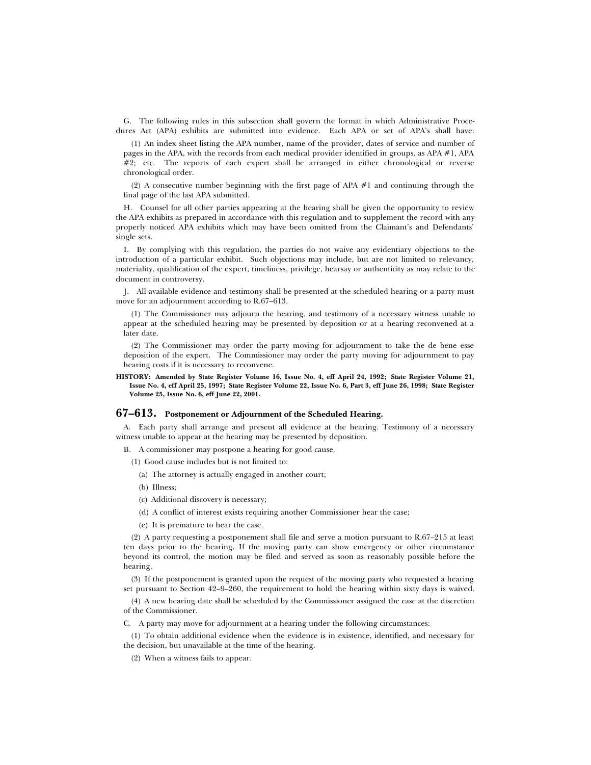G. The following rules in this subsection shall govern the format in which Administrative Procedures Act (APA) exhibits are submitted into evidence. Each APA or set of APA's shall have:

(1) An index sheet listing the APA number, name of the provider, dates of service and number of pages in the APA, with the records from each medical provider identified in groups, as APA #1, APA  $#2$ ; etc. The reports of each expert shall be arranged in either chronological or reverse chronological order.

(2) A consecutive number beginning with the first page of APA #1 and continuing through the final page of the last APA submitted.

H. Counsel for all other parties appearing at the hearing shall be given the opportunity to review the APA exhibits as prepared in accordance with this regulation and to supplement the record with any properly noticed APA exhibits which may have been omitted from the Claimant's and Defendants' single sets.

I. By complying with this regulation, the parties do not waive any evidentiary objections to the introduction of a particular exhibit. Such objections may include, but are not limited to relevancy, materiality, qualification of the expert, timeliness, privilege, hearsay or authenticity as may relate to the document in controversy.

J. All available evidence and testimony shall be presented at the scheduled hearing or a party must move for an adjournment according to R.67–613.

(1) The Commissioner may adjourn the hearing, and testimony of a necessary witness unable to appear at the scheduled hearing may be presented by deposition or at a hearing reconvened at a later date.

(2) The Commissioner may order the party moving for adjournment to take the de bene esse deposition of the expert. The Commissioner may order the party moving for adjournment to pay hearing costs if it is necessary to reconvene.

**HISTORY: Amended by State Register Volume 16, Issue No. 4, eff April 24, 1992; State Register Volume 21, Issue No. 4, eff April 25, 1997; State Register Volume 22, Issue No. 6, Part 3, eff June 26, 1998; State Register Volume 25, Issue No. 6, eff June 22, 2001.**

## **67–613. Postponement or Adjournment of the Scheduled Hearing.**

A. Each party shall arrange and present all evidence at the hearing. Testimony of a necessary witness unable to appear at the hearing may be presented by deposition.

B. A commissioner may postpone a hearing for good cause.

(1) Good cause includes but is not limited to:

(a) The attorney is actually engaged in another court;

(b) Illness;

- (c) Additional discovery is necessary;
- (d) A conflict of interest exists requiring another Commissioner hear the case;
- (e) It is premature to hear the case.

(2) A party requesting a postponement shall file and serve a motion pursuant to R.67–215 at least ten days prior to the hearing. If the moving party can show emergency or other circumstance beyond its control, the motion may be filed and served as soon as reasonably possible before the hearing.

(3) If the postponement is granted upon the request of the moving party who requested a hearing set pursuant to Section 42–9–260, the requirement to hold the hearing within sixty days is waived.

(4) A new hearing date shall be scheduled by the Commissioner assigned the case at the discretion of the Commissioner.

C. A party may move for adjournment at a hearing under the following circumstances:

(1) To obtain additional evidence when the evidence is in existence, identified, and necessary for the decision, but unavailable at the time of the hearing.

(2) When a witness fails to appear.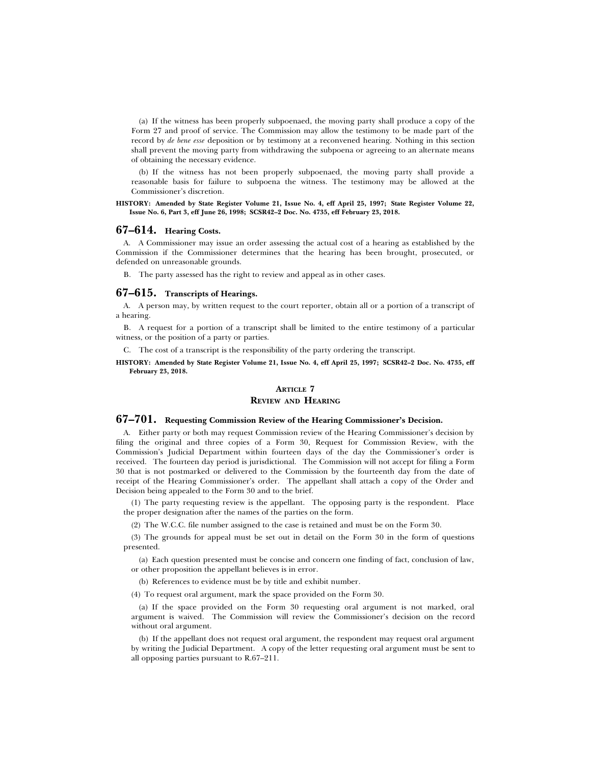(a) If the witness has been properly subpoenaed, the moving party shall produce a copy of the Form 27 and proof of service. The Commission may allow the testimony to be made part of the record by *de bene esse* deposition or by testimony at a reconvened hearing. Nothing in this section shall prevent the moving party from withdrawing the subpoena or agreeing to an alternate means of obtaining the necessary evidence.

(b) If the witness has not been properly subpoenaed, the moving party shall provide a reasonable basis for failure to subpoena the witness. The testimony may be allowed at the Commissioner's discretion.

#### **HISTORY: Amended by State Register Volume 21, Issue No. 4, eff April 25, 1997; State Register Volume 22, Issue No. 6, Part 3, eff June 26, 1998; SCSR42–2 Doc. No. 4735, eff February 23, 2018.**

#### **67–614. Hearing Costs.**

A. A Commissioner may issue an order assessing the actual cost of a hearing as established by the Commission if the Commissioner determines that the hearing has been brought, prosecuted, or defended on unreasonable grounds.

B. The party assessed has the right to review and appeal as in other cases.

#### **67–615. Transcripts of Hearings.**

A. A person may, by written request to the court reporter, obtain all or a portion of a transcript of a hearing.

B. A request for a portion of a transcript shall be limited to the entire testimony of a particular witness, or the position of a party or parties.

C. The cost of a transcript is the responsibility of the party ordering the transcript.

**HISTORY: Amended by State Register Volume 21, Issue No. 4, eff April 25, 1997; SCSR42–2 Doc. No. 4735, eff February 23, 2018.**

## **ARTICLE 7**

#### **REVIEW AND HEARING**

## **67–701. Requesting Commission Review of the Hearing Commissioner's Decision.**

A. Either party or both may request Commission review of the Hearing Commissioner's decision by filing the original and three copies of a Form 30, Request for Commission Review, with the Commission's Judicial Department within fourteen days of the day the Commissioner's order is received. The fourteen day period is jurisdictional. The Commission will not accept for filing a Form 30 that is not postmarked or delivered to the Commission by the fourteenth day from the date of receipt of the Hearing Commissioner's order. The appellant shall attach a copy of the Order and Decision being appealed to the Form 30 and to the brief.

(1) The party requesting review is the appellant. The opposing party is the respondent. Place the proper designation after the names of the parties on the form.

(2) The W.C.C. file number assigned to the case is retained and must be on the Form 30.

(3) The grounds for appeal must be set out in detail on the Form 30 in the form of questions presented.

(a) Each question presented must be concise and concern one finding of fact, conclusion of law, or other proposition the appellant believes is in error.

(b) References to evidence must be by title and exhibit number.

(4) To request oral argument, mark the space provided on the Form 30.

(a) If the space provided on the Form 30 requesting oral argument is not marked, oral argument is waived. The Commission will review the Commissioner's decision on the record without oral argument.

(b) If the appellant does not request oral argument, the respondent may request oral argument by writing the Judicial Department. A copy of the letter requesting oral argument must be sent to all opposing parties pursuant to R.67–211.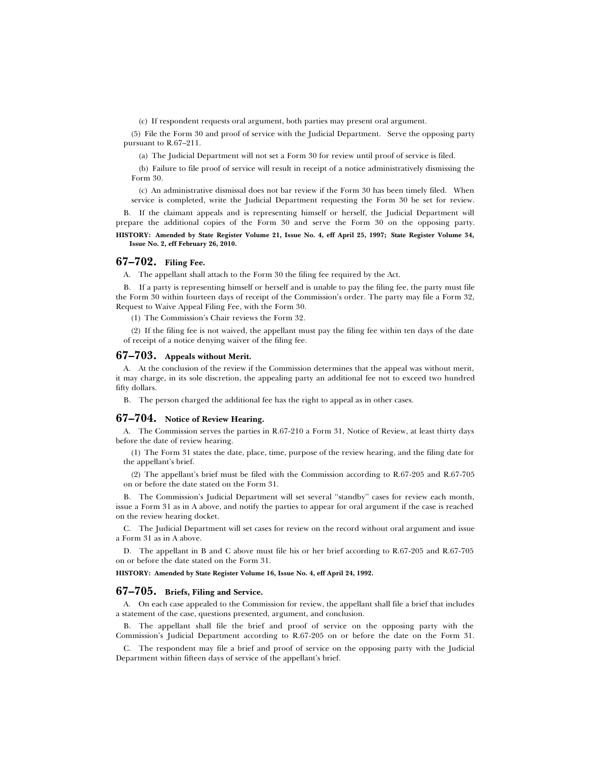(c) If respondent requests oral argument, both parties may present oral argument.

(5) File the Form 30 and proof of service with the Judicial Department. Serve the opposing party pursuant to R.67–211.

(a) The Judicial Department will not set a Form 30 for review until proof of service is filed.

(b) Failure to file proof of service will result in receipt of a notice administratively dismissing the Form 30.

(c) An administrative dismissal does not bar review if the Form 30 has been timely filed. When service is completed, write the Judicial Department requesting the Form 30 be set for review.

B. If the claimant appeals and is representing himself or herself, the Judicial Department will prepare the additional copies of the Form 30 and serve the Form 30 on the opposing party.

**HISTORY: Amended by State Register Volume 21, Issue No. 4, eff April 25, 1997; State Register Volume 34, Issue No. 2, eff February 26, 2010.**

## **67–702. Filing Fee.**

A. The appellant shall attach to the Form 30 the filing fee required by the Act.

B. If a party is representing himself or herself and is unable to pay the filing fee, the party must file the Form 30 within fourteen days of receipt of the Commission's order. The party may file a Form 32, Request to Waive Appeal Filing Fee, with the Form 30.

(1) The Commission's Chair reviews the Form 32.

(2) If the filing fee is not waived, the appellant must pay the filing fee within ten days of the date of receipt of a notice denying waiver of the filing fee.

## **67–703. Appeals without Merit.**

A. At the conclusion of the review if the Commission determines that the appeal was without merit, it may charge, in its sole discretion, the appealing party an additional fee not to exceed two hundred fifty dollars.

B. The person charged the additional fee has the right to appeal as in other cases.

## **67–704. Notice of Review Hearing.**

A. The Commission serves the parties in R.67-210 a Form 31, Notice of Review, at least thirty days before the date of review hearing.

(1) The Form 31 states the date, place, time, purpose of the review hearing, and the filing date for the appellant's brief.

(2) The appellant's brief must be filed with the Commission according to R.67-205 and R.67-705 on or before the date stated on the Form 31.

B. The Commission's Judicial Department will set several ''standby'' cases for review each month, issue a Form 31 as in A above, and notify the parties to appear for oral argument if the case is reached on the review hearing docket.

C. The Judicial Department will set cases for review on the record without oral argument and issue a Form 31 as in A above.

D. The appellant in B and C above must file his or her brief according to R.67-205 and R.67-705 on or before the date stated on the Form 31.

**HISTORY: Amended by State Register Volume 16, Issue No. 4, eff April 24, 1992.**

#### **67–705. Briefs, Filing and Service.**

A. On each case appealed to the Commission for review, the appellant shall file a brief that includes a statement of the case, questions presented, argument, and conclusion.

B. The appellant shall file the brief and proof of service on the opposing party with the Commission's Judicial Department according to R.67-205 on or before the date on the Form 31.

C. The respondent may file a brief and proof of service on the opposing party with the Judicial Department within fifteen days of service of the appellant's brief.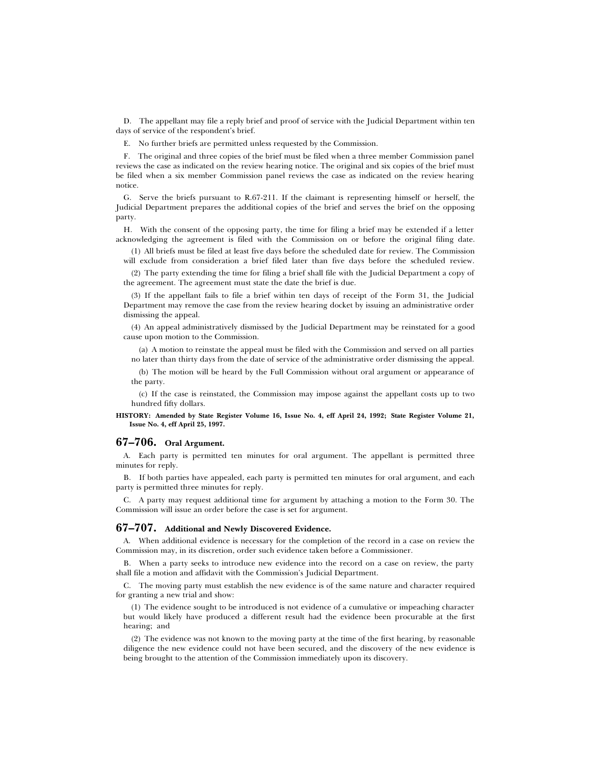D. The appellant may file a reply brief and proof of service with the Judicial Department within ten days of service of the respondent's brief.

E. No further briefs are permitted unless requested by the Commission.

F. The original and three copies of the brief must be filed when a three member Commission panel reviews the case as indicated on the review hearing notice. The original and six copies of the brief must be filed when a six member Commission panel reviews the case as indicated on the review hearing notice.

G. Serve the briefs pursuant to R.67-211. If the claimant is representing himself or herself, the Judicial Department prepares the additional copies of the brief and serves the brief on the opposing party.

H. With the consent of the opposing party, the time for filing a brief may be extended if a letter acknowledging the agreement is filed with the Commission on or before the original filing date.

(1) All briefs must be filed at least five days before the scheduled date for review. The Commission will exclude from consideration a brief filed later than five days before the scheduled review.

(2) The party extending the time for filing a brief shall file with the Judicial Department a copy of the agreement. The agreement must state the date the brief is due.

(3) If the appellant fails to file a brief within ten days of receipt of the Form 31, the Judicial Department may remove the case from the review hearing docket by issuing an administrative order dismissing the appeal.

(4) An appeal administratively dismissed by the Judicial Department may be reinstated for a good cause upon motion to the Commission.

(a) A motion to reinstate the appeal must be filed with the Commission and served on all parties no later than thirty days from the date of service of the administrative order dismissing the appeal.

(b) The motion will be heard by the Full Commission without oral argument or appearance of the party.

(c) If the case is reinstated, the Commission may impose against the appellant costs up to two hundred fifty dollars.

**HISTORY: Amended by State Register Volume 16, Issue No. 4, eff April 24, 1992; State Register Volume 21, Issue No. 4, eff April 25, 1997.**

## **67–706. Oral Argument.**

A. Each party is permitted ten minutes for oral argument. The appellant is permitted three minutes for reply.

B. If both parties have appealed, each party is permitted ten minutes for oral argument, and each party is permitted three minutes for reply.

C. A party may request additional time for argument by attaching a motion to the Form 30. The Commission will issue an order before the case is set for argument.

#### **67–707. Additional and Newly Discovered Evidence.**

A. When additional evidence is necessary for the completion of the record in a case on review the Commission may, in its discretion, order such evidence taken before a Commissioner.

B. When a party seeks to introduce new evidence into the record on a case on review, the party shall file a motion and affidavit with the Commission's Judicial Department.

C. The moving party must establish the new evidence is of the same nature and character required for granting a new trial and show:

(1) The evidence sought to be introduced is not evidence of a cumulative or impeaching character but would likely have produced a different result had the evidence been procurable at the first hearing; and

(2) The evidence was not known to the moving party at the time of the first hearing, by reasonable diligence the new evidence could not have been secured, and the discovery of the new evidence is being brought to the attention of the Commission immediately upon its discovery.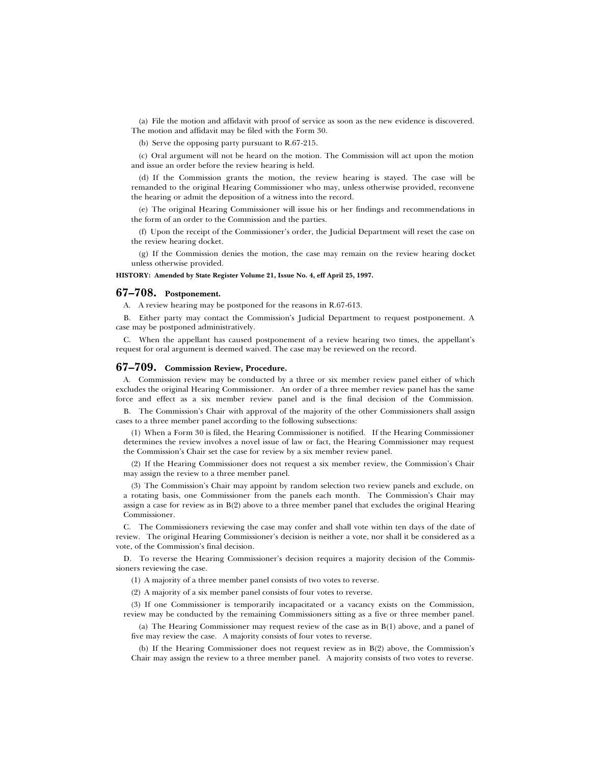(a) File the motion and affidavit with proof of service as soon as the new evidence is discovered. The motion and affidavit may be filed with the Form 30.

(b) Serve the opposing party pursuant to R.67-215.

(c) Oral argument will not be heard on the motion. The Commission will act upon the motion and issue an order before the review hearing is held.

(d) If the Commission grants the motion, the review hearing is stayed. The case will be remanded to the original Hearing Commissioner who may, unless otherwise provided, reconvene the hearing or admit the deposition of a witness into the record.

(e) The original Hearing Commissioner will issue his or her findings and recommendations in the form of an order to the Commission and the parties.

(f) Upon the receipt of the Commissioner's order, the Judicial Department will reset the case on the review hearing docket.

(g) If the Commission denies the motion, the case may remain on the review hearing docket unless otherwise provided.

#### **HISTORY: Amended by State Register Volume 21, Issue No. 4, eff April 25, 1997.**

## **67–708. Postponement.**

A. A review hearing may be postponed for the reasons in R.67-613.

B. Either party may contact the Commission's Judicial Department to request postponement. A case may be postponed administratively.

C. When the appellant has caused postponement of a review hearing two times, the appellant's request for oral argument is deemed waived. The case may be reviewed on the record.

#### **67–709. Commission Review, Procedure.**

A. Commission review may be conducted by a three or six member review panel either of which excludes the original Hearing Commissioner. An order of a three member review panel has the same force and effect as a six member review panel and is the final decision of the Commission.

B. The Commission's Chair with approval of the majority of the other Commissioners shall assign cases to a three member panel according to the following subsections:

(1) When a Form 30 is filed, the Hearing Commissioner is notified. If the Hearing Commissioner determines the review involves a novel issue of law or fact, the Hearing Commissioner may request the Commission's Chair set the case for review by a six member review panel.

(2) If the Hearing Commissioner does not request a six member review, the Commission's Chair may assign the review to a three member panel.

(3) The Commission's Chair may appoint by random selection two review panels and exclude, on a rotating basis, one Commissioner from the panels each month. The Commission's Chair may assign a case for review as in B(2) above to a three member panel that excludes the original Hearing Commissioner.

C. The Commissioners reviewing the case may confer and shall vote within ten days of the date of review. The original Hearing Commissioner's decision is neither a vote, nor shall it be considered as a vote, of the Commission's final decision.

D. To reverse the Hearing Commissioner's decision requires a majority decision of the Commissioners reviewing the case.

(1) A majority of a three member panel consists of two votes to reverse.

(2) A majority of a six member panel consists of four votes to reverse.

(3) If one Commissioner is temporarily incapacitated or a vacancy exists on the Commission, review may be conducted by the remaining Commissioners sitting as a five or three member panel.

(a) The Hearing Commissioner may request review of the case as in B(1) above, and a panel of five may review the case. A majority consists of four votes to reverse.

(b) If the Hearing Commissioner does not request review as in B(2) above, the Commission's Chair may assign the review to a three member panel. A majority consists of two votes to reverse.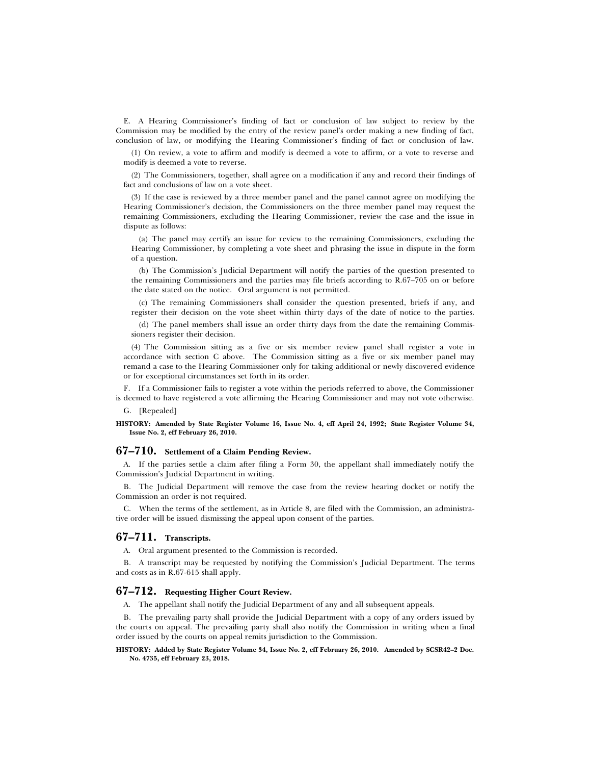E. A Hearing Commissioner's finding of fact or conclusion of law subject to review by the Commission may be modified by the entry of the review panel's order making a new finding of fact, conclusion of law, or modifying the Hearing Commissioner's finding of fact or conclusion of law.

(1) On review, a vote to affirm and modify is deemed a vote to affirm, or a vote to reverse and modify is deemed a vote to reverse.

(2) The Commissioners, together, shall agree on a modification if any and record their findings of fact and conclusions of law on a vote sheet.

(3) If the case is reviewed by a three member panel and the panel cannot agree on modifying the Hearing Commissioner's decision, the Commissioners on the three member panel may request the remaining Commissioners, excluding the Hearing Commissioner, review the case and the issue in dispute as follows:

(a) The panel may certify an issue for review to the remaining Commissioners, excluding the Hearing Commissioner, by completing a vote sheet and phrasing the issue in dispute in the form of a question.

(b) The Commission's Judicial Department will notify the parties of the question presented to the remaining Commissioners and the parties may file briefs according to R.67–705 on or before the date stated on the notice. Oral argument is not permitted.

(c) The remaining Commissioners shall consider the question presented, briefs if any, and register their decision on the vote sheet within thirty days of the date of notice to the parties.

(d) The panel members shall issue an order thirty days from the date the remaining Commissioners register their decision.

(4) The Commission sitting as a five or six member review panel shall register a vote in accordance with section C above. The Commission sitting as a five or six member panel may remand a case to the Hearing Commissioner only for taking additional or newly discovered evidence or for exceptional circumstances set forth in its order.

F. If a Commissioner fails to register a vote within the periods referred to above, the Commissioner is deemed to have registered a vote affirming the Hearing Commissioner and may not vote otherwise.

G. [Repealed]

**HISTORY: Amended by State Register Volume 16, Issue No. 4, eff April 24, 1992; State Register Volume 34, Issue No. 2, eff February 26, 2010.**

## **67–710. Settlement of a Claim Pending Review.**

A. If the parties settle a claim after filing a Form 30, the appellant shall immediately notify the Commission's Judicial Department in writing.

B. The Judicial Department will remove the case from the review hearing docket or notify the Commission an order is not required.

C. When the terms of the settlement, as in Article 8, are filed with the Commission, an administrative order will be issued dismissing the appeal upon consent of the parties.

## **67–711. Transcripts.**

A. Oral argument presented to the Commission is recorded.

B. A transcript may be requested by notifying the Commission's Judicial Department. The terms and costs as in R.67-615 shall apply.

## **67–712. Requesting Higher Court Review.**

A. The appellant shall notify the Judicial Department of any and all subsequent appeals.

B. The prevailing party shall provide the Judicial Department with a copy of any orders issued by the courts on appeal. The prevailing party shall also notify the Commission in writing when a final order issued by the courts on appeal remits jurisdiction to the Commission.

**HISTORY: Added by State Register Volume 34, Issue No. 2, eff February 26, 2010. Amended by SCSR42–2 Doc. No. 4735, eff February 23, 2018.**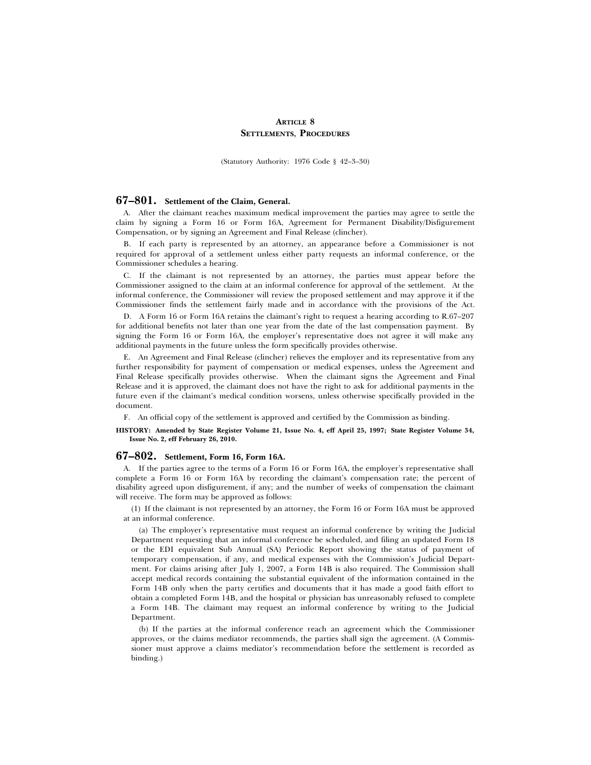## **ARTICLE 8 SETTLEMENTS, PROCEDURES**

(Statutory Authority: 1976 Code § 42–3–30)

## **67–801. Settlement of the Claim, General.**

A. After the claimant reaches maximum medical improvement the parties may agree to settle the claim by signing a Form 16 or Form 16A, Agreement for Permanent Disability/Disfigurement Compensation, or by signing an Agreement and Final Release (clincher).

B. If each party is represented by an attorney, an appearance before a Commissioner is not required for approval of a settlement unless either party requests an informal conference, or the Commissioner schedules a hearing.

C. If the claimant is not represented by an attorney, the parties must appear before the Commissioner assigned to the claim at an informal conference for approval of the settlement. At the informal conference, the Commissioner will review the proposed settlement and may approve it if the Commissioner finds the settlement fairly made and in accordance with the provisions of the Act.

D. A Form 16 or Form 16A retains the claimant's right to request a hearing according to R.67–207 for additional benefits not later than one year from the date of the last compensation payment. By signing the Form 16 or Form 16A, the employer's representative does not agree it will make any additional payments in the future unless the form specifically provides otherwise.

E. An Agreement and Final Release (clincher) relieves the employer and its representative from any further responsibility for payment of compensation or medical expenses, unless the Agreement and Final Release specifically provides otherwise. When the claimant signs the Agreement and Final Release and it is approved, the claimant does not have the right to ask for additional payments in the future even if the claimant's medical condition worsens, unless otherwise specifically provided in the document.

F. An official copy of the settlement is approved and certified by the Commission as binding.

#### **HISTORY: Amended by State Register Volume 21, Issue No. 4, eff April 25, 1997; State Register Volume 34, Issue No. 2, eff February 26, 2010.**

## **67–802. Settlement, Form 16, Form 16A.**

A. If the parties agree to the terms of a Form 16 or Form 16A, the employer's representative shall complete a Form 16 or Form 16A by recording the claimant's compensation rate; the percent of disability agreed upon disfigurement, if any; and the number of weeks of compensation the claimant will receive. The form may be approved as follows:

(1) If the claimant is not represented by an attorney, the Form 16 or Form 16A must be approved at an informal conference.

(a) The employer's representative must request an informal conference by writing the Judicial Department requesting that an informal conference be scheduled, and filing an updated Form 18 or the EDI equivalent Sub Annual (SA) Periodic Report showing the status of payment of temporary compensation, if any, and medical expenses with the Commission's Judicial Department. For claims arising after July 1, 2007, a Form 14B is also required. The Commission shall accept medical records containing the substantial equivalent of the information contained in the Form 14B only when the party certifies and documents that it has made a good faith effort to obtain a completed Form 14B, and the hospital or physician has unreasonably refused to complete a Form 14B. The claimant may request an informal conference by writing to the Judicial Department.

(b) If the parties at the informal conference reach an agreement which the Commissioner approves, or the claims mediator recommends, the parties shall sign the agreement. (A Commissioner must approve a claims mediator's recommendation before the settlement is recorded as binding.)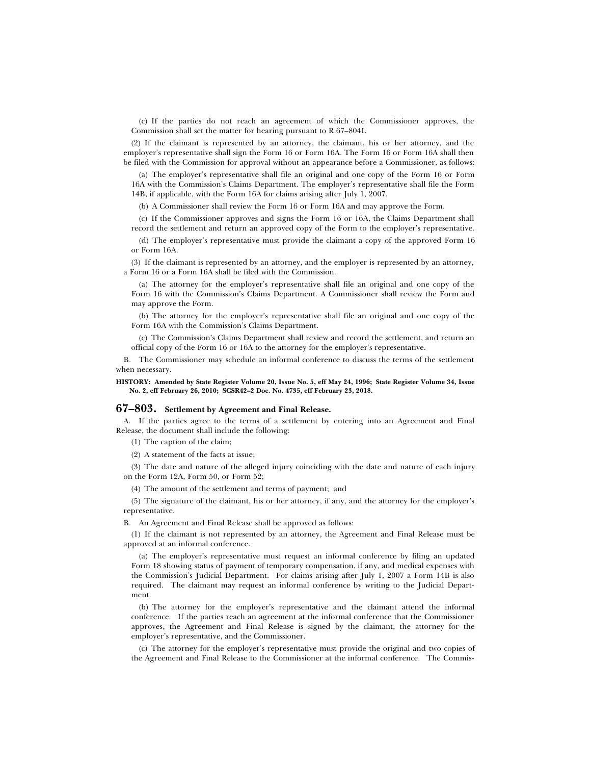(c) If the parties do not reach an agreement of which the Commissioner approves, the Commission shall set the matter for hearing pursuant to R.67–804I.

(2) If the claimant is represented by an attorney, the claimant, his or her attorney, and the employer's representative shall sign the Form 16 or Form 16A. The Form 16 or Form 16A shall then be filed with the Commission for approval without an appearance before a Commissioner, as follows:

(a) The employer's representative shall file an original and one copy of the Form 16 or Form 16A with the Commission's Claims Department. The employer's representative shall file the Form 14B, if applicable, with the Form 16A for claims arising after July 1, 2007.

(b) A Commissioner shall review the Form 16 or Form 16A and may approve the Form.

(c) If the Commissioner approves and signs the Form 16 or 16A, the Claims Department shall record the settlement and return an approved copy of the Form to the employer's representative.

(d) The employer's representative must provide the claimant a copy of the approved Form 16 or Form 16A.

(3) If the claimant is represented by an attorney, and the employer is represented by an attorney, a Form 16 or a Form 16A shall be filed with the Commission.

(a) The attorney for the employer's representative shall file an original and one copy of the Form 16 with the Commission's Claims Department. A Commissioner shall review the Form and may approve the Form.

(b) The attorney for the employer's representative shall file an original and one copy of the Form 16A with the Commission's Claims Department.

(c) The Commission's Claims Department shall review and record the settlement, and return an official copy of the Form 16 or 16A to the attorney for the employer's representative.

B. The Commissioner may schedule an informal conference to discuss the terms of the settlement when necessary.

**HISTORY: Amended by State Register Volume 20, Issue No. 5, eff May 24, 1996; State Register Volume 34, Issue No. 2, eff February 26, 2010; SCSR42–2 Doc. No. 4735, eff February 23, 2018.**

## **67–803. Settlement by Agreement and Final Release.**

A. If the parties agree to the terms of a settlement by entering into an Agreement and Final Release, the document shall include the following:

(1) The caption of the claim;

(2) A statement of the facts at issue;

(3) The date and nature of the alleged injury coinciding with the date and nature of each injury on the Form 12A, Form 50, or Form 52;

(4) The amount of the settlement and terms of payment; and

(5) The signature of the claimant, his or her attorney, if any, and the attorney for the employer's representative.

B. An Agreement and Final Release shall be approved as follows:

(1) If the claimant is not represented by an attorney, the Agreement and Final Release must be approved at an informal conference.

(a) The employer's representative must request an informal conference by filing an updated Form 18 showing status of payment of temporary compensation, if any, and medical expenses with the Commission's Judicial Department. For claims arising after July 1, 2007 a Form 14B is also required. The claimant may request an informal conference by writing to the Judicial Department.

(b) The attorney for the employer's representative and the claimant attend the informal conference. If the parties reach an agreement at the informal conference that the Commissioner approves, the Agreement and Final Release is signed by the claimant, the attorney for the employer's representative, and the Commissioner.

(c) The attorney for the employer's representative must provide the original and two copies of the Agreement and Final Release to the Commissioner at the informal conference. The Commis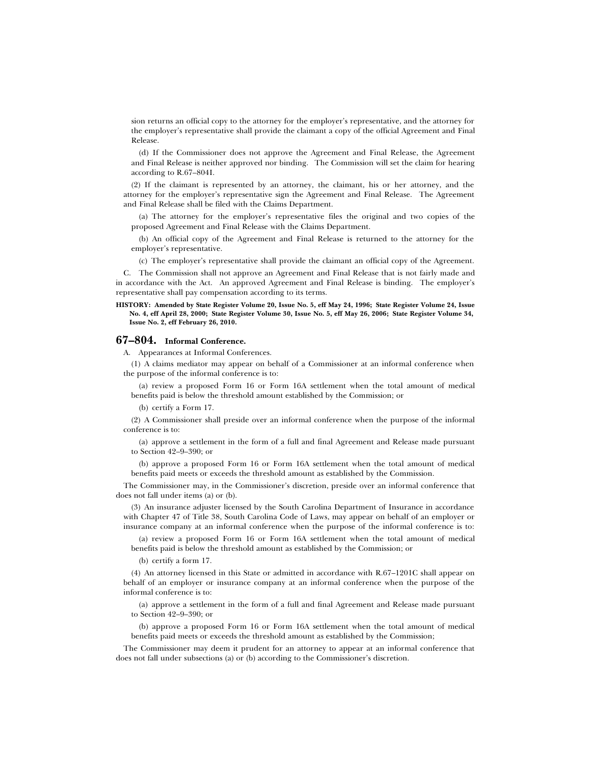sion returns an official copy to the attorney for the employer's representative, and the attorney for the employer's representative shall provide the claimant a copy of the official Agreement and Final Release.

(d) If the Commissioner does not approve the Agreement and Final Release, the Agreement and Final Release is neither approved nor binding. The Commission will set the claim for hearing according to R.67–804I.

(2) If the claimant is represented by an attorney, the claimant, his or her attorney, and the attorney for the employer's representative sign the Agreement and Final Release. The Agreement and Final Release shall be filed with the Claims Department.

(a) The attorney for the employer's representative files the original and two copies of the proposed Agreement and Final Release with the Claims Department.

(b) An official copy of the Agreement and Final Release is returned to the attorney for the employer's representative.

(c) The employer's representative shall provide the claimant an official copy of the Agreement.

C. The Commission shall not approve an Agreement and Final Release that is not fairly made and in accordance with the Act. An approved Agreement and Final Release is binding. The employer's representative shall pay compensation according to its terms.

#### **HISTORY: Amended by State Register Volume 20, Issue No. 5, eff May 24, 1996; State Register Volume 24, Issue No. 4, eff April 28, 2000; State Register Volume 30, Issue No. 5, eff May 26, 2006; State Register Volume 34, Issue No. 2, eff February 26, 2010.**

## **67–804. Informal Conference.**

A. Appearances at Informal Conferences.

(1) A claims mediator may appear on behalf of a Commissioner at an informal conference when the purpose of the informal conference is to:

(a) review a proposed Form 16 or Form 16A settlement when the total amount of medical benefits paid is below the threshold amount established by the Commission; or

(b) certify a Form 17.

(2) A Commissioner shall preside over an informal conference when the purpose of the informal conference is to:

(a) approve a settlement in the form of a full and final Agreement and Release made pursuant to Section 42–9–390; or

(b) approve a proposed Form 16 or Form 16A settlement when the total amount of medical benefits paid meets or exceeds the threshold amount as established by the Commission.

The Commissioner may, in the Commissioner's discretion, preside over an informal conference that does not fall under items (a) or (b).

(3) An insurance adjuster licensed by the South Carolina Department of Insurance in accordance with Chapter 47 of Title 38, South Carolina Code of Laws, may appear on behalf of an employer or insurance company at an informal conference when the purpose of the informal conference is to:

(a) review a proposed Form 16 or Form 16A settlement when the total amount of medical benefits paid is below the threshold amount as established by the Commission; or

(b) certify a form 17.

(4) An attorney licensed in this State or admitted in accordance with R.67–1201C shall appear on behalf of an employer or insurance company at an informal conference when the purpose of the informal conference is to:

(a) approve a settlement in the form of a full and final Agreement and Release made pursuant to Section 42–9–390; or

(b) approve a proposed Form 16 or Form 16A settlement when the total amount of medical benefits paid meets or exceeds the threshold amount as established by the Commission;

The Commissioner may deem it prudent for an attorney to appear at an informal conference that does not fall under subsections (a) or (b) according to the Commissioner's discretion.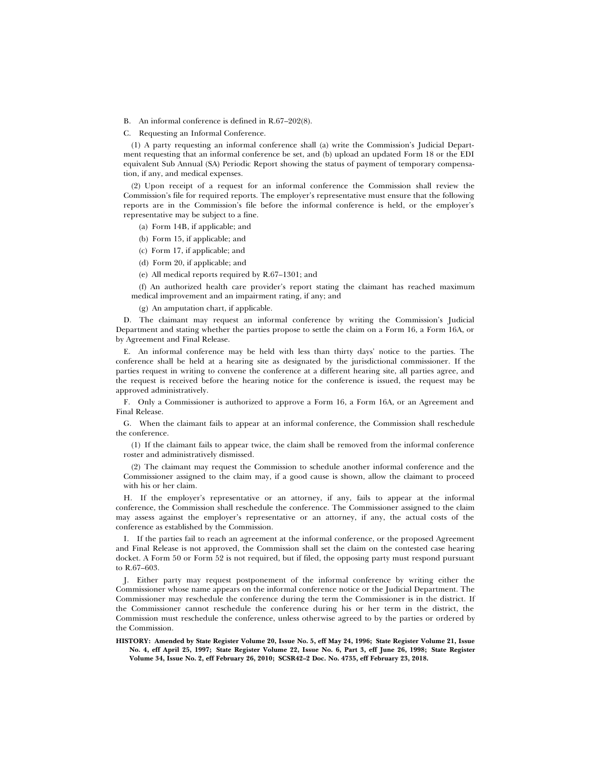B. An informal conference is defined in R.67–202(8).

C. Requesting an Informal Conference.

(1) A party requesting an informal conference shall (a) write the Commission's Judicial Department requesting that an informal conference be set, and (b) upload an updated Form 18 or the EDI equivalent Sub Annual (SA) Periodic Report showing the status of payment of temporary compensation, if any, and medical expenses.

(2) Upon receipt of a request for an informal conference the Commission shall review the Commission's file for required reports. The employer's representative must ensure that the following reports are in the Commission's file before the informal conference is held, or the employer's representative may be subject to a fine.

- (a) Form 14B, if applicable; and
- (b) Form 15, if applicable; and
- (c) Form 17, if applicable; and
- (d) Form 20, if applicable; and
- (e) All medical reports required by R.67–1301; and

(f) An authorized health care provider's report stating the claimant has reached maximum medical improvement and an impairment rating, if any; and

(g) An amputation chart, if applicable.

D. The claimant may request an informal conference by writing the Commission's Judicial Department and stating whether the parties propose to settle the claim on a Form 16, a Form 16A, or by Agreement and Final Release.

E. An informal conference may be held with less than thirty days' notice to the parties. The conference shall be held at a hearing site as designated by the jurisdictional commissioner. If the parties request in writing to convene the conference at a different hearing site, all parties agree, and the request is received before the hearing notice for the conference is issued, the request may be approved administratively.

F. Only a Commissioner is authorized to approve a Form 16, a Form 16A, or an Agreement and Final Release.

G. When the claimant fails to appear at an informal conference, the Commission shall reschedule the conference.

(1) If the claimant fails to appear twice, the claim shall be removed from the informal conference roster and administratively dismissed.

(2) The claimant may request the Commission to schedule another informal conference and the Commissioner assigned to the claim may, if a good cause is shown, allow the claimant to proceed with his or her claim.

H. If the employer's representative or an attorney, if any, fails to appear at the informal conference, the Commission shall reschedule the conference. The Commissioner assigned to the claim may assess against the employer's representative or an attorney, if any, the actual costs of the conference as established by the Commission.

I. If the parties fail to reach an agreement at the informal conference, or the proposed Agreement and Final Release is not approved, the Commission shall set the claim on the contested case hearing docket. A Form 50 or Form 52 is not required, but if filed, the opposing party must respond pursuant to R.67–603.

J. Either party may request postponement of the informal conference by writing either the Commissioner whose name appears on the informal conference notice or the Judicial Department. The Commissioner may reschedule the conference during the term the Commissioner is in the district. If the Commissioner cannot reschedule the conference during his or her term in the district, the Commission must reschedule the conference, unless otherwise agreed to by the parties or ordered by the Commission.

**HISTORY: Amended by State Register Volume 20, Issue No. 5, eff May 24, 1996; State Register Volume 21, Issue No. 4, eff April 25, 1997; State Register Volume 22, Issue No. 6, Part 3, eff June 26, 1998; State Register Volume 34, Issue No. 2, eff February 26, 2010; SCSR42–2 Doc. No. 4735, eff February 23, 2018.**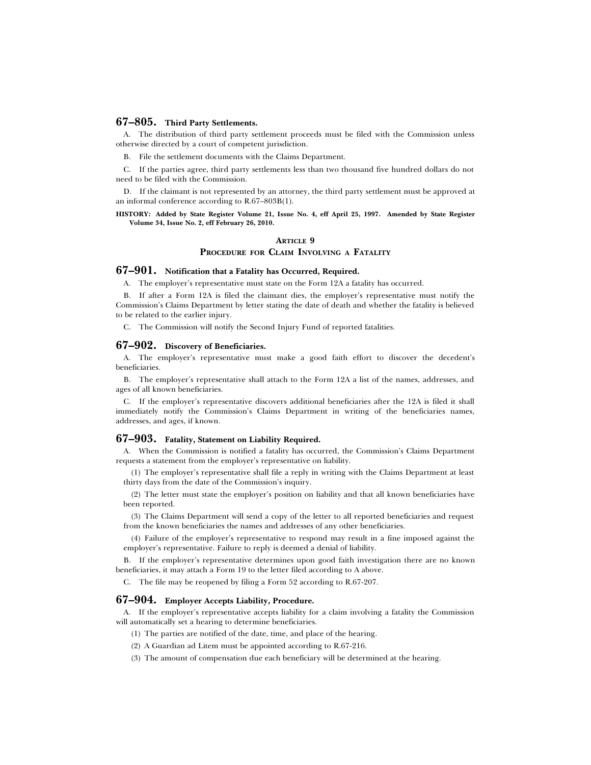## **67–805. Third Party Settlements.**

A. The distribution of third party settlement proceeds must be filed with the Commission unless otherwise directed by a court of competent jurisdiction.

B. File the settlement documents with the Claims Department.

C. If the parties agree, third party settlements less than two thousand five hundred dollars do not need to be filed with the Commission.

D. If the claimant is not represented by an attorney, the third party settlement must be approved at an informal conference according to R.67–803B(1).

#### **HISTORY: Added by State Register Volume 21, Issue No. 4, eff April 25, 1997. Amended by State Register Volume 34, Issue No. 2, eff February 26, 2010.**

## **ARTICLE 9 PROCEDURE FOR CLAIM INVOLVING A FATALITY**

## **67–901. Notification that a Fatality has Occurred, Required.**

A. The employer's representative must state on the Form 12A a fatality has occurred.

B. If after a Form 12A is filed the claimant dies, the employer's representative must notify the Commission's Claims Department by letter stating the date of death and whether the fatality is believed to be related to the earlier injury.

C. The Commission will notify the Second Injury Fund of reported fatalities.

#### **67–902. Discovery of Beneficiaries.**

A. The employer's representative must make a good faith effort to discover the decedent's beneficiaries.

B. The employer's representative shall attach to the Form 12A a list of the names, addresses, and ages of all known beneficiaries.

C. If the employer's representative discovers additional beneficiaries after the 12A is filed it shall immediately notify the Commission's Claims Department in writing of the beneficiaries names, addresses, and ages, if known.

## **67–903. Fatality, Statement on Liability Required.**

A. When the Commission is notified a fatality has occurred, the Commission's Claims Department requests a statement from the employer's representative on liability.

(1) The employer's representative shall file a reply in writing with the Claims Department at least thirty days from the date of the Commission's inquiry.

(2) The letter must state the employer's position on liability and that all known beneficiaries have been reported.

(3) The Claims Department will send a copy of the letter to all reported beneficiaries and request from the known beneficiaries the names and addresses of any other beneficiaries.

(4) Failure of the employer's representative to respond may result in a fine imposed against the employer's representative. Failure to reply is deemed a denial of liability.

B. If the employer's representative determines upon good faith investigation there are no known beneficiaries, it may attach a Form 19 to the letter filed according to A above.

C. The file may be reopened by filing a Form 52 according to R.67-207.

## **67–904. Employer Accepts Liability, Procedure.**

A. If the employer's representative accepts liability for a claim involving a fatality the Commission will automatically set a hearing to determine beneficiaries.

- (1) The parties are notified of the date, time, and place of the hearing.
- (2) A Guardian ad Litem must be appointed according to R.67-216.
- (3) The amount of compensation due each beneficiary will be determined at the hearing.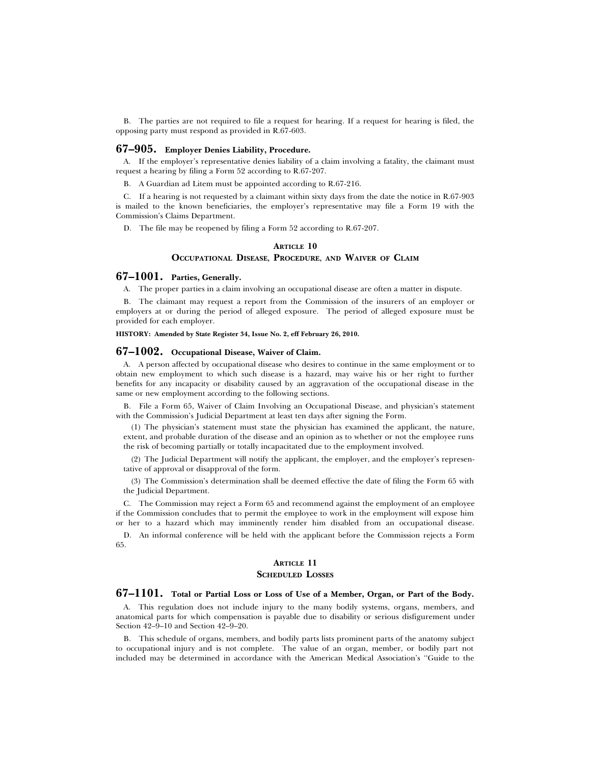B. The parties are not required to file a request for hearing. If a request for hearing is filed, the opposing party must respond as provided in R.67-603.

#### **67–905. Employer Denies Liability, Procedure.**

A. If the employer's representative denies liability of a claim involving a fatality, the claimant must request a hearing by filing a Form 52 according to R.67-207.

B. A Guardian ad Litem must be appointed according to R.67-216.

C. If a hearing is not requested by a claimant within sixty days from the date the notice in R.67-903 is mailed to the known beneficiaries, the employer's representative may file a Form 19 with the Commission's Claims Department.

D. The file may be reopened by filing a Form 52 according to R.67-207.

#### **ARTICLE 10 OCCUPATIONAL DISEASE, PROCEDURE, AND WAIVER OF CLAIM**

## **67–1001. Parties, Generally.**

A. The proper parties in a claim involving an occupational disease are often a matter in dispute.

B. The claimant may request a report from the Commission of the insurers of an employer or employers at or during the period of alleged exposure. The period of alleged exposure must be provided for each employer.

**HISTORY: Amended by State Register 34, Issue No. 2, eff February 26, 2010.**

#### **67–1002. Occupational Disease, Waiver of Claim.**

A. A person affected by occupational disease who desires to continue in the same employment or to obtain new employment to which such disease is a hazard, may waive his or her right to further benefits for any incapacity or disability caused by an aggravation of the occupational disease in the same or new employment according to the following sections.

B. File a Form 65, Waiver of Claim Involving an Occupational Disease, and physician's statement with the Commission's Judicial Department at least ten days after signing the Form.

(1) The physician's statement must state the physician has examined the applicant, the nature, extent, and probable duration of the disease and an opinion as to whether or not the employee runs the risk of becoming partially or totally incapacitated due to the employment involved.

(2) The Judicial Department will notify the applicant, the employer, and the employer's representative of approval or disapproval of the form.

(3) The Commission's determination shall be deemed effective the date of filing the Form 65 with the Judicial Department.

C. The Commission may reject a Form 65 and recommend against the employment of an employee if the Commission concludes that to permit the employee to work in the employment will expose him or her to a hazard which may imminently render him disabled from an occupational disease.

D. An informal conference will be held with the applicant before the Commission rejects a Form 65.

#### **ARTICLE 11**

#### **SCHEDULED LOSSES**

## **67–1101. Total or Partial Loss or Loss of Use of a Member, Organ, or Part of the Body.**

A. This regulation does not include injury to the many bodily systems, organs, members, and anatomical parts for which compensation is payable due to disability or serious disfigurement under Section 42–9–10 and Section 42–9–20.

B. This schedule of organs, members, and bodily parts lists prominent parts of the anatomy subject to occupational injury and is not complete. The value of an organ, member, or bodily part not included may be determined in accordance with the American Medical Association's ''Guide to the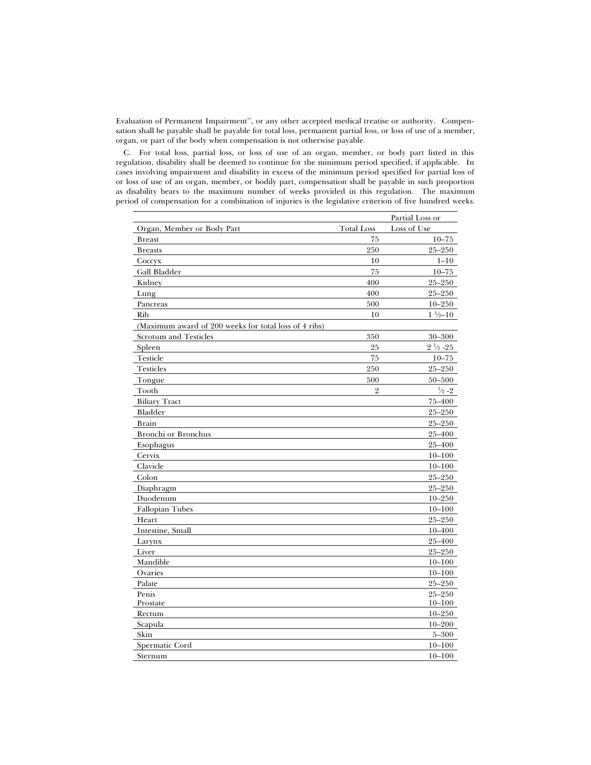Evaluation of Permanent Impairment'', or any other accepted medical treatise or authority. Compensation shall be payable shall be payable for total loss, permanent partial loss, or loss of use of a member, organ, or part of the body when compensation is not otherwise payable.

C. For total loss, partial loss, or loss of use of an organ, member, or body part listed in this regulation, disability shall be deemed to continue for the minimum period specified, if applicable. In cases involving impairment and disability in excess of the minimum period specified for partial loss of or loss of use of an organ, member, or bodily part, compensation shall be payable in such proportion as disability bears to the maximum number of weeks provided in this regulation. The maximum period of compensation for a combination of injuries is the legislative criterion of five hundred weeks.

|                                                       |                   | Partial Loss or    |
|-------------------------------------------------------|-------------------|--------------------|
| Organ, Member or Body Part                            | <b>Total Loss</b> | Loss of Use        |
| <b>Breast</b>                                         | 75                | $10 - 75$          |
| <b>Breasts</b>                                        | 250               | $25 - 250$         |
| Coccyx                                                | 10                | $1 - 10$           |
| Gall Bladder                                          | 75                | $10 - 75$          |
| Kidney                                                | 400               | $25 - 250$         |
| Lung                                                  | 400               | $25 - 250$         |
| Pancreas                                              | 500               | $10 - 250$         |
| Rib                                                   | 10                | $1\frac{1}{2}-10$  |
| (Maximum award of 200 weeks for total loss of 4 ribs) |                   |                    |
| <b>Scrotum</b> and Testicles                          | 350               | 30-300             |
| Spleen                                                | 25                | $2\frac{1}{2}$ -25 |
| Testicle                                              | 75                | $10 - 75$          |
| <b>Testicles</b>                                      | 250               | $25 - 250$         |
| Tongue                                                | 500               | $50 - 500$         |
| Tooth                                                 | $\overline{2}$    | $\frac{1}{2} - 2$  |
| <b>Biliary Tract</b>                                  |                   | 75-400             |
| Bladder                                               |                   | $25 - 250$         |
| <b>Brain</b>                                          |                   | $25 - 250$         |
| <b>Bronchi</b> or Bronchus                            |                   | 25-400             |
| Esophagus                                             |                   | 25-400             |
| Cervix                                                |                   | $10 - 100$         |
| Clavicle                                              |                   | $10 - 100$         |
| Colon                                                 |                   | $25 - 250$         |
| Diaphragm                                             |                   | $25 - 250$         |
| Duodenum                                              |                   | $10 - 250$         |
| <b>Fallopian Tubes</b>                                |                   | $10 - 100$         |
| Heart                                                 |                   | $25 - 250$         |
| Intestine, Small                                      |                   | $10 - 400$         |
| Larynx                                                |                   | 25-400             |
| Liver                                                 |                   | $25 - 250$         |
| Mandible                                              |                   | $10 - 100$         |
| Ovaries                                               |                   | $10 - 100$         |
| Palate                                                |                   | $25 - 250$         |
| Penis                                                 |                   | $25 - 250$         |
| Prostate                                              |                   | $10 - 100$         |
| Rectum                                                |                   | $10 - 250$         |
| Scapula                                               |                   | $10 - 200$         |
| Skin                                                  |                   | $5 - 300$          |
| Spermatic Cord                                        |                   | $10 - 100$         |
| Sternum                                               |                   | $10 - 100$         |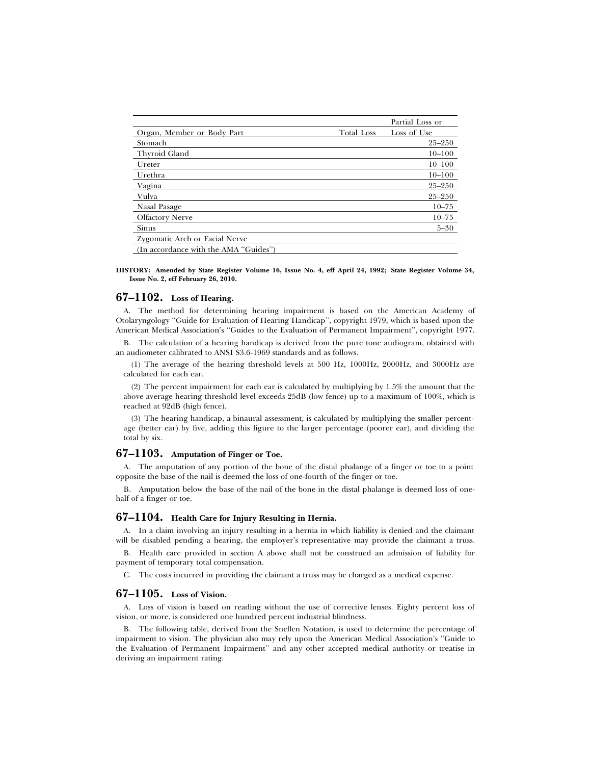|                                       |                   | Partial Loss or |
|---------------------------------------|-------------------|-----------------|
| Organ, Member or Body Part            | <b>Total Loss</b> | Loss of Use     |
| Stomach                               |                   | $25 - 250$      |
| Thyroid Gland                         |                   | $10 - 100$      |
| Ureter                                |                   | $10 - 100$      |
| Urethra                               |                   | $10 - 100$      |
| Vagina                                |                   | $25 - 250$      |
| Vulva                                 |                   | $25 - 250$      |
| Nasal Pasage                          |                   | $10 - 75$       |
| <b>Olfactory Nerve</b>                |                   | $10 - 75$       |
| Sinus                                 |                   | $5 - 30$        |
| Zygomatic Arch or Facial Nerve        |                   |                 |
| (In accordance with the AMA "Guides") |                   |                 |

**HISTORY: Amended by State Register Volume 16, Issue No. 4, eff April 24, 1992; State Register Volume 34, Issue No. 2, eff February 26, 2010.**

## **67–1102. Loss of Hearing.**

A. The method for determining hearing impairment is based on the American Academy of Otolaryngology ''Guide for Evaluation of Hearing Handicap'', copyright 1979, which is based upon the American Medical Association's "Guides to the Evaluation of Permanent Impairment", copyright 1977.

B. The calculation of a hearing handicap is derived from the pure tone audiogram, obtained with an audiometer calibrated to ANSI S3.6-1969 standards and as follows.

(1) The average of the hearing threshold levels at 500 Hz, 1000Hz, 2000Hz, and 3000Hz are calculated for each ear.

(2) The percent impairment for each ear is calculated by multiplying by 1.5% the amount that the above average hearing threshold level exceeds 25dB (low fence) up to a maximum of 100%, which is reached at 92dB (high fence).

(3) The hearing handicap, a binaural assessment, is calculated by multiplying the smaller percentage (better ear) by five, adding this figure to the larger percentage (poorer ear), and dividing the total by six.

#### **67–1103. Amputation of Finger or Toe.**

A. The amputation of any portion of the bone of the distal phalange of a finger or toe to a point opposite the base of the nail is deemed the loss of one-fourth of the finger or toe.

B. Amputation below the base of the nail of the bone in the distal phalange is deemed loss of onehalf of a finger or toe.

#### **67–1104. Health Care for Injury Resulting in Hernia.**

A. In a claim involving an injury resulting in a hernia in which liability is denied and the claimant will be disabled pending a hearing, the employer's representative may provide the claimant a truss.

B. Health care provided in section A above shall not be construed an admission of liability for payment of temporary total compensation.

C. The costs incurred in providing the claimant a truss may be charged as a medical expense.

## **67–1105. Loss of Vision.**

A. Loss of vision is based on reading without the use of corrective lenses. Eighty percent loss of vision, or more, is considered one hundred percent industrial blindness.

B. The following table, derived from the Snellen Notation, is used to determine the percentage of impairment to vision. The physician also may rely upon the American Medical Association's ''Guide to the Evaluation of Permanent Impairment'' and any other accepted medical authority or treatise in deriving an impairment rating.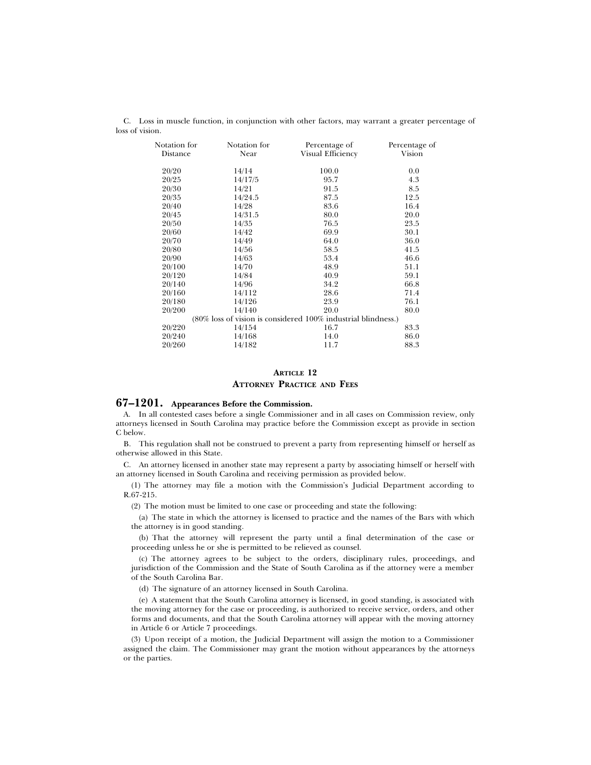C. Loss in muscle function, in conjunction with other factors, may warrant a greater percentage of loss of vision.

| Notation for<br>Distance | Notation for<br>Near | Percentage of<br>Visual Efficiency                            | Percentage of<br>Vision |
|--------------------------|----------------------|---------------------------------------------------------------|-------------------------|
| 20/20                    | 14/14                | 100.0                                                         | 0.0                     |
| 20/25                    | 14/17/5              | 95.7                                                          | 4.3                     |
| 20/30                    | 14/21                | 91.5                                                          | 8.5                     |
| 20/35                    | 14/24.5              | 87.5                                                          | 12.5                    |
| 20/40                    | 14/28                | 83.6                                                          | 16.4                    |
| 20/45                    | 14/31.5              | 80.0                                                          | 20.0                    |
| 20/50                    | 14/35                | 76.5                                                          | 23.5                    |
| 20/60                    | 14/42                | 69.9                                                          | 30.1                    |
| 20/70                    | 14/49                | 64.0                                                          | 36.0                    |
| 20/80                    | 14/56                | 58.5                                                          | 41.5                    |
| 20/90                    | 14/63                | 53.4                                                          | 46.6                    |
| 20/100                   | 14/70                | 48.9                                                          | 51.1                    |
| 20/120                   | 14/84                | 40.9                                                          | 59.1                    |
| 20/140                   | 14/96                | 34.2                                                          | 66.8                    |
| 20/160                   | 14/112               | 28.6                                                          | 71.4                    |
| 20/180                   | 14/126               | 23.9                                                          | 76.1                    |
| 20/200                   | 14/140               | 20.0                                                          | 80.0                    |
|                          |                      | (80% loss of vision is considered 100% industrial blindness.) |                         |
| 20/220                   | 14/154               | 16.7                                                          | 83.3                    |
| 20/240                   | 14/168               | 14.0                                                          | 86.0                    |
| 20/260                   | 14/182               | 11.7                                                          | 88.3                    |

## **ARTICLE 12 ATTORNEY PRACTICE AND FEES**

#### **67–1201. Appearances Before the Commission.**

A. In all contested cases before a single Commissioner and in all cases on Commission review, only attorneys licensed in South Carolina may practice before the Commission except as provide in section C below.

B. This regulation shall not be construed to prevent a party from representing himself or herself as otherwise allowed in this State.

C. An attorney licensed in another state may represent a party by associating himself or herself with an attorney licensed in South Carolina and receiving permission as provided below.

(1) The attorney may file a motion with the Commission's Judicial Department according to R.67-215.

(2) The motion must be limited to one case or proceeding and state the following:

(a) The state in which the attorney is licensed to practice and the names of the Bars with which the attorney is in good standing.

(b) That the attorney will represent the party until a final determination of the case or proceeding unless he or she is permitted to be relieved as counsel.

(c) The attorney agrees to be subject to the orders, disciplinary rules, proceedings, and jurisdiction of the Commission and the State of South Carolina as if the attorney were a member of the South Carolina Bar.

(d) The signature of an attorney licensed in South Carolina.

(e) A statement that the South Carolina attorney is licensed, in good standing, is associated with the moving attorney for the case or proceeding, is authorized to receive service, orders, and other forms and documents, and that the South Carolina attorney will appear with the moving attorney in Article 6 or Article 7 proceedings.

(3) Upon receipt of a motion, the Judicial Department will assign the motion to a Commissioner assigned the claim. The Commissioner may grant the motion without appearances by the attorneys or the parties.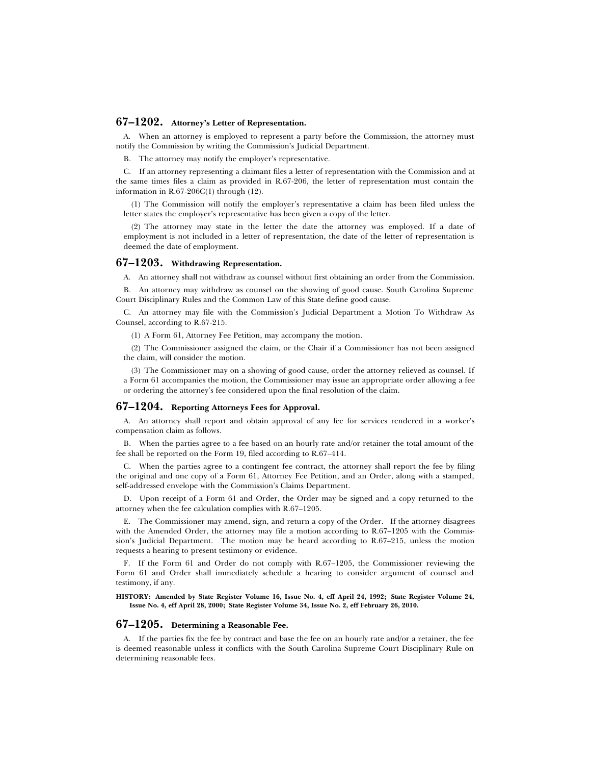## **67–1202. Attorney's Letter of Representation.**

A. When an attorney is employed to represent a party before the Commission, the attorney must notify the Commission by writing the Commission's Judicial Department.

B. The attorney may notify the employer's representative.

C. If an attorney representing a claimant files a letter of representation with the Commission and at the same times files a claim as provided in R.67-206, the letter of representation must contain the information in R.67-206C(1) through (12).

(1) The Commission will notify the employer's representative a claim has been filed unless the letter states the employer's representative has been given a copy of the letter.

(2) The attorney may state in the letter the date the attorney was employed. If a date of employment is not included in a letter of representation, the date of the letter of representation is deemed the date of employment.

## **67–1203. Withdrawing Representation.**

A. An attorney shall not withdraw as counsel without first obtaining an order from the Commission.

B. An attorney may withdraw as counsel on the showing of good cause. South Carolina Supreme Court Disciplinary Rules and the Common Law of this State define good cause.

C. An attorney may file with the Commission's Judicial Department a Motion To Withdraw As Counsel, according to R.67-215.

(1) A Form 61, Attorney Fee Petition, may accompany the motion.

(2) The Commissioner assigned the claim, or the Chair if a Commissioner has not been assigned the claim, will consider the motion.

(3) The Commissioner may on a showing of good cause, order the attorney relieved as counsel. If a Form 61 accompanies the motion, the Commissioner may issue an appropriate order allowing a fee or ordering the attorney's fee considered upon the final resolution of the claim.

## **67–1204. Reporting Attorneys Fees for Approval.**

A. An attorney shall report and obtain approval of any fee for services rendered in a worker's compensation claim as follows.

B. When the parties agree to a fee based on an hourly rate and/or retainer the total amount of the fee shall be reported on the Form 19, filed according to R.67–414.

C. When the parties agree to a contingent fee contract, the attorney shall report the fee by filing the original and one copy of a Form 61, Attorney Fee Petition, and an Order, along with a stamped, self-addressed envelope with the Commission's Claims Department.

D. Upon receipt of a Form 61 and Order, the Order may be signed and a copy returned to the attorney when the fee calculation complies with R.67–1205.

E. The Commissioner may amend, sign, and return a copy of the Order. If the attorney disagrees with the Amended Order, the attorney may file a motion according to R.67–1205 with the Commission's Judicial Department. The motion may be heard according to R.67–215, unless the motion requests a hearing to present testimony or evidence.

F. If the Form 61 and Order do not comply with R.67–1205, the Commissioner reviewing the Form 61 and Order shall immediately schedule a hearing to consider argument of counsel and testimony, if any.

**HISTORY: Amended by State Register Volume 16, Issue No. 4, eff April 24, 1992; State Register Volume 24, Issue No. 4, eff April 28, 2000; State Register Volume 34, Issue No. 2, eff February 26, 2010.**

#### **67–1205. Determining a Reasonable Fee.**

A. If the parties fix the fee by contract and base the fee on an hourly rate and/or a retainer, the fee is deemed reasonable unless it conflicts with the South Carolina Supreme Court Disciplinary Rule on determining reasonable fees.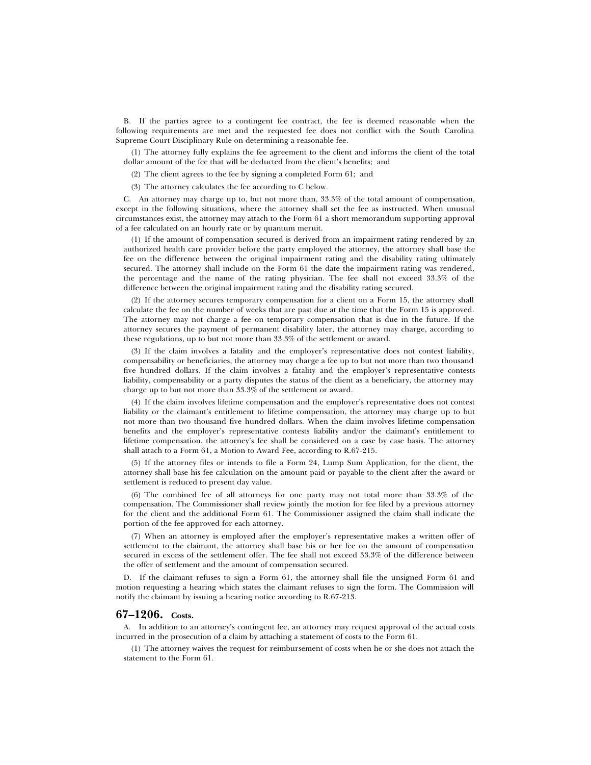B. If the parties agree to a contingent fee contract, the fee is deemed reasonable when the following requirements are met and the requested fee does not conflict with the South Carolina Supreme Court Disciplinary Rule on determining a reasonable fee.

(1) The attorney fully explains the fee agreement to the client and informs the client of the total dollar amount of the fee that will be deducted from the client's benefits; and

(2) The client agrees to the fee by signing a completed Form 61; and

(3) The attorney calculates the fee according to C below.

C. An attorney may charge up to, but not more than, 33.3% of the total amount of compensation, except in the following situations, where the attorney shall set the fee as instructed. When unusual circumstances exist, the attorney may attach to the Form 61 a short memorandum supporting approval of a fee calculated on an hourly rate or by quantum meruit.

(1) If the amount of compensation secured is derived from an impairment rating rendered by an authorized health care provider before the party employed the attorney, the attorney shall base the fee on the difference between the original impairment rating and the disability rating ultimately secured. The attorney shall include on the Form 61 the date the impairment rating was rendered, the percentage and the name of the rating physician. The fee shall not exceed 33.3% of the difference between the original impairment rating and the disability rating secured.

(2) If the attorney secures temporary compensation for a client on a Form 15, the attorney shall calculate the fee on the number of weeks that are past due at the time that the Form 15 is approved. The attorney may not charge a fee on temporary compensation that is due in the future. If the attorney secures the payment of permanent disability later, the attorney may charge, according to these regulations, up to but not more than 33.3% of the settlement or award.

(3) If the claim involves a fatality and the employer's representative does not contest liability, compensability or beneficiaries, the attorney may charge a fee up to but not more than two thousand five hundred dollars. If the claim involves a fatality and the employer's representative contests liability, compensability or a party disputes the status of the client as a beneficiary, the attorney may charge up to but not more than 33.3% of the settlement or award.

(4) If the claim involves lifetime compensation and the employer's representative does not contest liability or the claimant's entitlement to lifetime compensation, the attorney may charge up to but not more than two thousand five hundred dollars. When the claim involves lifetime compensation benefits and the employer's representative contests liability and/or the claimant's entitlement to lifetime compensation, the attorney's fee shall be considered on a case by case basis. The attorney shall attach to a Form 61, a Motion to Award Fee, according to R.67-215.

(5) If the attorney files or intends to file a Form 24, Lump Sum Application, for the client, the attorney shall base his fee calculation on the amount paid or payable to the client after the award or settlement is reduced to present day value.

(6) The combined fee of all attorneys for one party may not total more than 33.3% of the compensation. The Commissioner shall review jointly the motion for fee filed by a previous attorney for the client and the additional Form 61. The Commissioner assigned the claim shall indicate the portion of the fee approved for each attorney.

(7) When an attorney is employed after the employer's representative makes a written offer of settlement to the claimant, the attorney shall base his or her fee on the amount of compensation secured in excess of the settlement offer. The fee shall not exceed 33.3% of the difference between the offer of settlement and the amount of compensation secured.

D. If the claimant refuses to sign a Form 61, the attorney shall file the unsigned Form 61 and motion requesting a hearing which states the claimant refuses to sign the form. The Commission will notify the claimant by issuing a hearing notice according to R.67-213.

## **67–1206. Costs.**

A. In addition to an attorney's contingent fee, an attorney may request approval of the actual costs incurred in the prosecution of a claim by attaching a statement of costs to the Form 61.

(1) The attorney waives the request for reimbursement of costs when he or she does not attach the statement to the Form 61.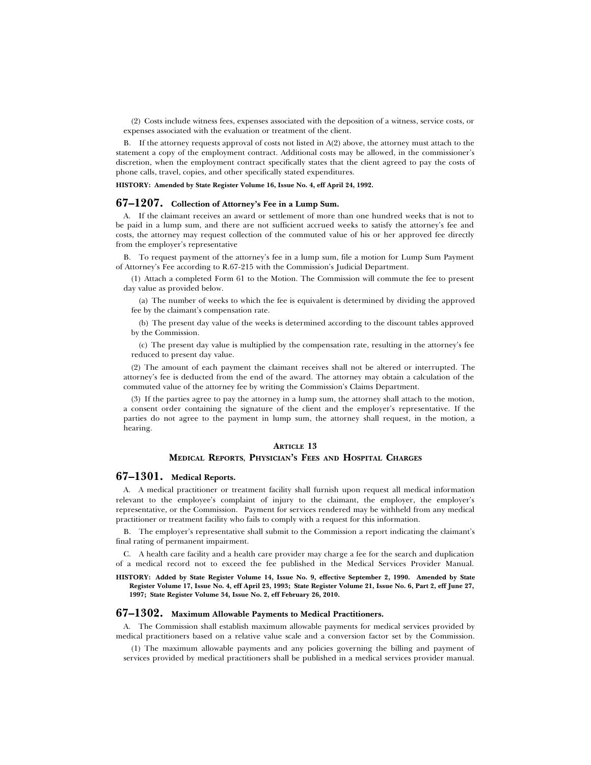(2) Costs include witness fees, expenses associated with the deposition of a witness, service costs, or expenses associated with the evaluation or treatment of the client.

B. If the attorney requests approval of costs not listed in A(2) above, the attorney must attach to the statement a copy of the employment contract. Additional costs may be allowed, in the commissioner's discretion, when the employment contract specifically states that the client agreed to pay the costs of phone calls, travel, copies, and other specifically stated expenditures.

**HISTORY: Amended by State Register Volume 16, Issue No. 4, eff April 24, 1992.**

#### **67–1207. Collection of Attorney's Fee in a Lump Sum.**

A. If the claimant receives an award or settlement of more than one hundred weeks that is not to be paid in a lump sum, and there are not sufficient accrued weeks to satisfy the attorney's fee and costs, the attorney may request collection of the commuted value of his or her approved fee directly from the employer's representative

B. To request payment of the attorney's fee in a lump sum, file a motion for Lump Sum Payment of Attorney's Fee according to R.67-215 with the Commission's Judicial Department.

(1) Attach a completed Form 61 to the Motion. The Commission will commute the fee to present day value as provided below.

(a) The number of weeks to which the fee is equivalent is determined by dividing the approved fee by the claimant's compensation rate.

(b) The present day value of the weeks is determined according to the discount tables approved by the Commission.

(c) The present day value is multiplied by the compensation rate, resulting in the attorney's fee reduced to present day value.

(2) The amount of each payment the claimant receives shall not be altered or interrupted. The attorney's fee is deducted from the end of the award. The attorney may obtain a calculation of the commuted value of the attorney fee by writing the Commission's Claims Department.

(3) If the parties agree to pay the attorney in a lump sum, the attorney shall attach to the motion, a consent order containing the signature of the client and the employer's representative. If the parties do not agree to the payment in lump sum, the attorney shall request, in the motion, a hearing.

## **ARTICLE 13**

### **MEDICAL REPORTS, PHYSICIAN'S FEES AND HOSPITAL CHARGES**

#### **67–1301. Medical Reports.**

A. A medical practitioner or treatment facility shall furnish upon request all medical information relevant to the employee's complaint of injury to the claimant, the employer, the employer's representative, or the Commission. Payment for services rendered may be withheld from any medical practitioner or treatment facility who fails to comply with a request for this information.

B. The employer's representative shall submit to the Commission a report indicating the claimant's final rating of permanent impairment.

C. A health care facility and a health care provider may charge a fee for the search and duplication of a medical record not to exceed the fee published in the Medical Services Provider Manual.

**HISTORY: Added by State Register Volume 14, Issue No. 9, effective September 2, 1990. Amended by State Register Volume 17, Issue No. 4, eff April 23, 1993; State Register Volume 21, Issue No. 6, Part 2, eff June 27, 1997; State Register Volume 34, Issue No. 2, eff February 26, 2010.**

## **67–1302. Maximum Allowable Payments to Medical Practitioners.**

A. The Commission shall establish maximum allowable payments for medical services provided by medical practitioners based on a relative value scale and a conversion factor set by the Commission.

(1) The maximum allowable payments and any policies governing the billing and payment of services provided by medical practitioners shall be published in a medical services provider manual.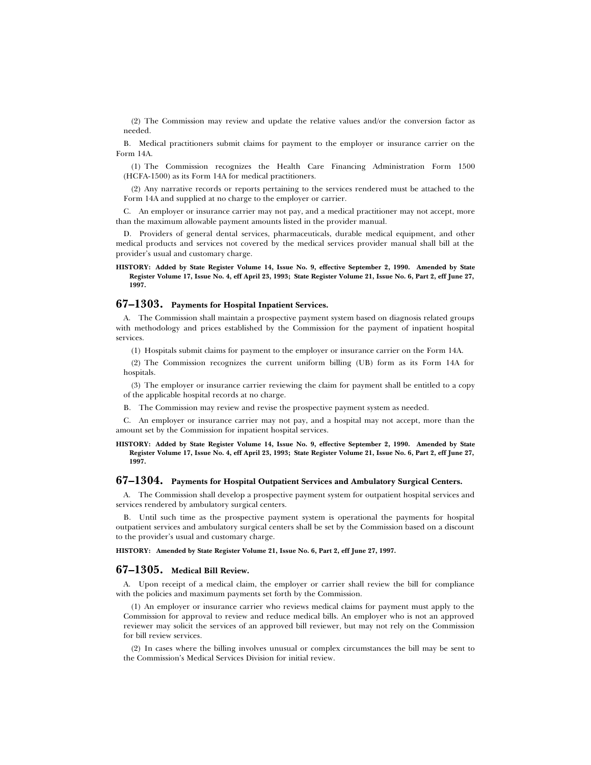(2) The Commission may review and update the relative values and/or the conversion factor as needed.

B. Medical practitioners submit claims for payment to the employer or insurance carrier on the Form 14A.

(1) The Commission recognizes the Health Care Financing Administration Form 1500 (HCFA-1500) as its Form 14A for medical practitioners.

(2) Any narrative records or reports pertaining to the services rendered must be attached to the Form 14A and supplied at no charge to the employer or carrier.

C. An employer or insurance carrier may not pay, and a medical practitioner may not accept, more than the maximum allowable payment amounts listed in the provider manual.

D. Providers of general dental services, pharmaceuticals, durable medical equipment, and other medical products and services not covered by the medical services provider manual shall bill at the provider's usual and customary charge.

**HISTORY: Added by State Register Volume 14, Issue No. 9, effective September 2, 1990. Amended by State Register Volume 17, Issue No. 4, eff April 23, 1993; State Register Volume 21, Issue No. 6, Part 2, eff June 27, 1997.**

## **67–1303. Payments for Hospital Inpatient Services.**

A. The Commission shall maintain a prospective payment system based on diagnosis related groups with methodology and prices established by the Commission for the payment of inpatient hospital services.

(1) Hospitals submit claims for payment to the employer or insurance carrier on the Form 14A.

(2) The Commission recognizes the current uniform billing (UB) form as its Form 14A for hospitals.

(3) The employer or insurance carrier reviewing the claim for payment shall be entitled to a copy of the applicable hospital records at no charge.

B. The Commission may review and revise the prospective payment system as needed.

C. An employer or insurance carrier may not pay, and a hospital may not accept, more than the amount set by the Commission for inpatient hospital services.

#### **HISTORY: Added by State Register Volume 14, Issue No. 9, effective September 2, 1990. Amended by State Register Volume 17, Issue No. 4, eff April 23, 1993; State Register Volume 21, Issue No. 6, Part 2, eff June 27, 1997.**

#### **67–1304. Payments for Hospital Outpatient Services and Ambulatory Surgical Centers.**

A. The Commission shall develop a prospective payment system for outpatient hospital services and services rendered by ambulatory surgical centers.

B. Until such time as the prospective payment system is operational the payments for hospital outpatient services and ambulatory surgical centers shall be set by the Commission based on a discount to the provider's usual and customary charge.

**HISTORY: Amended by State Register Volume 21, Issue No. 6, Part 2, eff June 27, 1997.**

## **67–1305. Medical Bill Review.**

A. Upon receipt of a medical claim, the employer or carrier shall review the bill for compliance with the policies and maximum payments set forth by the Commission.

(1) An employer or insurance carrier who reviews medical claims for payment must apply to the Commission for approval to review and reduce medical bills. An employer who is not an approved reviewer may solicit the services of an approved bill reviewer, but may not rely on the Commission for bill review services.

(2) In cases where the billing involves unusual or complex circumstances the bill may be sent to the Commission's Medical Services Division for initial review.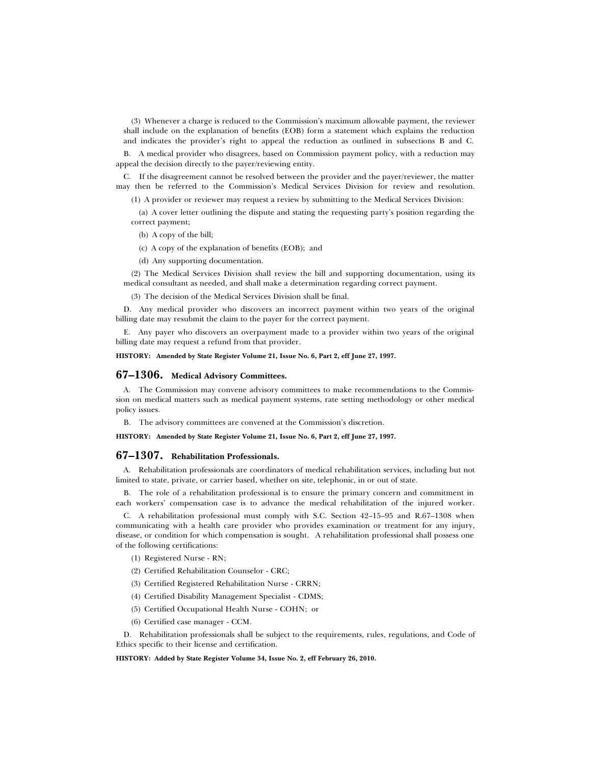(3) Whenever a charge is reduced to the Commission's maximum allowable payment, the reviewer shall include on the explanation of benefits (EOB) form a statement which explains the reduction and indicates the provider's right to appeal the reduction as outlined in subsections B and C.

B. A medical provider who disagrees, based on Commission payment policy, with a reduction may appeal the decision directly to the payer/reviewing entity.

C. If the disagreement cannot be resolved between the provider and the payer/reviewer, the matter may then be referred to the Commission's Medical Services Division for review and resolution.

(1) A provider or reviewer may request a review by submitting to the Medical Services Division:

(a) A cover letter outlining the dispute and stating the requesting party's position regarding the correct payment;

(b) A copy of the bill;

(c) A copy of the explanation of benefits (EOB); and

(d) Any supporting documentation.

(2) The Medical Services Division shall review the bill and supporting documentation, using its medical consultant as needed, and shall make a determination regarding correct payment.

(3) The decision of the Medical Services Division shall be final.

D. Any medical provider who discovers an incorrect payment within two years of the original billing date may resubmit the claim to the payer for the correct payment.

E. Any payer who discovers an overpayment made to a provider within two years of the original billing date may request a refund from that provider.

#### **HISTORY: Amended by State Register Volume 21, Issue No. 6, Part 2, eff June 27, 1997.**

## **67–1306. Medical Advisory Committees.**

A. The Commission may convene advisory committees to make recommendations to the Commission on medical matters such as medical payment systems, rate setting methodology or other medical policy issues.

B. The advisory committees are convened at the Commission's discretion.

**HISTORY: Amended by State Register Volume 21, Issue No. 6, Part 2, eff June 27, 1997.**

## **67–1307. Rehabilitation Professionals.**

A. Rehabilitation professionals are coordinators of medical rehabilitation services, including but not limited to state, private, or carrier based, whether on site, telephonic, in or out of state.

B. The role of a rehabilitation professional is to ensure the primary concern and commitment in each workers' compensation case is to advance the medical rehabilitation of the injured worker.

C. A rehabilitation professional must comply with S.C. Section 42–15–95 and R.67–1308 when communicating with a health care provider who provides examination or treatment for any injury, disease, or condition for which compensation is sought. A rehabilitation professional shall possess one of the following certifications:

- (1) Registered Nurse RN;
- (2) Certified Rehabilitation Counselor CRC;
- (3) Certified Registered Rehabilitation Nurse CRRN;
- (4) Certified Disability Management Specialist CDMS;
- (5) Certified Occupational Health Nurse COHN; or
- (6) Certified case manager CCM.

D. Rehabilitation professionals shall be subject to the requirements, rules, regulations, and Code of Ethics specific to their license and certification.

**HISTORY: Added by State Register Volume 34, Issue No. 2, eff February 26, 2010.**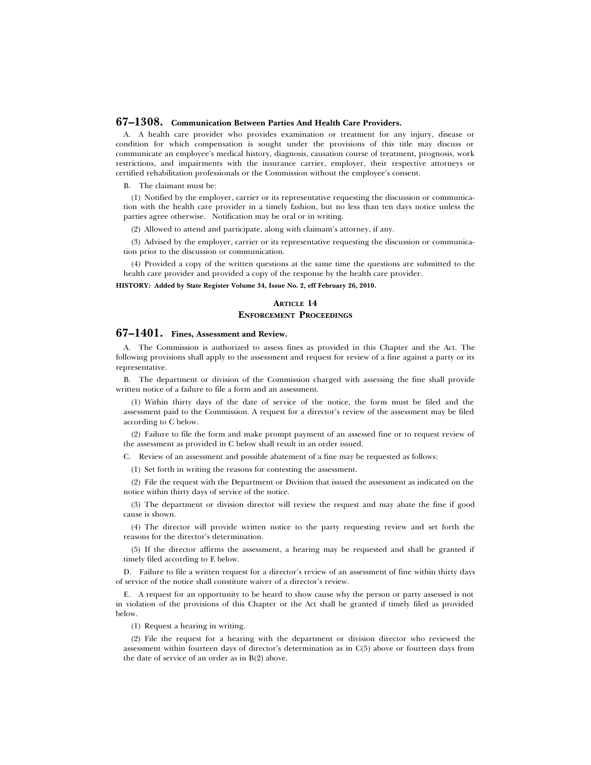## **67–1308. Communication Between Parties And Health Care Providers.**

A. A health care provider who provides examination or treatment for any injury, disease or condition for which compensation is sought under the provisions of this title may discuss or communicate an employee's medical history, diagnosis, causation course of treatment, prognosis, work restrictions, and impairments with the insurance carrier, employer, their respective attorneys or certified rehabilitation professionals or the Commission without the employee's consent.

B. The claimant must be:

(1) Notified by the employer, carrier or its representative requesting the discussion or communication with the health care provider in a timely fashion, but no less than ten days notice unless the parties agree otherwise. Notification may be oral or in writing.

(2) Allowed to attend and participate, along with claimant's attorney, if any.

(3) Advised by the employer, carrier or its representative requesting the discussion or communication prior to the discussion or communication.

(4) Provided a copy of the written questions at the same time the questions are submitted to the health care provider and provided a copy of the response by the health care provider.

**HISTORY: Added by State Register Volume 34, Issue No. 2, eff February 26, 2010.**

## **ARTICLE 14 ENFORCEMENT PROCEEDINGS**

## **67–1401. Fines, Assessment and Review.**

A. The Commission is authorized to assess fines as provided in this Chapter and the Act. The following provisions shall apply to the assessment and request for review of a fine against a party or its representative.

B. The department or division of the Commission charged with assessing the fine shall provide written notice of a failure to file a form and an assessment.

(1) Within thirty days of the date of service of the notice, the form must be filed and the assessment paid to the Commission. A request for a director's review of the assessment may be filed according to C below.

(2) Failure to file the form and make prompt payment of an assessed fine or to request review of the assessment as provided in C below shall result in an order issued.

C. Review of an assessment and possible abatement of a fine may be requested as follows:

(1) Set forth in writing the reasons for contesting the assessment.

(2) File the request with the Department or Division that issued the assessment as indicated on the notice within thirty days of service of the notice.

(3) The department or division director will review the request and may abate the fine if good cause is shown.

(4) The director will provide written notice to the party requesting review and set forth the reasons for the director's determination.

(5) If the director affirms the assessment, a hearing may be requested and shall be granted if timely filed according to E below.

D. Failure to file a written request for a director's review of an assessment of fine within thirty days of service of the notice shall constitute waiver of a director's review.

E. A request for an opportunity to be heard to show cause why the person or party assessed is not in violation of the provisions of this Chapter or the Act shall be granted if timely filed as provided below.

(1) Request a hearing in writing.

(2) File the request for a hearing with the department or division director who reviewed the assessment within fourteen days of director's determination as in C(5) above or fourteen days from the date of service of an order as in B(2) above.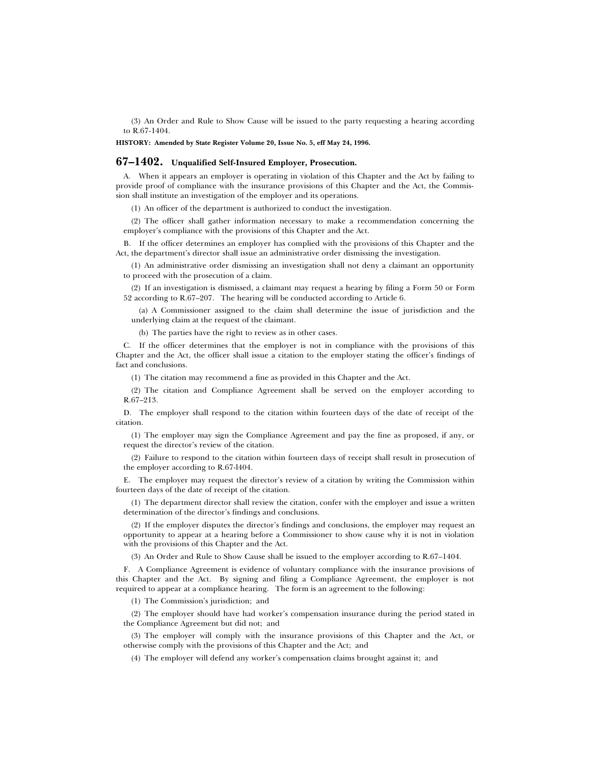(3) An Order and Rule to Show Cause will be issued to the party requesting a hearing according to R.67-1404.

**HISTORY: Amended by State Register Volume 20, Issue No. 5, eff May 24, 1996.**

#### **67–1402. Unqualified Self-Insured Employer, Prosecution.**

A. When it appears an employer is operating in violation of this Chapter and the Act by failing to provide proof of compliance with the insurance provisions of this Chapter and the Act, the Commission shall institute an investigation of the employer and its operations.

(1) An officer of the department is authorized to conduct the investigation.

(2) The officer shall gather information necessary to make a recommendation concerning the employer's compliance with the provisions of this Chapter and the Act.

B. If the officer determines an employer has complied with the provisions of this Chapter and the Act, the department's director shall issue an administrative order dismissing the investigation.

(1) An administrative order dismissing an investigation shall not deny a claimant an opportunity to proceed with the prosecution of a claim.

(2) If an investigation is dismissed, a claimant may request a hearing by filing a Form 50 or Form 52 according to R.67–207. The hearing will be conducted according to Article 6.

(a) A Commissioner assigned to the claim shall determine the issue of jurisdiction and the underlying claim at the request of the claimant.

(b) The parties have the right to review as in other cases.

C. If the officer determines that the employer is not in compliance with the provisions of this Chapter and the Act, the officer shall issue a citation to the employer stating the officer's findings of fact and conclusions.

(1) The citation may recommend a fine as provided in this Chapter and the Act.

(2) The citation and Compliance Agreement shall be served on the employer according to R.67–213.

D. The employer shall respond to the citation within fourteen days of the date of receipt of the citation.

(1) The employer may sign the Compliance Agreement and pay the fine as proposed, if any, or request the director's review of the citation.

(2) Failure to respond to the citation within fourteen days of receipt shall result in prosecution of the employer according to R.67-l404.

E. The employer may request the director's review of a citation by writing the Commission within fourteen days of the date of receipt of the citation.

(1) The department director shall review the citation, confer with the employer and issue a written determination of the director's findings and conclusions.

(2) If the employer disputes the director's findings and conclusions, the employer may request an opportunity to appear at a hearing before a Commissioner to show cause why it is not in violation with the provisions of this Chapter and the Act.

(3) An Order and Rule to Show Cause shall be issued to the employer according to R.67–1404.

F. A Compliance Agreement is evidence of voluntary compliance with the insurance provisions of this Chapter and the Act. By signing and filing a Compliance Agreement, the employer is not required to appear at a compliance hearing. The form is an agreement to the following:

(1) The Commission's jurisdiction; and

(2) The employer should have had worker's compensation insurance during the period stated in the Compliance Agreement but did not; and

(3) The employer will comply with the insurance provisions of this Chapter and the Act, or otherwise comply with the provisions of this Chapter and the Act; and

(4) The employer will defend any worker's compensation claims brought against it; and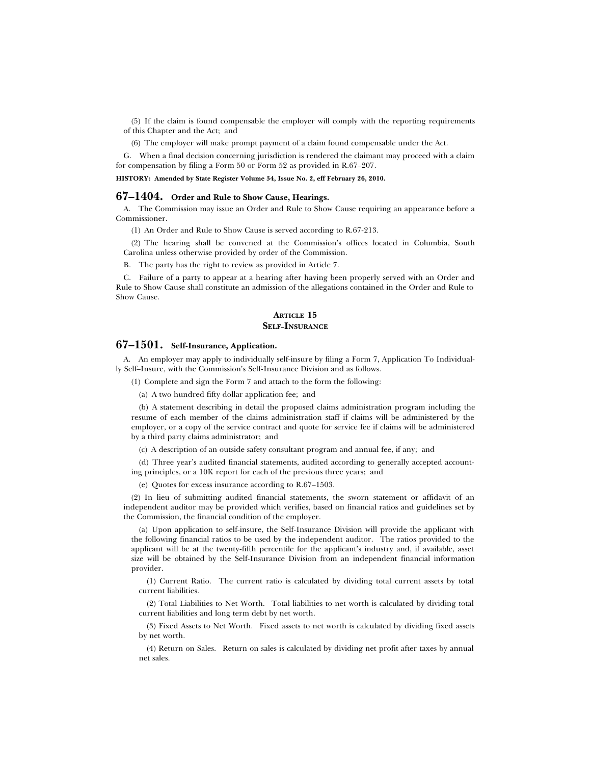(5) If the claim is found compensable the employer will comply with the reporting requirements of this Chapter and the Act; and

(6) The employer will make prompt payment of a claim found compensable under the Act.

G. When a final decision concerning jurisdiction is rendered the claimant may proceed with a claim for compensation by filing a Form 50 or Form 52 as provided in R.67–207.

**HISTORY: Amended by State Register Volume 34, Issue No. 2, eff February 26, 2010.**

## **67–1404. Order and Rule to Show Cause, Hearings.**

A. The Commission may issue an Order and Rule to Show Cause requiring an appearance before a Commissioner.

(1) An Order and Rule to Show Cause is served according to R.67-213.

(2) The hearing shall be convened at the Commission's offices located in Columbia, South Carolina unless otherwise provided by order of the Commission.

B. The party has the right to review as provided in Article 7.

C. Failure of a party to appear at a hearing after having been properly served with an Order and Rule to Show Cause shall constitute an admission of the allegations contained in the Order and Rule to Show Cause.

#### **ARTICLE 15 SELF–INSURANCE**

## **67–1501. Self-Insurance, Application.**

A. An employer may apply to individually self-insure by filing a Form 7, Application To Individually Self–Insure, with the Commission's Self-Insurance Division and as follows.

(1) Complete and sign the Form 7 and attach to the form the following:

(a) A two hundred fifty dollar application fee; and

(b) A statement describing in detail the proposed claims administration program including the resume of each member of the claims administration staff if claims will be administered by the employer, or a copy of the service contract and quote for service fee if claims will be administered by a third party claims administrator; and

(c) A description of an outside safety consultant program and annual fee, if any; and

(d) Three year's audited financial statements, audited according to generally accepted accounting principles, or a 10K report for each of the previous three years; and

(e) Quotes for excess insurance according to R.67–1503.

(2) In lieu of submitting audited financial statements, the sworn statement or affidavit of an independent auditor may be provided which verifies, based on financial ratios and guidelines set by the Commission, the financial condition of the employer.

(a) Upon application to self-insure, the Self-Insurance Division will provide the applicant with the following financial ratios to be used by the independent auditor. The ratios provided to the applicant will be at the twenty-fifth percentile for the applicant's industry and, if available, asset size will be obtained by the Self-Insurance Division from an independent financial information provider.

(1) Current Ratio. The current ratio is calculated by dividing total current assets by total current liabilities.

(2) Total Liabilities to Net Worth. Total liabilities to net worth is calculated by dividing total current liabilities and long term debt by net worth.

(3) Fixed Assets to Net Worth. Fixed assets to net worth is calculated by dividing fixed assets by net worth.

(4) Return on Sales. Return on sales is calculated by dividing net profit after taxes by annual net sales.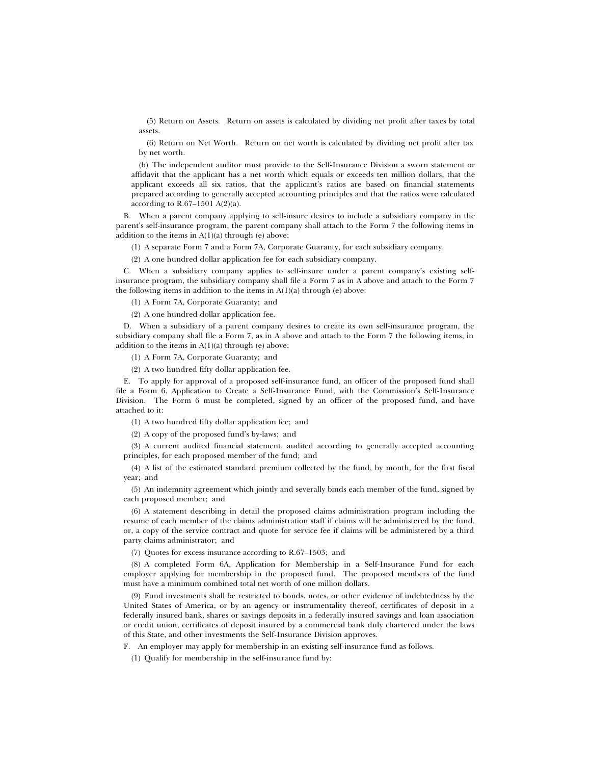(5) Return on Assets. Return on assets is calculated by dividing net profit after taxes by total assets.

(6) Return on Net Worth. Return on net worth is calculated by dividing net profit after tax by net worth.

(b) The independent auditor must provide to the Self-Insurance Division a sworn statement or affidavit that the applicant has a net worth which equals or exceeds ten million dollars, that the applicant exceeds all six ratios, that the applicant's ratios are based on financial statements prepared according to generally accepted accounting principles and that the ratios were calculated according to R.67–1501 A(2)(a).

B. When a parent company applying to self-insure desires to include a subsidiary company in the parent's self-insurance program, the parent company shall attach to the Form 7 the following items in addition to the items in  $A(1)(a)$  through (e) above:

(1) A separate Form 7 and a Form 7A, Corporate Guaranty, for each subsidiary company.

(2) A one hundred dollar application fee for each subsidiary company.

C. When a subsidiary company applies to self-insure under a parent company's existing selfinsurance program, the subsidiary company shall file a Form 7 as in A above and attach to the Form 7 the following items in addition to the items in  $A(1)(a)$  through  $(e)$  above:

(1) A Form 7A, Corporate Guaranty; and

(2) A one hundred dollar application fee.

D. When a subsidiary of a parent company desires to create its own self-insurance program, the subsidiary company shall file a Form 7, as in A above and attach to the Form 7 the following items, in addition to the items in  $A(1)(a)$  through (e) above:

(1) A Form 7A, Corporate Guaranty; and

(2) A two hundred fifty dollar application fee.

E. To apply for approval of a proposed self-insurance fund, an officer of the proposed fund shall file a Form 6, Application to Create a Self-Insurance Fund, with the Commission's Self-Insurance Division. The Form 6 must be completed, signed by an officer of the proposed fund, and have attached to it:

(1) A two hundred fifty dollar application fee; and

(2) A copy of the proposed fund's by-laws; and

(3) A current audited financial statement, audited according to generally accepted accounting principles, for each proposed member of the fund; and

(4) A list of the estimated standard premium collected by the fund, by month, for the first fiscal year; and

(5) An indemnity agreement which jointly and severally binds each member of the fund, signed by each proposed member; and

(6) A statement describing in detail the proposed claims administration program including the resume of each member of the claims administration staff if claims will be administered by the fund, or, a copy of the service contract and quote for service fee if claims will be administered by a third party claims administrator; and

(7) Quotes for excess insurance according to R.67–1503; and

(8) A completed Form 6A, Application for Membership in a Self-Insurance Fund for each employer applying for membership in the proposed fund. The proposed members of the fund must have a minimum combined total net worth of one million dollars.

(9) Fund investments shall be restricted to bonds, notes, or other evidence of indebtedness by the United States of America, or by an agency or instrumentality thereof, certificates of deposit in a federally insured bank, shares or savings deposits in a federally insured savings and loan association or credit union, certificates of deposit insured by a commercial bank duly chartered under the laws of this State, and other investments the Self-Insurance Division approves.

F. An employer may apply for membership in an existing self-insurance fund as follows.

(1) Qualify for membership in the self-insurance fund by: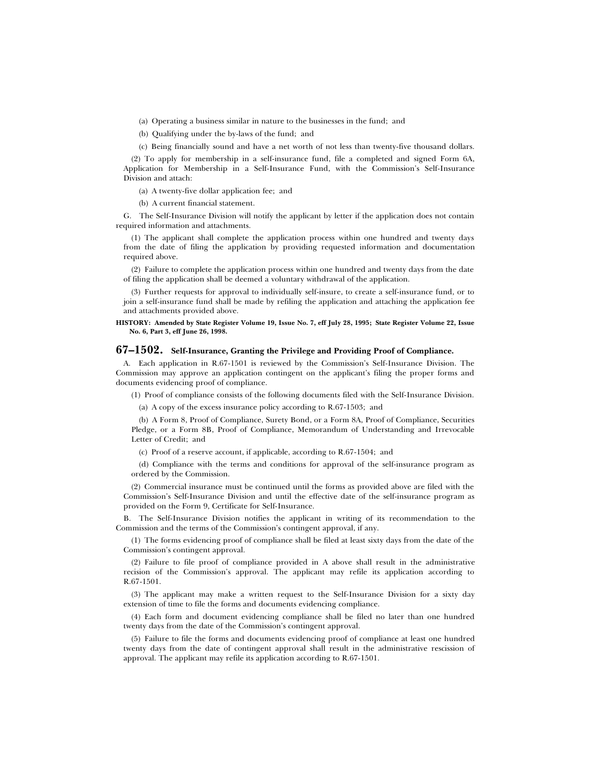(a) Operating a business similar in nature to the businesses in the fund; and

(b) Qualifying under the by-laws of the fund; and

(c) Being financially sound and have a net worth of not less than twenty-five thousand dollars.

(2) To apply for membership in a self-insurance fund, file a completed and signed Form 6A, Application for Membership in a Self-Insurance Fund, with the Commission's Self-Insurance Division and attach:

(a) A twenty-five dollar application fee; and

(b) A current financial statement.

G. The Self-Insurance Division will notify the applicant by letter if the application does not contain required information and attachments.

(1) The applicant shall complete the application process within one hundred and twenty days from the date of filing the application by providing requested information and documentation required above.

(2) Failure to complete the application process within one hundred and twenty days from the date of filing the application shall be deemed a voluntary withdrawal of the application.

(3) Further requests for approval to individually self-insure, to create a self-insurance fund, or to join a self-insurance fund shall be made by refiling the application and attaching the application fee and attachments provided above.

**HISTORY: Amended by State Register Volume 19, Issue No. 7, eff July 28, 1995; State Register Volume 22, Issue No. 6, Part 3, eff June 26, 1998.**

## **67–1502. Self-Insurance, Granting the Privilege and Providing Proof of Compliance.**

A. Each application in R.67-1501 is reviewed by the Commission's Self-Insurance Division. The Commission may approve an application contingent on the applicant's filing the proper forms and documents evidencing proof of compliance.

(1) Proof of compliance consists of the following documents filed with the Self-Insurance Division.

(a) A copy of the excess insurance policy according to R.67-1503; and

(b) A Form 8, Proof of Compliance, Surety Bond, or a Form 8A, Proof of Compliance, Securities Pledge, or a Form 8B, Proof of Compliance, Memorandum of Understanding and Irrevocable Letter of Credit; and

(c) Proof of a reserve account, if applicable, according to R.67-1504; and

(d) Compliance with the terms and conditions for approval of the self-insurance program as ordered by the Commission.

(2) Commercial insurance must be continued until the forms as provided above are filed with the Commission's Self-Insurance Division and until the effective date of the self-insurance program as provided on the Form 9, Certificate for Self-Insurance.

B. The Self-Insurance Division notifies the applicant in writing of its recommendation to the Commission and the terms of the Commission's contingent approval, if any.

(1) The forms evidencing proof of compliance shall be filed at least sixty days from the date of the Commission's contingent approval.

(2) Failure to file proof of compliance provided in A above shall result in the administrative recision of the Commission's approval. The applicant may refile its application according to R.67-1501.

(3) The applicant may make a written request to the Self-Insurance Division for a sixty day extension of time to file the forms and documents evidencing compliance.

(4) Each form and document evidencing compliance shall be filed no later than one hundred twenty days from the date of the Commission's contingent approval.

(5) Failure to file the forms and documents evidencing proof of compliance at least one hundred twenty days from the date of contingent approval shall result in the administrative rescission of approval. The applicant may refile its application according to R.67-1501.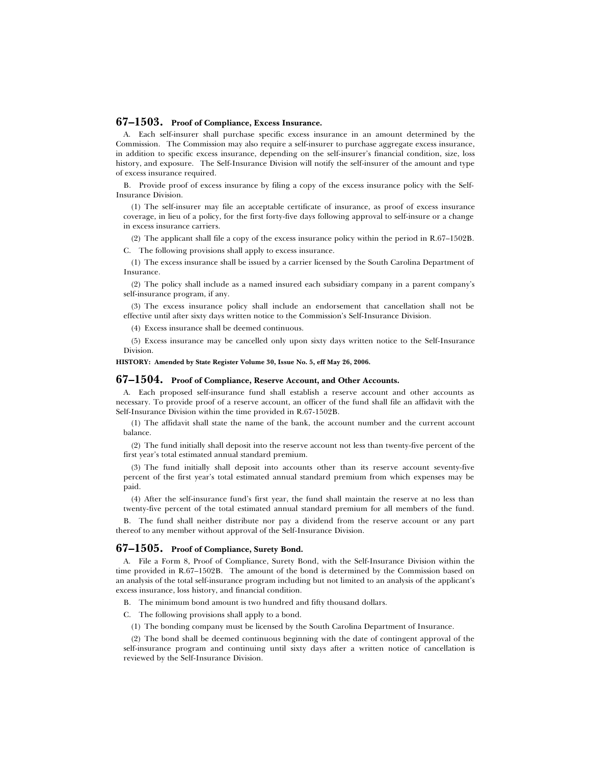## **67–1503. Proof of Compliance, Excess Insurance.**

A. Each self-insurer shall purchase specific excess insurance in an amount determined by the Commission. The Commission may also require a self-insurer to purchase aggregate excess insurance, in addition to specific excess insurance, depending on the self-insurer's financial condition, size, loss history, and exposure. The Self-Insurance Division will notify the self-insurer of the amount and type of excess insurance required.

B. Provide proof of excess insurance by filing a copy of the excess insurance policy with the Self-Insurance Division.

(1) The self-insurer may file an acceptable certificate of insurance, as proof of excess insurance coverage, in lieu of a policy, for the first forty-five days following approval to self-insure or a change in excess insurance carriers.

(2) The applicant shall file a copy of the excess insurance policy within the period in R.67–1502B.

C. The following provisions shall apply to excess insurance.

(1) The excess insurance shall be issued by a carrier licensed by the South Carolina Department of Insurance.

(2) The policy shall include as a named insured each subsidiary company in a parent company's self-insurance program, if any.

(3) The excess insurance policy shall include an endorsement that cancellation shall not be effective until after sixty days written notice to the Commission's Self-Insurance Division.

(4) Excess insurance shall be deemed continuous.

(5) Excess insurance may be cancelled only upon sixty days written notice to the Self-Insurance Division.

#### **HISTORY: Amended by State Register Volume 30, Issue No. 5, eff May 26, 2006.**

## **67–1504. Proof of Compliance, Reserve Account, and Other Accounts.**

A. Each proposed self-insurance fund shall establish a reserve account and other accounts as necessary. To provide proof of a reserve account, an officer of the fund shall file an affidavit with the Self-Insurance Division within the time provided in R.67-1502B.

(1) The affidavit shall state the name of the bank, the account number and the current account balance.

(2) The fund initially shall deposit into the reserve account not less than twenty-five percent of the first year's total estimated annual standard premium.

(3) The fund initially shall deposit into accounts other than its reserve account seventy-five percent of the first year's total estimated annual standard premium from which expenses may be paid.

(4) After the self-insurance fund's first year, the fund shall maintain the reserve at no less than twenty-five percent of the total estimated annual standard premium for all members of the fund.

B. The fund shall neither distribute nor pay a dividend from the reserve account or any part thereof to any member without approval of the Self-Insurance Division.

## **67–1505. Proof of Compliance, Surety Bond.**

A. File a Form 8, Proof of Compliance, Surety Bond, with the Self-Insurance Division within the time provided in R.67–1502B. The amount of the bond is determined by the Commission based on an analysis of the total self-insurance program including but not limited to an analysis of the applicant's excess insurance, loss history, and financial condition.

B. The minimum bond amount is two hundred and fifty thousand dollars.

C. The following provisions shall apply to a bond.

(1) The bonding company must be licensed by the South Carolina Department of Insurance.

(2) The bond shall be deemed continuous beginning with the date of contingent approval of the self-insurance program and continuing until sixty days after a written notice of cancellation is reviewed by the Self-Insurance Division.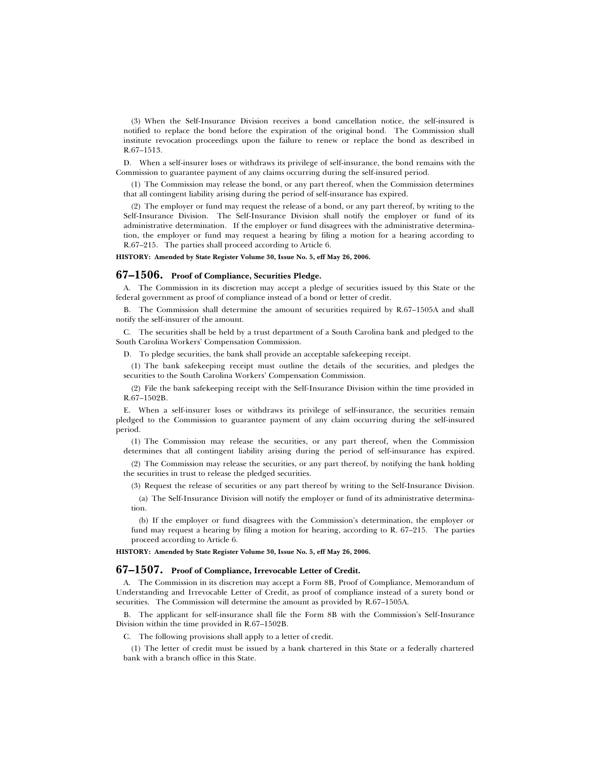(3) When the Self-Insurance Division receives a bond cancellation notice, the self-insured is notified to replace the bond before the expiration of the original bond. The Commission shall institute revocation proceedings upon the failure to renew or replace the bond as described in R.67–1513.

D. When a self-insurer loses or withdraws its privilege of self-insurance, the bond remains with the Commission to guarantee payment of any claims occurring during the self-insured period.

(1) The Commission may release the bond, or any part thereof, when the Commission determines that all contingent liability arising during the period of self-insurance has expired.

(2) The employer or fund may request the release of a bond, or any part thereof, by writing to the Self-Insurance Division. The Self-Insurance Division shall notify the employer or fund of its administrative determination. If the employer or fund disagrees with the administrative determination, the employer or fund may request a hearing by filing a motion for a hearing according to R.67–215. The parties shall proceed according to Article 6.

**HISTORY: Amended by State Register Volume 30, Issue No. 5, eff May 26, 2006.**

#### **67–1506. Proof of Compliance, Securities Pledge.**

A. The Commission in its discretion may accept a pledge of securities issued by this State or the federal government as proof of compliance instead of a bond or letter of credit.

B. The Commission shall determine the amount of securities required by R.67–1505A and shall notify the self-insurer of the amount.

C. The securities shall be held by a trust department of a South Carolina bank and pledged to the South Carolina Workers' Compensation Commission.

D. To pledge securities, the bank shall provide an acceptable safekeeping receipt.

(1) The bank safekeeping receipt must outline the details of the securities, and pledges the securities to the South Carolina Workers' Compensation Commission.

(2) File the bank safekeeping receipt with the Self-Insurance Division within the time provided in R.67–1502B.

E. When a self-insurer loses or withdraws its privilege of self-insurance, the securities remain pledged to the Commission to guarantee payment of any claim occurring during the self-insured period.

(1) The Commission may release the securities, or any part thereof, when the Commission determines that all contingent liability arising during the period of self-insurance has expired.

(2) The Commission may release the securities, or any part thereof, by notifying the bank holding the securities in trust to release the pledged securities.

(3) Request the release of securities or any part thereof by writing to the Self-Insurance Division.

(a) The Self-Insurance Division will notify the employer or fund of its administrative determination.

(b) If the employer or fund disagrees with the Commission's determination, the employer or fund may request a hearing by filing a motion for hearing, according to R. 67–215. The parties proceed according to Article 6.

**HISTORY: Amended by State Register Volume 30, Issue No. 5, eff May 26, 2006.**

## **67–1507. Proof of Compliance, Irrevocable Letter of Credit.**

A. The Commission in its discretion may accept a Form 8B, Proof of Compliance, Memorandum of Understanding and Irrevocable Letter of Credit, as proof of compliance instead of a surety bond or securities. The Commission will determine the amount as provided by R.67–1505A.

B. The applicant for self-insurance shall file the Form 8B with the Commission's Self-Insurance Division within the time provided in R.67–1502B.

C. The following provisions shall apply to a letter of credit.

(1) The letter of credit must be issued by a bank chartered in this State or a federally chartered bank with a branch office in this State.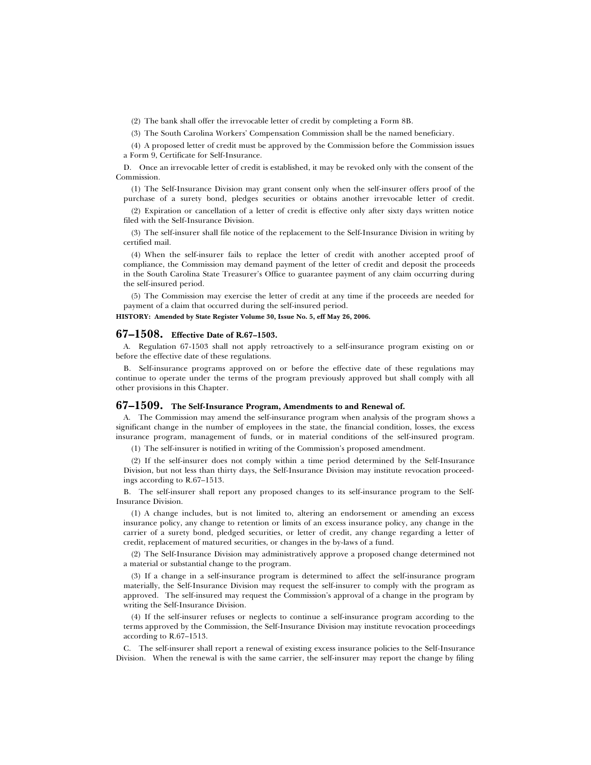(2) The bank shall offer the irrevocable letter of credit by completing a Form 8B.

(3) The South Carolina Workers' Compensation Commission shall be the named beneficiary.

(4) A proposed letter of credit must be approved by the Commission before the Commission issues a Form 9, Certificate for Self-Insurance.

D. Once an irrevocable letter of credit is established, it may be revoked only with the consent of the Commission.

(1) The Self-Insurance Division may grant consent only when the self-insurer offers proof of the purchase of a surety bond, pledges securities or obtains another irrevocable letter of credit.

(2) Expiration or cancellation of a letter of credit is effective only after sixty days written notice filed with the Self-Insurance Division.

(3) The self-insurer shall file notice of the replacement to the Self-Insurance Division in writing by certified mail.

(4) When the self-insurer fails to replace the letter of credit with another accepted proof of compliance, the Commission may demand payment of the letter of credit and deposit the proceeds in the South Carolina State Treasurer's Office to guarantee payment of any claim occurring during the self-insured period.

(5) The Commission may exercise the letter of credit at any time if the proceeds are needed for payment of a claim that occurred during the self-insured period.

**HISTORY: Amended by State Register Volume 30, Issue No. 5, eff May 26, 2006.**

## **67–1508. Effective Date of R.67–1503.**

A. Regulation 67-1503 shall not apply retroactively to a self-insurance program existing on or before the effective date of these regulations.

B. Self-insurance programs approved on or before the effective date of these regulations may continue to operate under the terms of the program previously approved but shall comply with all other provisions in this Chapter.

## **67–1509. The Self-Insurance Program, Amendments to and Renewal of.**

A. The Commission may amend the self-insurance program when analysis of the program shows a significant change in the number of employees in the state, the financial condition, losses, the excess insurance program, management of funds, or in material conditions of the self-insured program.

(1) The self-insurer is notified in writing of the Commission's proposed amendment.

(2) If the self-insurer does not comply within a time period determined by the Self-Insurance Division, but not less than thirty days, the Self-Insurance Division may institute revocation proceedings according to R.67–1513.

B. The self-insurer shall report any proposed changes to its self-insurance program to the Self-Insurance Division.

(1) A change includes, but is not limited to, altering an endorsement or amending an excess insurance policy, any change to retention or limits of an excess insurance policy, any change in the carrier of a surety bond, pledged securities, or letter of credit, any change regarding a letter of credit, replacement of matured securities, or changes in the by-laws of a fund.

(2) The Self-Insurance Division may administratively approve a proposed change determined not a material or substantial change to the program.

(3) If a change in a self-insurance program is determined to affect the self-insurance program materially, the Self-Insurance Division may request the self-insurer to comply with the program as approved. The self-insured may request the Commission's approval of a change in the program by writing the Self-Insurance Division.

(4) If the self-insurer refuses or neglects to continue a self-insurance program according to the terms approved by the Commission, the Self-Insurance Division may institute revocation proceedings according to R.67–1513.

C. The self-insurer shall report a renewal of existing excess insurance policies to the Self-Insurance Division. When the renewal is with the same carrier, the self-insurer may report the change by filing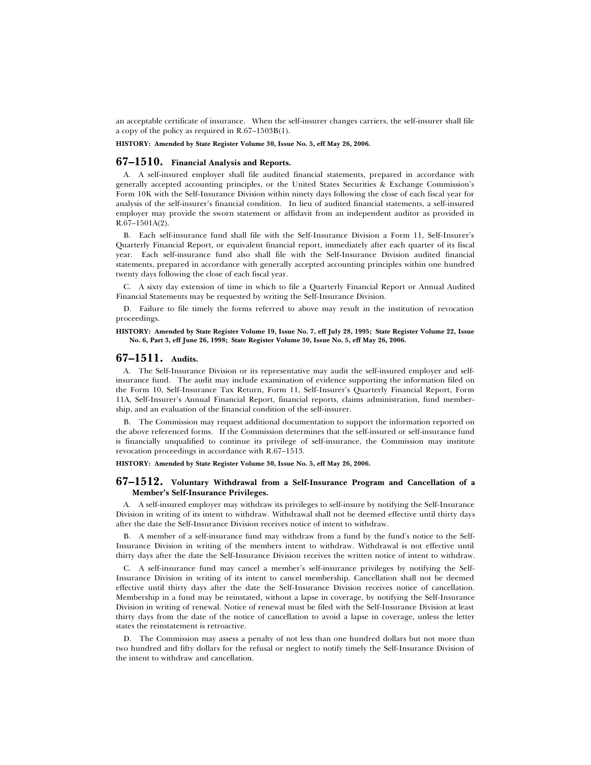an acceptable certificate of insurance. When the self-insurer changes carriers, the self-insurer shall file a copy of the policy as required in R.67–1503B(1).

#### **HISTORY: Amended by State Register Volume 30, Issue No. 5, eff May 26, 2006.**

## **67–1510. Financial Analysis and Reports.**

A. A self-insured employer shall file audited financial statements, prepared in accordance with generally accepted accounting principles, or the United States Securities & Exchange Commission's Form 10K with the Self-Insurance Division within ninety days following the close of each fiscal year for analysis of the self-insurer's financial condition. In lieu of audited financial statements, a self-insured employer may provide the sworn statement or affidavit from an independent auditor as provided in R.67–1501A(2).

B. Each self-insurance fund shall file with the Self-Insurance Division a Form 11, Self-Insurer's Quarterly Financial Report, or equivalent financial report, immediately after each quarter of its fiscal year. Each self-insurance fund also shall file with the Self-Insurance Division audited financial statements, prepared in accordance with generally accepted accounting principles within one hundred twenty days following the close of each fiscal year.

C. A sixty day extension of time in which to file a Quarterly Financial Report or Annual Audited Financial Statements may be requested by writing the Self-Insurance Division.

D. Failure to file timely the forms referred to above may result in the institution of revocation proceedings.

#### **HISTORY: Amended by State Register Volume 19, Issue No. 7, eff July 28, 1995; State Register Volume 22, Issue No. 6, Part 3, eff June 26, 1998; State Register Volume 30, Issue No. 5, eff May 26, 2006.**

## **67–1511. Audits.**

A. The Self-Insurance Division or its representative may audit the self-insured employer and selfinsurance fund. The audit may include examination of evidence supporting the information filed on the Form 10, Self-Insurance Tax Return, Form 11, Self-Insurer's Quarterly Financial Report, Form 11A, Self-Insurer's Annual Financial Report, financial reports, claims administration, fund membership, and an evaluation of the financial condition of the self-insurer.

B. The Commission may request additional documentation to support the information reported on the above referenced forms. If the Commission determines that the self-insured or self-insurance fund is financially unqualified to continue its privilege of self-insurance, the Commission may institute revocation proceedings in accordance with R.67–1513.

**HISTORY: Amended by State Register Volume 30, Issue No. 5, eff May 26, 2006.**

#### **67–1512. Voluntary Withdrawal from a Self-Insurance Program and Cancellation of a Member's Self-Insurance Privileges.**

A. A self-insured employer may withdraw its privileges to self-insure by notifying the Self-Insurance Division in writing of its intent to withdraw. Withdrawal shall not be deemed effective until thirty days after the date the Self-Insurance Division receives notice of intent to withdraw.

B. A member of a self-insurance fund may withdraw from a fund by the fund's notice to the Self-Insurance Division in writing of the members intent to withdraw. Withdrawal is not effective until thirty days after the date the Self-Insurance Division receives the written notice of intent to withdraw.

C. A self-insurance fund may cancel a member's self-insurance privileges by notifying the Self-Insurance Division in writing of its intent to cancel membership. Cancellation shall not be deemed effective until thirty days after the date the Self-Insurance Division receives notice of cancellation. Membership in a fund may be reinstated, without a lapse in coverage, by notifying the Self-Insurance Division in writing of renewal. Notice of renewal must be filed with the Self-Insurance Division at least thirty days from the date of the notice of cancellation to avoid a lapse in coverage, unless the letter states the reinstatement is retroactive.

D. The Commission may assess a penalty of not less than one hundred dollars but not more than two hundred and fifty dollars for the refusal or neglect to notify timely the Self-Insurance Division of the intent to withdraw and cancellation.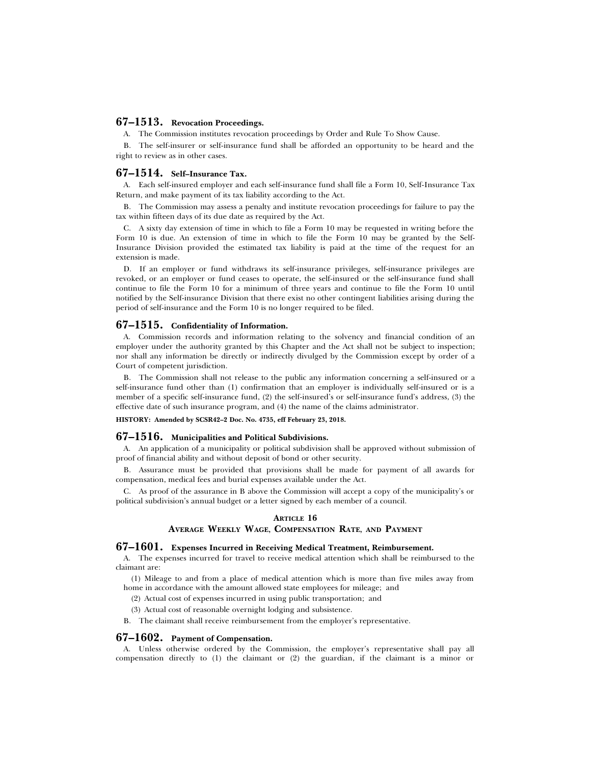## **67–1513. Revocation Proceedings.**

A. The Commission institutes revocation proceedings by Order and Rule To Show Cause.

B. The self-insurer or self-insurance fund shall be afforded an opportunity to be heard and the right to review as in other cases.

## **67–1514. Self–Insurance Tax.**

A. Each self-insured employer and each self-insurance fund shall file a Form 10, Self-Insurance Tax Return, and make payment of its tax liability according to the Act.

B. The Commission may assess a penalty and institute revocation proceedings for failure to pay the tax within fifteen days of its due date as required by the Act.

C. A sixty day extension of time in which to file a Form 10 may be requested in writing before the Form 10 is due. An extension of time in which to file the Form 10 may be granted by the Self-Insurance Division provided the estimated tax liability is paid at the time of the request for an extension is made.

D. If an employer or fund withdraws its self-insurance privileges, self-insurance privileges are revoked, or an employer or fund ceases to operate, the self-insured or the self-insurance fund shall continue to file the Form 10 for a minimum of three years and continue to file the Form 10 until notified by the Self-insurance Division that there exist no other contingent liabilities arising during the period of self-insurance and the Form 10 is no longer required to be filed.

#### **67–1515. Confidentiality of Information.**

A. Commission records and information relating to the solvency and financial condition of an employer under the authority granted by this Chapter and the Act shall not be subject to inspection; nor shall any information be directly or indirectly divulged by the Commission except by order of a Court of competent jurisdiction.

B. The Commission shall not release to the public any information concerning a self-insured or a self-insurance fund other than (1) confirmation that an employer is individually self-insured or is a member of a specific self-insurance fund, (2) the self-insured's or self-insurance fund's address, (3) the effective date of such insurance program, and (4) the name of the claims administrator.

**HISTORY: Amended by SCSR42–2 Doc. No. 4735, eff February 23, 2018.**

#### **67–1516. Municipalities and Political Subdivisions.**

A. An application of a municipality or political subdivision shall be approved without submission of proof of financial ability and without deposit of bond or other security.

B. Assurance must be provided that provisions shall be made for payment of all awards for compensation, medical fees and burial expenses available under the Act.

C. As proof of the assurance in B above the Commission will accept a copy of the municipality's or political subdivision's annual budget or a letter signed by each member of a council.

#### **ARTICLE 16**

#### **AVERAGE WEEKLY WAGE, COMPENSATION RATE, AND PAYMENT**

## **67–1601. Expenses Incurred in Receiving Medical Treatment, Reimbursement.**

A. The expenses incurred for travel to receive medical attention which shall be reimbursed to the claimant are:

(1) Mileage to and from a place of medical attention which is more than five miles away from home in accordance with the amount allowed state employees for mileage; and

- (2) Actual cost of expenses incurred in using public transportation; and
- (3) Actual cost of reasonable overnight lodging and subsistence.
- B. The claimant shall receive reimbursement from the employer's representative.

#### **67–1602. Payment of Compensation.**

A. Unless otherwise ordered by the Commission, the employer's representative shall pay all compensation directly to (1) the claimant or (2) the guardian, if the claimant is a minor or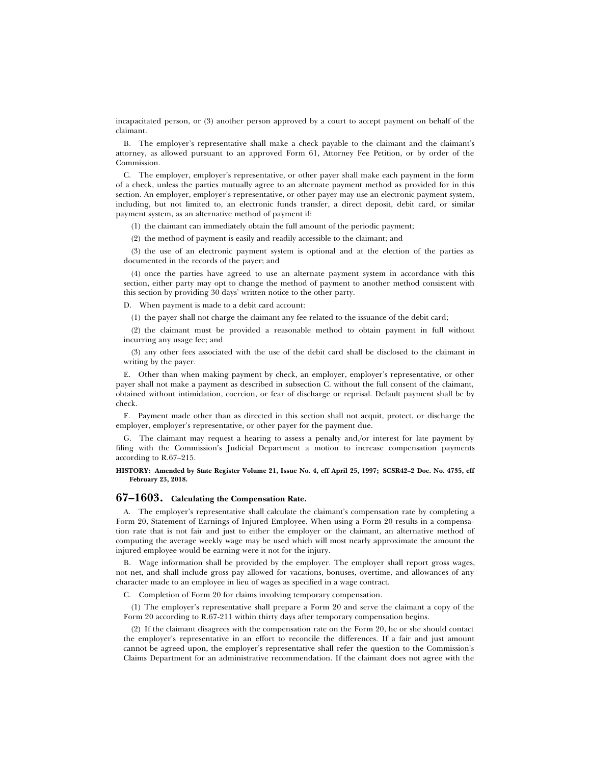incapacitated person, or (3) another person approved by a court to accept payment on behalf of the claimant.

B. The employer's representative shall make a check payable to the claimant and the claimant's attorney, as allowed pursuant to an approved Form 61, Attorney Fee Petition, or by order of the Commission.

C. The employer, employer's representative, or other payer shall make each payment in the form of a check, unless the parties mutually agree to an alternate payment method as provided for in this section. An employer, employer's representative, or other payer may use an electronic payment system, including, but not limited to, an electronic funds transfer, a direct deposit, debit card, or similar payment system, as an alternative method of payment if:

(1) the claimant can immediately obtain the full amount of the periodic payment;

(2) the method of payment is easily and readily accessible to the claimant; and

(3) the use of an electronic payment system is optional and at the election of the parties as documented in the records of the payer; and

(4) once the parties have agreed to use an alternate payment system in accordance with this section, either party may opt to change the method of payment to another method consistent with this section by providing 30 days' written notice to the other party.

D. When payment is made to a debit card account:

(1) the payer shall not charge the claimant any fee related to the issuance of the debit card;

(2) the claimant must be provided a reasonable method to obtain payment in full without incurring any usage fee; and

(3) any other fees associated with the use of the debit card shall be disclosed to the claimant in writing by the payer.

E. Other than when making payment by check, an employer, employer's representative, or other payer shall not make a payment as described in subsection C. without the full consent of the claimant, obtained without intimidation, coercion, or fear of discharge or reprisal. Default payment shall be by check.

F. Payment made other than as directed in this section shall not acquit, protect, or discharge the employer, employer's representative, or other payer for the payment due.

G. The claimant may request a hearing to assess a penalty and,/or interest for late payment by filing with the Commission's Judicial Department a motion to increase compensation payments according to R.67–215.

#### **HISTORY: Amended by State Register Volume 21, Issue No. 4, eff April 25, 1997; SCSR42–2 Doc. No. 4735, eff February 23, 2018.**

## **67–1603. Calculating the Compensation Rate.**

A. The employer's representative shall calculate the claimant's compensation rate by completing a Form 20, Statement of Earnings of Injured Employee. When using a Form 20 results in a compensation rate that is not fair and just to either the employer or the claimant, an alternative method of computing the average weekly wage may be used which will most nearly approximate the amount the injured employee would be earning were it not for the injury.

B. Wage information shall be provided by the employer. The employer shall report gross wages, not net, and shall include gross pay allowed for vacations, bonuses, overtime, and allowances of any character made to an employee in lieu of wages as specified in a wage contract.

C. Completion of Form 20 for claims involving temporary compensation.

(1) The employer's representative shall prepare a Form 20 and serve the claimant a copy of the Form 20 according to R.67-211 within thirty days after temporary compensation begins.

(2) If the claimant disagrees with the compensation rate on the Form 20, he or she should contact the employer's representative in an effort to reconcile the differences. If a fair and just amount cannot be agreed upon, the employer's representative shall refer the question to the Commission's Claims Department for an administrative recommendation. If the claimant does not agree with the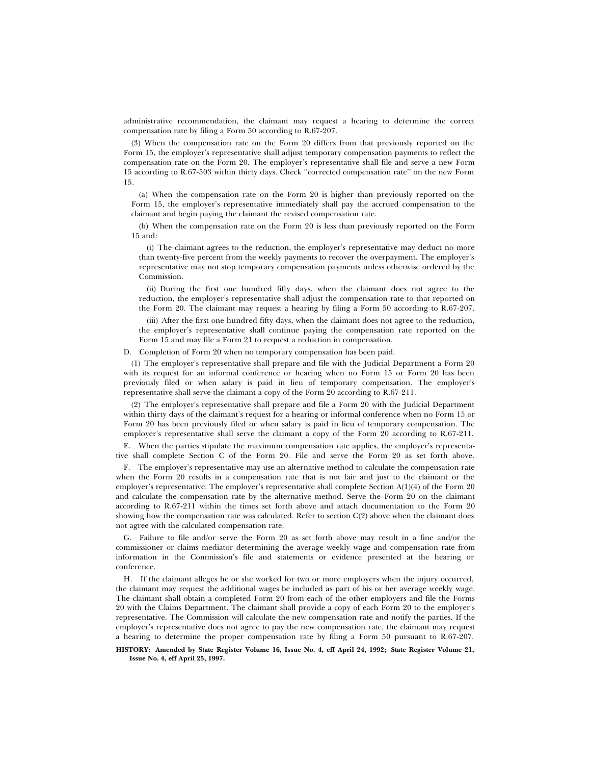administrative recommendation, the claimant may request a hearing to determine the correct compensation rate by filing a Form 50 according to R.67-207.

(3) When the compensation rate on the Form 20 differs from that previously reported on the Form 15, the employer's representative shall adjust temporary compensation payments to reflect the compensation rate on the Form 20. The employer's representative shall file and serve a new Form 15 according to R.67-503 within thirty days. Check ''corrected compensation rate'' on the new Form 15.

(a) When the compensation rate on the Form 20 is higher than previously reported on the Form 15, the employer's representative immediately shall pay the accrued compensation to the claimant and begin paying the claimant the revised compensation rate.

(b) When the compensation rate on the Form 20 is less than previously reported on the Form 15 and:

(i) The claimant agrees to the reduction, the employer's representative may deduct no more than twenty-five percent from the weekly payments to recover the overpayment. The employer's representative may not stop temporary compensation payments unless otherwise ordered by the Commission.

(ii) During the first one hundred fifty days, when the claimant does not agree to the reduction, the employer's representative shall adjust the compensation rate to that reported on the Form 20. The claimant may request a hearing by filing a Form 50 according to R.67-207.

(iii) After the first one hundred fifty days, when the claimant does not agree to the reduction, the employer's representative shall continue paying the compensation rate reported on the Form 15 and may file a Form 21 to request a reduction in compensation.

D. Completion of Form 20 when no temporary compensation has been paid.

(1) The employer's representative shall prepare and file with the Judicial Department a Form 20 with its request for an informal conference or hearing when no Form 15 or Form 20 has been previously filed or when salary is paid in lieu of temporary compensation. The employer's representative shall serve the claimant a copy of the Form 20 according to R.67-211.

(2) The employer's representative shall prepare and file a Form 20 with the Judicial Department within thirty days of the claimant's request for a hearing or informal conference when no Form 15 or Form 20 has been previously filed or when salary is paid in lieu of temporary compensation. The employer's representative shall serve the claimant a copy of the Form 20 according to R.67-211.

E. When the parties stipulate the maximum compensation rate applies, the employer's representative shall complete Section C of the Form 20. File and serve the Form 20 as set forth above.

F. The employer's representative may use an alternative method to calculate the compensation rate when the Form 20 results in a compensation rate that is not fair and just to the claimant or the employer's representative. The employer's representative shall complete Section A(1)(4) of the Form 20 and calculate the compensation rate by the alternative method. Serve the Form 20 on the claimant according to R.67-211 within the times set forth above and attach documentation to the Form 20 showing how the compensation rate was calculated. Refer to section  $C(2)$  above when the claimant does not agree with the calculated compensation rate.

G. Failure to file and/or serve the Form 20 as set forth above may result in a fine and/or the commissioner or claims mediator determining the average weekly wage and compensation rate from information in the Commission's file and statements or evidence presented at the hearing or conference.

H. If the claimant alleges he or she worked for two or more employers when the injury occurred, the claimant may request the additional wages be included as part of his or her average weekly wage. The claimant shall obtain a completed Form 20 from each of the other employers and file the Forms 20 with the Claims Department. The claimant shall provide a copy of each Form 20 to the employer's representative. The Commission will calculate the new compensation rate and notify the parties. If the employer's representative does not agree to pay the new compensation rate, the claimant may request a hearing to determine the proper compensation rate by filing a Form 50 pursuant to R.67-207.

**HISTORY: Amended by State Register Volume 16, Issue No. 4, eff April 24, 1992; State Register Volume 21, Issue No. 4, eff April 25, 1997.**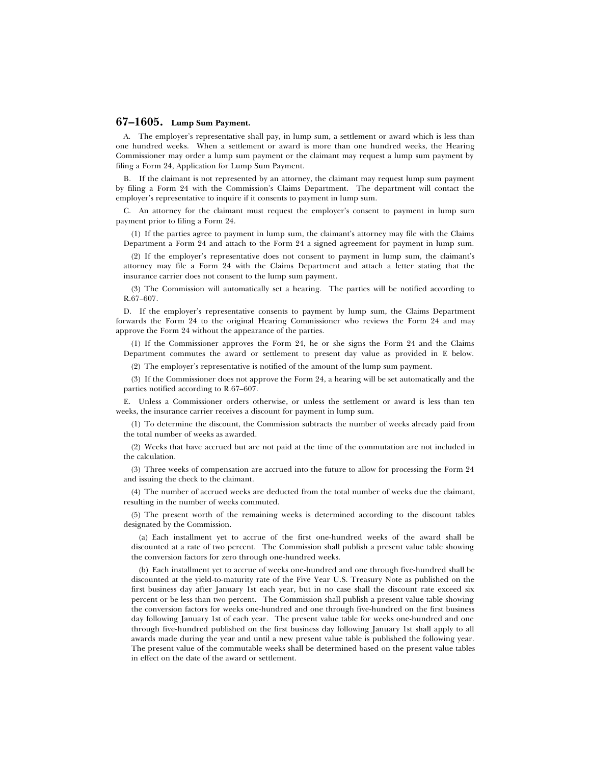## **67–1605. Lump Sum Payment.**

A. The employer's representative shall pay, in lump sum, a settlement or award which is less than one hundred weeks. When a settlement or award is more than one hundred weeks, the Hearing Commissioner may order a lump sum payment or the claimant may request a lump sum payment by filing a Form 24, Application for Lump Sum Payment.

B. If the claimant is not represented by an attorney, the claimant may request lump sum payment by filing a Form 24 with the Commission's Claims Department. The department will contact the employer's representative to inquire if it consents to payment in lump sum.

C. An attorney for the claimant must request the employer's consent to payment in lump sum payment prior to filing a Form 24.

(1) If the parties agree to payment in lump sum, the claimant's attorney may file with the Claims Department a Form 24 and attach to the Form 24 a signed agreement for payment in lump sum.

(2) If the employer's representative does not consent to payment in lump sum, the claimant's attorney may file a Form 24 with the Claims Department and attach a letter stating that the insurance carrier does not consent to the lump sum payment.

(3) The Commission will automatically set a hearing. The parties will be notified according to R.67–607.

D. If the employer's representative consents to payment by lump sum, the Claims Department forwards the Form 24 to the original Hearing Commissioner who reviews the Form 24 and may approve the Form 24 without the appearance of the parties.

(1) If the Commissioner approves the Form 24, he or she signs the Form 24 and the Claims Department commutes the award or settlement to present day value as provided in E below.

(2) The employer's representative is notified of the amount of the lump sum payment.

(3) If the Commissioner does not approve the Form 24, a hearing will be set automatically and the parties notified according to R.67–607.

E. Unless a Commissioner orders otherwise, or unless the settlement or award is less than ten weeks, the insurance carrier receives a discount for payment in lump sum.

(1) To determine the discount, the Commission subtracts the number of weeks already paid from the total number of weeks as awarded.

(2) Weeks that have accrued but are not paid at the time of the commutation are not included in the calculation.

(3) Three weeks of compensation are accrued into the future to allow for processing the Form 24 and issuing the check to the claimant.

(4) The number of accrued weeks are deducted from the total number of weeks due the claimant, resulting in the number of weeks commuted.

(5) The present worth of the remaining weeks is determined according to the discount tables designated by the Commission.

(a) Each installment yet to accrue of the first one-hundred weeks of the award shall be discounted at a rate of two percent. The Commission shall publish a present value table showing the conversion factors for zero through one-hundred weeks.

(b) Each installment yet to accrue of weeks one-hundred and one through five-hundred shall be discounted at the yield-to-maturity rate of the Five Year U.S. Treasury Note as published on the first business day after January 1st each year, but in no case shall the discount rate exceed six percent or be less than two percent. The Commission shall publish a present value table showing the conversion factors for weeks one-hundred and one through five-hundred on the first business day following January 1st of each year. The present value table for weeks one-hundred and one through five-hundred published on the first business day following January 1st shall apply to all awards made during the year and until a new present value table is published the following year. The present value of the commutable weeks shall be determined based on the present value tables in effect on the date of the award or settlement.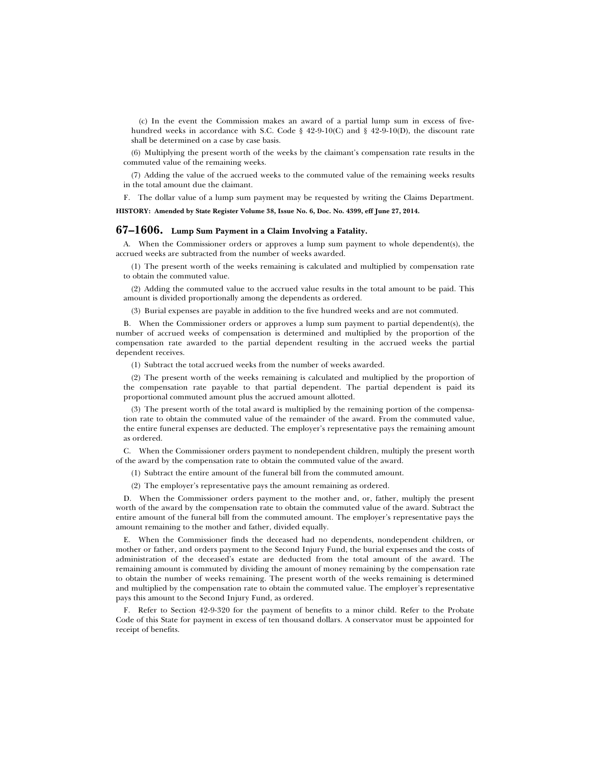(c) In the event the Commission makes an award of a partial lump sum in excess of fivehundred weeks in accordance with S.C. Code  $\S$  42-9-10(C) and  $\S$  42-9-10(D), the discount rate shall be determined on a case by case basis.

(6) Multiplying the present worth of the weeks by the claimant's compensation rate results in the commuted value of the remaining weeks.

(7) Adding the value of the accrued weeks to the commuted value of the remaining weeks results in the total amount due the claimant.

F. The dollar value of a lump sum payment may be requested by writing the Claims Department.

**HISTORY: Amended by State Register Volume 38, Issue No. 6, Doc. No. 4399, eff June 27, 2014.**

## **67–1606. Lump Sum Payment in a Claim Involving a Fatality.**

A. When the Commissioner orders or approves a lump sum payment to whole dependent(s), the accrued weeks are subtracted from the number of weeks awarded.

(1) The present worth of the weeks remaining is calculated and multiplied by compensation rate to obtain the commuted value.

(2) Adding the commuted value to the accrued value results in the total amount to be paid. This amount is divided proportionally among the dependents as ordered.

(3) Burial expenses are payable in addition to the five hundred weeks and are not commuted.

B. When the Commissioner orders or approves a lump sum payment to partial dependent(s), the number of accrued weeks of compensation is determined and multiplied by the proportion of the compensation rate awarded to the partial dependent resulting in the accrued weeks the partial dependent receives.

(1) Subtract the total accrued weeks from the number of weeks awarded.

(2) The present worth of the weeks remaining is calculated and multiplied by the proportion of the compensation rate payable to that partial dependent. The partial dependent is paid its proportional commuted amount plus the accrued amount allotted.

(3) The present worth of the total award is multiplied by the remaining portion of the compensation rate to obtain the commuted value of the remainder of the award. From the commuted value, the entire funeral expenses are deducted. The employer's representative pays the remaining amount as ordered.

C. When the Commissioner orders payment to nondependent children, multiply the present worth of the award by the compensation rate to obtain the commuted value of the award.

(1) Subtract the entire amount of the funeral bill from the commuted amount.

(2) The employer's representative pays the amount remaining as ordered.

D. When the Commissioner orders payment to the mother and, or, father, multiply the present worth of the award by the compensation rate to obtain the commuted value of the award. Subtract the entire amount of the funeral bill from the commuted amount. The employer's representative pays the amount remaining to the mother and father, divided equally.

E. When the Commissioner finds the deceased had no dependents, nondependent children, or mother or father, and orders payment to the Second Injury Fund, the burial expenses and the costs of administration of the deceased's estate are deducted from the total amount of the award. The remaining amount is commuted by dividing the amount of money remaining by the compensation rate to obtain the number of weeks remaining. The present worth of the weeks remaining is determined and multiplied by the compensation rate to obtain the commuted value. The employer's representative pays this amount to the Second Injury Fund, as ordered.

F. Refer to Section 42-9-320 for the payment of benefits to a minor child. Refer to the Probate Code of this State for payment in excess of ten thousand dollars. A conservator must be appointed for receipt of benefits.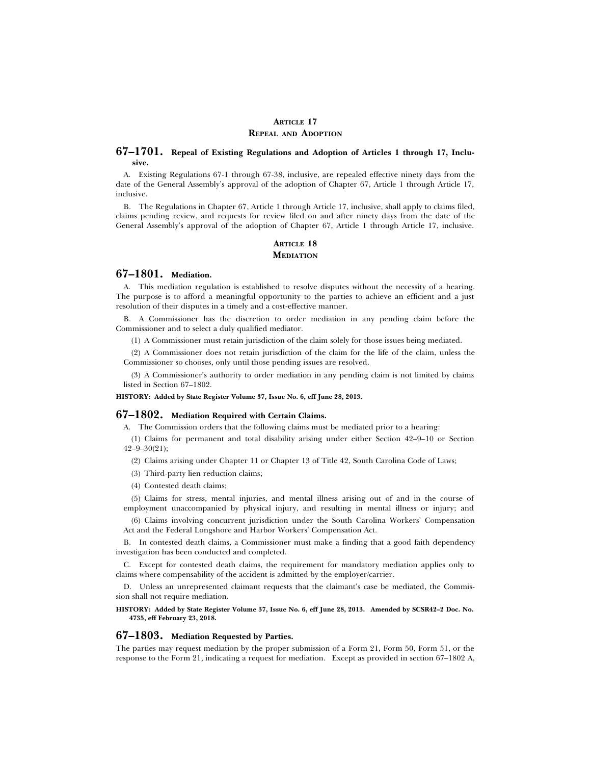## **ARTICLE 17 REPEAL AND ADOPTION**

## **67–1701. Repeal of Existing Regulations and Adoption of Articles 1 through 17, Inclusive.**

A. Existing Regulations 67-1 through 67-38, inclusive, are repealed effective ninety days from the date of the General Assembly's approval of the adoption of Chapter 67, Article 1 through Article 17, inclusive.

B. The Regulations in Chapter 67, Article 1 through Article 17, inclusive, shall apply to claims filed, claims pending review, and requests for review filed on and after ninety days from the date of the General Assembly's approval of the adoption of Chapter 67, Article 1 through Article 17, inclusive.

## **ARTICLE 18 MEDIATION**

## **67–1801. Mediation.**

A. This mediation regulation is established to resolve disputes without the necessity of a hearing. The purpose is to afford a meaningful opportunity to the parties to achieve an efficient and a just resolution of their disputes in a timely and a cost-effective manner.

B. A Commissioner has the discretion to order mediation in any pending claim before the Commissioner and to select a duly qualified mediator.

(1) A Commissioner must retain jurisdiction of the claim solely for those issues being mediated.

(2) A Commissioner does not retain jurisdiction of the claim for the life of the claim, unless the Commissioner so chooses, only until those pending issues are resolved.

(3) A Commissioner's authority to order mediation in any pending claim is not limited by claims listed in Section 67–1802.

**HISTORY: Added by State Register Volume 37, Issue No. 6, eff June 28, 2013.**

## **67–1802. Mediation Required with Certain Claims.**

A. The Commission orders that the following claims must be mediated prior to a hearing:

(1) Claims for permanent and total disability arising under either Section 42–9–10 or Section  $42 - 9 - 30(21);$ 

(2) Claims arising under Chapter 11 or Chapter 13 of Title 42, South Carolina Code of Laws;

- (3) Third-party lien reduction claims;
- (4) Contested death claims;

(5) Claims for stress, mental injuries, and mental illness arising out of and in the course of employment unaccompanied by physical injury, and resulting in mental illness or injury; and

(6) Claims involving concurrent jurisdiction under the South Carolina Workers' Compensation Act and the Federal Longshore and Harbor Workers' Compensation Act.

B. In contested death claims, a Commissioner must make a finding that a good faith dependency investigation has been conducted and completed.

C. Except for contested death claims, the requirement for mandatory mediation applies only to claims where compensability of the accident is admitted by the employer/carrier.

D. Unless an unrepresented claimant requests that the claimant's case be mediated, the Commission shall not require mediation.

**HISTORY: Added by State Register Volume 37, Issue No. 6, eff June 28, 2013. Amended by SCSR42–2 Doc. No. 4735, eff February 23, 2018.**

## **67–1803. Mediation Requested by Parties.**

The parties may request mediation by the proper submission of a Form 21, Form 50, Form 51, or the response to the Form 21, indicating a request for mediation. Except as provided in section 67–1802 A,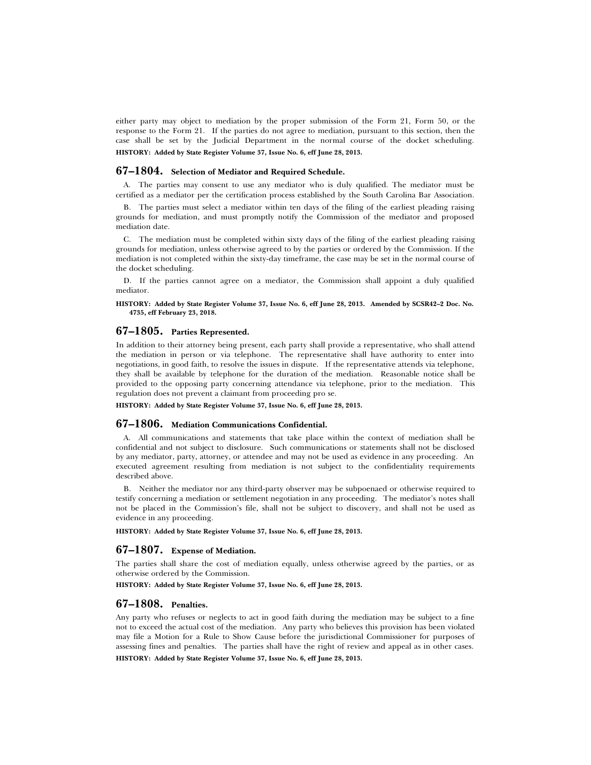either party may object to mediation by the proper submission of the Form 21, Form 50, or the response to the Form 21. If the parties do not agree to mediation, pursuant to this section, then the case shall be set by the Judicial Department in the normal course of the docket scheduling. **HISTORY: Added by State Register Volume 37, Issue No. 6, eff June 28, 2013.**

## **67–1804. Selection of Mediator and Required Schedule.**

A. The parties may consent to use any mediator who is duly qualified. The mediator must be certified as a mediator per the certification process established by the South Carolina Bar Association.

B. The parties must select a mediator within ten days of the filing of the earliest pleading raising grounds for mediation, and must promptly notify the Commission of the mediator and proposed mediation date.

C. The mediation must be completed within sixty days of the filing of the earliest pleading raising grounds for mediation, unless otherwise agreed to by the parties or ordered by the Commission. If the mediation is not completed within the sixty-day timeframe, the case may be set in the normal course of the docket scheduling.

D. If the parties cannot agree on a mediator, the Commission shall appoint a duly qualified mediator.

**HISTORY: Added by State Register Volume 37, Issue No. 6, eff June 28, 2013. Amended by SCSR42–2 Doc. No. 4735, eff February 23, 2018.**

#### **67–1805. Parties Represented.**

In addition to their attorney being present, each party shall provide a representative, who shall attend the mediation in person or via telephone. The representative shall have authority to enter into negotiations, in good faith, to resolve the issues in dispute. If the representative attends via telephone, they shall be available by telephone for the duration of the mediation. Reasonable notice shall be provided to the opposing party concerning attendance via telephone, prior to the mediation. This regulation does not prevent a claimant from proceeding pro se.

**HISTORY: Added by State Register Volume 37, Issue No. 6, eff June 28, 2013.**

## **67–1806. Mediation Communications Confidential.**

A. All communications and statements that take place within the context of mediation shall be confidential and not subject to disclosure. Such communications or statements shall not be disclosed by any mediator, party, attorney, or attendee and may not be used as evidence in any proceeding. An executed agreement resulting from mediation is not subject to the confidentiality requirements described above.

B. Neither the mediator nor any third-party observer may be subpoenaed or otherwise required to testify concerning a mediation or settlement negotiation in any proceeding. The mediator's notes shall not be placed in the Commission's file, shall not be subject to discovery, and shall not be used as evidence in any proceeding.

**HISTORY: Added by State Register Volume 37, Issue No. 6, eff June 28, 2013.**

### **67–1807. Expense of Mediation.**

The parties shall share the cost of mediation equally, unless otherwise agreed by the parties, or as otherwise ordered by the Commission.

**HISTORY: Added by State Register Volume 37, Issue No. 6, eff June 28, 2013.**

#### **67–1808. Penalties.**

Any party who refuses or neglects to act in good faith during the mediation may be subject to a fine not to exceed the actual cost of the mediation. Any party who believes this provision has been violated may file a Motion for a Rule to Show Cause before the jurisdictional Commissioner for purposes of assessing fines and penalties. The parties shall have the right of review and appeal as in other cases. **HISTORY: Added by State Register Volume 37, Issue No. 6, eff June 28, 2013.**